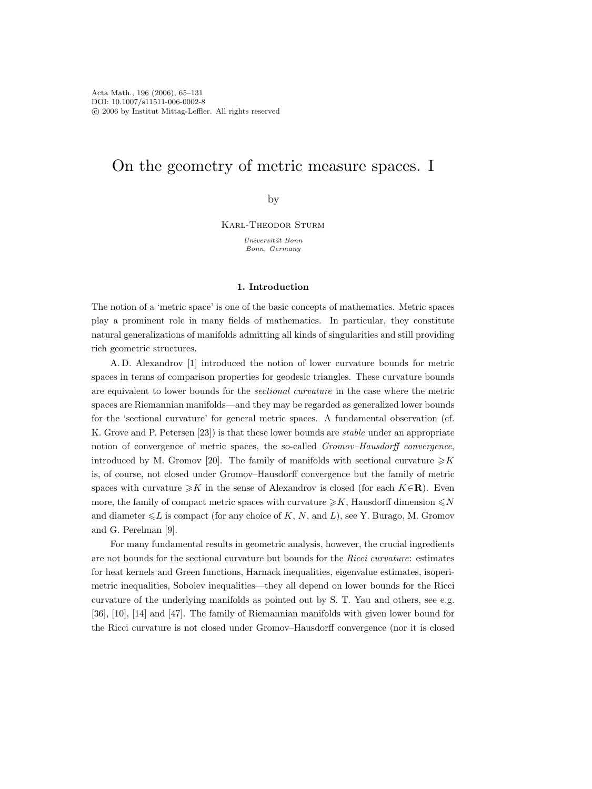# On the geometry of metric measure spaces. I

by

Karl-Theodor Sturm

Universität Bonn Bonn, Germany

## **1. Introduction**

The notion of a 'metric space' is one of the basic concepts of mathematics. Metric spaces play a prominent role in many fields of mathematics. In particular, they constitute natural generalizations of manifolds admitting all kinds of singularities and still providing rich geometric structures.

A. D. Alexandrov [1] introduced the notion of lower curvature bounds for metric spaces in terms of comparison properties for geodesic triangles. These curvature bounds are equivalent to lower bounds for the *sectional curvature* in the case where the metric spaces are Riemannian manifolds—and they may be regarded as generalized lower bounds for the 'sectional curvature' for general metric spaces. A fundamental observation (cf. K. Grove and P. Petersen [23]) is that these lower bounds are *stable* under an appropriate notion of convergence of metric spaces, the so-called *Gromov–Hausdorff convergence*, introduced by M. Gromov [20]. The family of manifolds with sectional curvature  $\ge K$ is, of course, not closed under Gromov–Hausdorff convergence but the family of metric spaces with curvature  $\geq K$  in the sense of Alexandrov is closed (for each K∈**R**). Even more, the family of compact metric spaces with curvature  $\geq K$ , Hausdorff dimension  $\leq N$ and diameter  $\leq L$  is compact (for any choice of K, N, and L), see Y. Burago, M. Gromov and G. Perelman [9].

For many fundamental results in geometric analysis, however, the crucial ingredients are not bounds for the sectional curvature but bounds for the *Ricci curvature*: estimates for heat kernels and Green functions, Harnack inequalities, eigenvalue estimates, isoperimetric inequalities, Sobolev inequalities—they all depend on lower bounds for the Ricci curvature of the underlying manifolds as pointed out by S. T. Yau and others, see e.g. [36], [10], [14] and [47]. The family of Riemannian manifolds with given lower bound for the Ricci curvature is not closed under Gromov–Hausdorff convergence (nor it is closed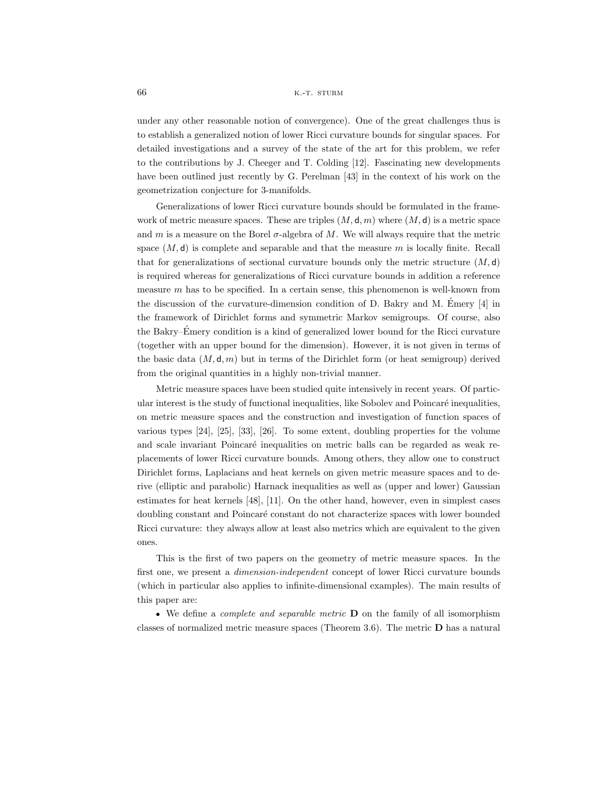under any other reasonable notion of convergence). One of the great challenges thus is to establish a generalized notion of lower Ricci curvature bounds for singular spaces. For detailed investigations and a survey of the state of the art for this problem, we refer to the contributions by J. Cheeger and T. Colding [12]. Fascinating new developments have been outlined just recently by G. Perelman [43] in the context of his work on the geometrization conjecture for 3-manifolds.

Generalizations of lower Ricci curvature bounds should be formulated in the framework of metric measure spaces. These are triples  $(M, d, m)$  where  $(M, d)$  is a metric space and m is a measure on the Borel  $\sigma$ -algebra of M. We will always require that the metric space  $(M, d)$  is complete and separable and that the measure m is locally finite. Recall that for generalizations of sectional curvature bounds only the metric structure  $(M, d)$ is required whereas for generalizations of Ricci curvature bounds in addition a reference measure  $m$  has to be specified. In a certain sense, this phenomenon is well-known from the discussion of the curvature-dimension condition of D. Bakry and M. Emery [4] in ´ the framework of Dirichlet forms and symmetric Markov semigroups. Of course, also the Bakry–Emery condition is a kind of generalized lower bound for the Ricci curvature ´ (together with an upper bound for the dimension). However, it is not given in terms of the basic data  $(M, d, m)$  but in terms of the Dirichlet form (or heat semigroup) derived from the original quantities in a highly non-trivial manner.

Metric measure spaces have been studied quite intensively in recent years. Of particular interest is the study of functional inequalities, like Sobolev and Poincaré inequalities, on metric measure spaces and the construction and investigation of function spaces of various types [24], [25], [33], [26]. To some extent, doubling properties for the volume and scale invariant Poincaré inequalities on metric balls can be regarded as weak replacements of lower Ricci curvature bounds. Among others, they allow one to construct Dirichlet forms, Laplacians and heat kernels on given metric measure spaces and to derive (elliptic and parabolic) Harnack inequalities as well as (upper and lower) Gaussian estimates for heat kernels [48], [11]. On the other hand, however, even in simplest cases doubling constant and Poincar´e constant do not characterize spaces with lower bounded Ricci curvature: they always allow at least also metrics which are equivalent to the given ones.

This is the first of two papers on the geometry of metric measure spaces. In the first one, we present a *dimension-independent* concept of lower Ricci curvature bounds (which in particular also applies to infinite-dimensional examples). The main results of this paper are:

We define a *complete and separable metric* **D** on the family of all isomorphism classes of normalized metric measure spaces (Theorem 3.6). The metric **D** has a natural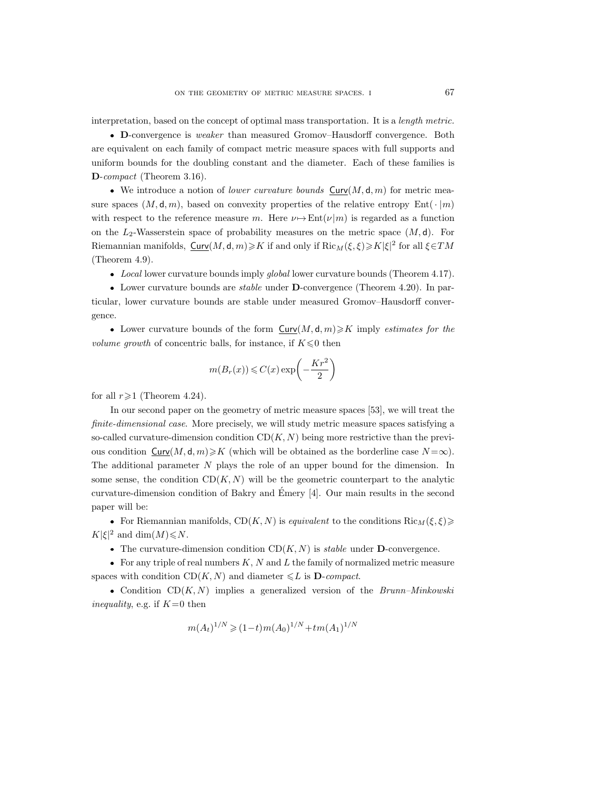interpretation, based on the concept of optimal mass transportation. It is a *length metric.*

**D**-convergence is *weaker* than measured Gromov–Hausdorff convergence. Both are equivalent on each family of compact metric measure spaces with full supports and uniform bounds for the doubling constant and the diameter. Each of these families is **D**-*compact* (Theorem 3.16).

 $\bullet$  We introduce a notion of *lower curvature bounds*  $\text{Curv}(M, \mathsf{d}, m)$  for metric measure spaces  $(M, d, m)$ , based on convexity properties of the relative entropy Ent $(\cdot | m)$ with respect to the reference measure m. Here  $\nu \mapsto \text{Ent}(\nu|m)$  is regarded as a function on the  $L_2$ -Wasserstein space of probability measures on the metric space  $(M, d)$ . For Riemannian manifolds,  $\underline{\text{Curv}}(M, \text{d}, m) \geqslant K$  if and only if  $\text{Ric}_M(\xi, \xi) \geqslant K |\xi|^2$  for all  $\xi \in TM$ (Theorem 4.9).

*Local* lower curvature bounds imply *global* lower curvature bounds (Theorem 4.17).

Lower curvature bounds are *stable* under **D**-convergence (Theorem 4.20). In particular, lower curvature bounds are stable under measured Gromov–Hausdorff convergence.

• Lower curvature bounds of the form  $\text{Curv}(M, \mathsf{d}, m) \geqslant K$  imply *estimates for the*  $volume$   $growth$  of concentric balls, for instance, if  $K \! \leqslant \! 0$  then

$$
m(B_r(x)) \leqslant C(x) \exp\biggl(-\frac{Kr^2}{2}\biggr)
$$

for all  $r\geqslant1$  (Theorem 4.24).

In our second paper on the geometry of metric measure spaces [53], we will treat the *finite-dimensional case.* More precisely, we will study metric measure spaces satisfying a so-called curvature-dimension condition  $CD(K, N)$  being more restrictive than the previous condition  $\text{Curv}(M, \text{d}, m) \geq K$  (which will be obtained as the borderline case  $N = \infty$ ). The additional parameter  $N$  plays the role of an upper bound for the dimension. In some sense, the condition  $CD(K, N)$  will be the geometric counterpart to the analytic curvature-dimension condition of Bakry and Emery [4]. Our main results in the second ´ paper will be:

For Riemannian manifolds,  $CD(K, N)$  is *equivalent* to the conditions  $Ric_M(\xi, \xi)$  $K|\xi|^2$  and  $\dim(M) \le N$ .

• The curvature-dimension condition  $CD(K, N)$  is *stable* under **D**-convergence.

For any triple of real numbers  $K, N$  and  $L$  the family of normalized metric measure spaces with condition  $CD(K, N)$  and diameter  $\leq L$  is **D**-*compact*.

• Condition  $CD(K, N)$  implies a generalized version of the *Brunn–Minkowski inequality*, e.g. if  $K=0$  then

$$
m(A_t)^{1/N} \geq (1-t)m(A_0)^{1/N} + tm(A_1)^{1/N}
$$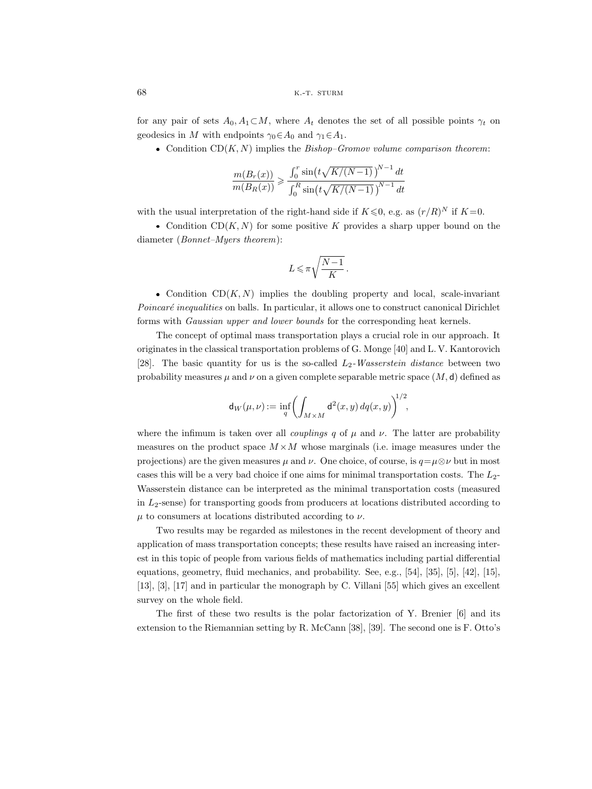for any pair of sets  $A_0, A_1 \subset M$ , where  $A_t$  denotes the set of all possible points  $\gamma_t$  on geodesics in M with endpoints  $\gamma_0 \in A_0$  and  $\gamma_1 \in A_1$ .

• Condition  $CD(K, N)$  implies the  $Bishop-Gromov volume$  comparison theorem:

$$
\frac{m(B_r(x))}{m(B_R(x))} \ge \frac{\int_0^r \sin(t\sqrt{K/(N-1)})^{N-1} dt}{\int_0^R \sin(t\sqrt{K/(N-1)})^{N-1} dt}
$$

with the usual interpretation of the right-hand side if  $K \leq 0$ , e.g. as  $(r/R)^N$  if  $K=0$ .

• Condition  $CD(K, N)$  for some positive K provides a sharp upper bound on the diameter (*Bonnet–Myers theorem*):

$$
L\leqslant \pi\sqrt{\frac{N-1}{K}}\,.
$$

• Condition  $CD(K, N)$  implies the doubling property and local, scale-invariant *Poincaré inequalities* on balls. In particular, it allows one to construct canonical Dirichlet forms with *Gaussian upper and lower bounds* for the corresponding heat kernels.

The concept of optimal mass transportation plays a crucial role in our approach. It originates in the classical transportation problems of G. Monge [40] and L. V. Kantorovich [28]. The basic quantity for us is the so-called L2*-Wasserstein distance* between two probability measures  $\mu$  and  $\nu$  on a given complete separable metric space  $(M, d)$  defined as

$$
\mathsf{d}_W(\mu,\nu):=\inf_q \biggl(\int_{M\times M} \mathsf{d}^2(x,y)\,dq(x,y)\biggr)^{\!\!1/2},
$$

where the infimum is taken over all *couplings* q of  $\mu$  and  $\nu$ . The latter are probability measures on the product space  $M \times M$  whose marginals (i.e. image measures under the projections) are the given measures  $\mu$  and  $\nu$ . One choice, of course, is  $q=\mu\otimes\nu$  but in most cases this will be a very bad choice if one aims for minimal transportation costs. The  $L_2$ -Wasserstein distance can be interpreted as the minimal transportation costs (measured in  $L_2$ -sense) for transporting goods from producers at locations distributed according to  $\mu$  to consumers at locations distributed according to  $\nu$ .

Two results may be regarded as milestones in the recent development of theory and application of mass transportation concepts; these results have raised an increasing interest in this topic of people from various fields of mathematics including partial differential equations, geometry, fluid mechanics, and probability. See, e.g., [54], [35], [5], [42], [15], [13], [3], [17] and in particular the monograph by C. Villani [55] which gives an excellent survey on the whole field.

The first of these two results is the polar factorization of Y. Brenier [6] and its extension to the Riemannian setting by R. McCann [38], [39]. The second one is F. Otto's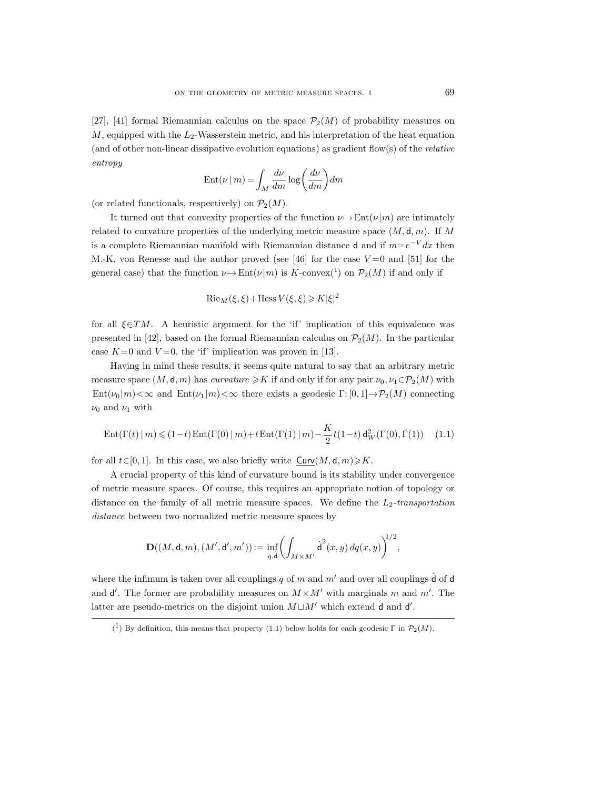[27], [41] formal Riemannian calculus on the space  $\mathcal{P}_2(M)$  of probability measures on  $M$ , equipped with the  $L_2$ -Wasserstein metric, and his interpretation of the heat equation (and of other non-linear dissipative evolution equations) as gradient flow(s) of the *relative entropy*

$$
Ent(\nu \mid m) = \int_M \frac{d\nu}{dm} \log \left( \frac{d\nu}{dm} \right) dm
$$

(or related functionals, respectively) on  $\mathcal{P}_2(M)$ .

It turned out that convexity properties of the function  $\nu \mapsto \text{Ent}(\nu|m)$  are intimately related to curvature properties of the underlying metric measure space  $(M, d, m)$ . If M is a complete Riemannian manifold with Riemannian distance d and if  $m=e^{-V}dx$  then M.-K. von Renesse and the author proved (see [46] for the case  $V=0$  and [51] for the general case) that the function  $\nu \mapsto \text{Ent}(\nu|m)$  is  $K$ -convex(<sup>1</sup>) on  $\mathcal{P}_2(M)$  if and only if

$$
\operatorname{Ric}_M(\xi, \xi) + \operatorname{Hess} V(\xi, \xi) \ge K|\xi|^2
$$

for all  $\xi \in TM$ . A heuristic argument for the 'if' implication of this equivalence was presented in [42], based on the formal Riemannian calculus on  $\mathcal{P}_2(M)$ . In the particular case  $K=0$  and  $V=0$ , the 'if' implication was proven in [13].

Having in mind these results, it seems quite natural to say that an arbitrary metric measure space  $(M, \mathsf{d}, m)$  has *curvature*  $\geq K$  if and only if for any pair  $\nu_0, \nu_1 \in \mathcal{P}_2(M)$  with  $Ent(\nu_0 | m) < \infty$  and  $Ent(\nu_1 | m) < \infty$  there exists a geodesic  $\Gamma: [0, 1] \rightarrow P_2(M)$  connecting  $\nu_0$  and  $\nu_1$  with

Ent
$$
(\Gamma(t) | m) \leq (1-t) \text{Ent}(\Gamma(0) | m) + t \text{Ent}(\Gamma(1) | m) - \frac{K}{2} t (1-t) d_W^2(\Gamma(0), \Gamma(1))
$$
 (1.1)

for all  $t\in[0,1]$ . In this case, we also briefly write  $Curv(M, d, m)\geq K$ .

A crucial property of this kind of curvature bound is its stability under convergence of metric measure spaces. Of course, this requires an appropriate notion of topology or distance on the family of all metric measure spaces. We define the  $L_2$ -transportation *distance* between two normalized metric measure spaces by

$$
\mathbf{D}((M,\mathsf{d},m),(M',\mathsf{d}',m')):=\inf_{q,\hat{\mathsf{d}}}\left(\int_{M\times M'}\hat{\mathsf{d}}^2(x,y)\,dq(x,y)\right)^{\!\!1/2},
$$

where the infimum is taken over all couplings q of m and m' and over all couplings  $\hat{d}$  of d and  $d'$ . The former are probability measures on  $M \times M'$  with marginals m and m'. The latter are pseudo-metrics on the disjoint union  $M \sqcup M'$  which extend d and d'.

<sup>(&</sup>lt;sup>1</sup>) By definition, this means that property (1.1) below holds for each geodesic Γ in  $\mathcal{P}_2(M)$ .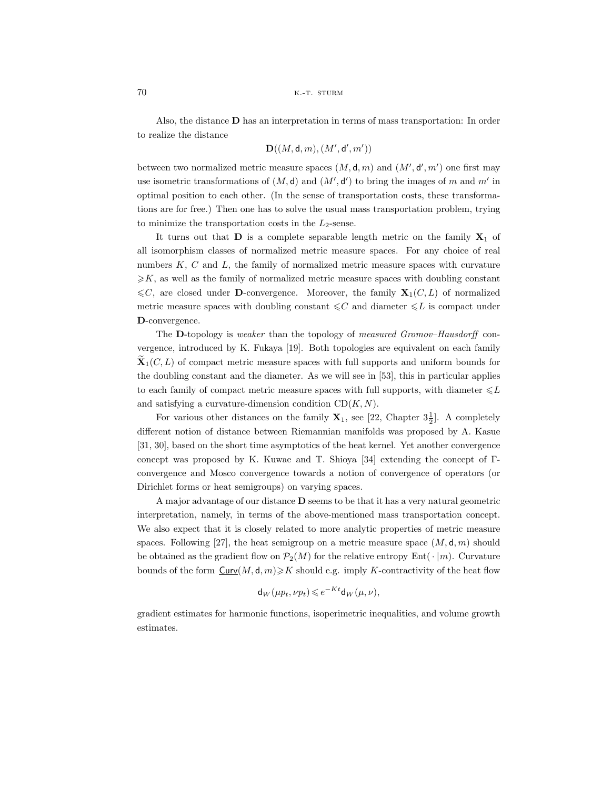Also, the distance **D** has an interpretation in terms of mass transportation: In order to realize the distance

$$
\mathbf{D}((M,\mathsf{d},m),(M',\mathsf{d}',m'))
$$

between two normalized metric measure spaces  $(M, d, m)$  and  $(M', d', m')$  one first may use isometric transformations of  $(M, d)$  and  $(M', d')$  to bring the images of m and m' in optimal position to each other. (In the sense of transportation costs, these transformations are for free.) Then one has to solve the usual mass transportation problem, trying to minimize the transportation costs in the  $L_2$ -sense.

It turns out that  $D$  is a complete separable length metric on the family  $X_1$  of all isomorphism classes of normalized metric measure spaces. For any choice of real numbers  $K, C$  and  $L$ , the family of normalized metric measure spaces with curvature  $\geq K$ , as well as the family of normalized metric measure spaces with doubling constant  $\leq C$ , are closed under **D**-convergence. Moreover, the family  $X_1(C, L)$  of normalized metric measure spaces with doubling constant  $\leq C$  and diameter  $\leq L$  is compact under **D**-convergence.

The **D**-topology is *weaker* than the topology of *measured Gromov–Hausdorff* convergence, introduced by K. Fukaya [19]. Both topologies are equivalent on each family  $\mathbf{X}_1(C, L)$  of compact metric measure spaces with full supports and uniform bounds for the doubling constant and the diameter. As we will see in [53], this in particular applies to each family of compact metric measure spaces with full supports, with diameter  $\leq L$ and satisfying a curvature-dimension condition  $CD(K, N)$ .

For various other distances on the family  $X_1$ , see [22, Chapter  $3\frac{1}{2}$ ]. A completely different notion of distance between Riemannian manifolds was proposed by A. Kasue [31, 30], based on the short time asymptotics of the heat kernel. Yet another convergence concept was proposed by K. Kuwae and T. Shioya [34] extending the concept of Γconvergence and Mosco convergence towards a notion of convergence of operators (or Dirichlet forms or heat semigroups) on varying spaces.

A major advantage of our distance **D** seems to be that it has a very natural geometric interpretation, namely, in terms of the above-mentioned mass transportation concept. We also expect that it is closely related to more analytic properties of metric measure spaces. Following [27], the heat semigroup on a metric measure space  $(M, d, m)$  should be obtained as the gradient flow on  $\mathcal{P}_2(M)$  for the relative entropy Ent( $\cdot |m\rangle$ ). Curvature bounds of the form  $\text{Curv}(M, \mathsf{d}, m) \geq K$  should e.g. imply K-contractivity of the heat flow

$$
\mathsf{d}_W(\mu p_t, \nu p_t) \leqslant e^{-Kt} \mathsf{d}_W(\mu, \nu),
$$

gradient estimates for harmonic functions, isoperimetric inequalities, and volume growth estimates.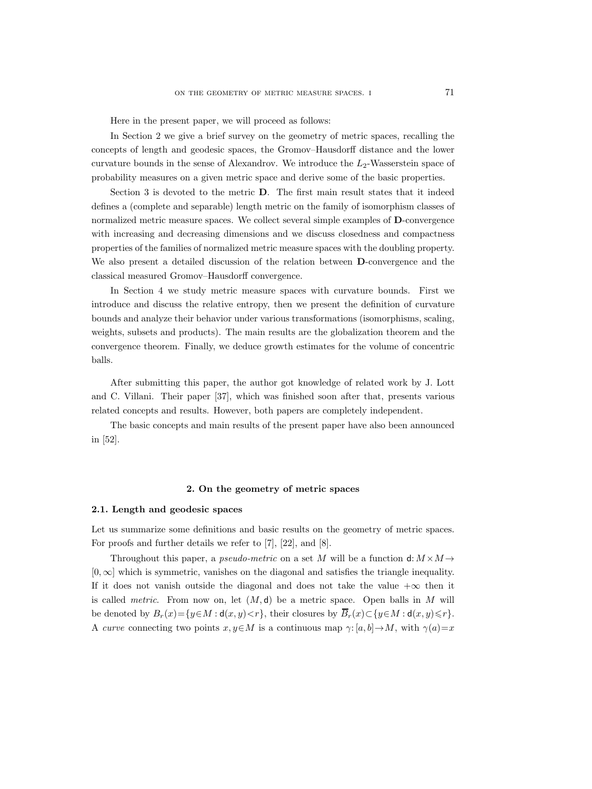Here in the present paper, we will proceed as follows:

In Section 2 we give a brief survey on the geometry of metric spaces, recalling the concepts of length and geodesic spaces, the Gromov–Hausdorff distance and the lower curvature bounds in the sense of Alexandrov. We introduce the  $L_2$ -Wasserstein space of probability measures on a given metric space and derive some of the basic properties.

Section 3 is devoted to the metric **D**. The first main result states that it indeed defines a (complete and separable) length metric on the family of isomorphism classes of normalized metric measure spaces. We collect several simple examples of **D**-convergence with increasing and decreasing dimensions and we discuss closedness and compactness properties of the families of normalized metric measure spaces with the doubling property. We also present a detailed discussion of the relation between **D**-convergence and the classical measured Gromov–Hausdorff convergence.

In Section 4 we study metric measure spaces with curvature bounds. First we introduce and discuss the relative entropy, then we present the definition of curvature bounds and analyze their behavior under various transformations (isomorphisms, scaling, weights, subsets and products). The main results are the globalization theorem and the convergence theorem. Finally, we deduce growth estimates for the volume of concentric balls.

After submitting this paper, the author got knowledge of related work by J. Lott and C. Villani. Their paper [37], which was finished soon after that, presents various related concepts and results. However, both papers are completely independent.

The basic concepts and main results of the present paper have also been announced in [52].

## **2. On the geometry of metric spaces**

#### **2.1. Length and geodesic spaces**

Let us summarize some definitions and basic results on the geometry of metric spaces. For proofs and further details we refer to [7], [22], and [8].

Throughout this paper, a *pseudo-metric* on a set M will be a function  $d: M \times M \rightarrow$ [0,∞] which is symmetric, vanishes on the diagonal and satisfies the triangle inequality. If it does not vanish outside the diagonal and does not take the value  $+\infty$  then it is called *metric*. From now on, let  $(M, d)$  be a metric space. Open balls in M will be denoted by  $B_r(x) = \{y \in M : d(x, y) < r\}$ , their closures by  $\overline{B}_r(x) \subset \{y \in M : d(x, y) \leq r\}$ . A *curve* connecting two points  $x, y \in M$  is a continuous map  $\gamma: [a, b] \to M$ , with  $\gamma(a)=x$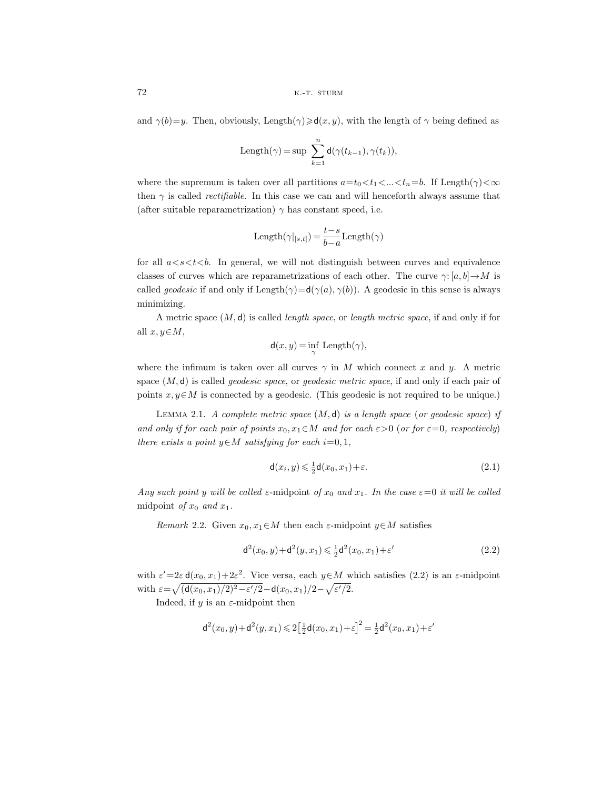and  $\gamma(b)=y$ . Then, obviously, Length $(\gamma)\geqslant d(x, y)$ , with the length of  $\gamma$  being defined as

$$
\text{Length}(\gamma) = \sup \ \sum_{k=1}^n \mathsf{d}(\gamma(t_{k-1}), \gamma(t_k)),
$$

where the supremum is taken over all partitions  $a=t_0\langle t_1\langle \ldots \langle t_n=b\rangle$ . If Length $(\gamma)\langle \infty \rangle$ then  $\gamma$  is called *rectifiable*. In this case we can and will henceforth always assume that (after suitable reparametrization)  $\gamma$  has constant speed, i.e.

$$
\text{Length}(\gamma|_{[s,t]})\,{=}\,\frac{t{-}s}{b{-}a}\text{Length}(\gamma)
$$

for all  $a < s < t < b$ . In general, we will not distinguish between curves and equivalence classes of curves which are reparametrizations of each other. The curve  $\gamma: [a, b] \to M$  is called *geodesic* if and only if  $\text{Length}(\gamma) = d(\gamma(a), \gamma(b))$ . A geodesic in this sense is always minimizing.

A metric space (M, d) is called *length space*, or *length metric space*, if and only if for all  $x, y \in M$ ,

$$
\mathsf{d}(x,y) = \inf_{\gamma} \text{Length}(\gamma),
$$

where the infimum is taken over all curves  $\gamma$  in M which connect x and y. A metric space (M, d) is called *geodesic space*, or *geodesic metric space*, if and only if each pair of points  $x, y \in M$  is connected by a geodesic. (This geodesic is not required to be unique.)

Lemma 2.1. *A complete metric space* (M, d) *is a length space* (*or geodesic space*) *if and only if for each pair of points*  $x_0, x_1 \in M$  *and for each*  $\varepsilon > 0$  (*or for*  $\varepsilon = 0$ *, respectively*) *there exists a point*  $y \in M$  *satisfying for each*  $i = 0, 1$ *,* 

$$
\mathsf{d}(x_i, y) \leq \frac{1}{2}\mathsf{d}(x_0, x_1) + \varepsilon. \tag{2.1}
$$

*Any such point y will be called*  $\varepsilon$ -midpoint *of*  $x_0$  *and*  $x_1$ *. In the case*  $\varepsilon = 0$  *it will be called* midpoint *of*  $x_0$  *and*  $x_1$ *.* 

*Remark* 2.2. Given  $x_0, x_1 \in M$  then each  $\varepsilon$ -midpoint  $y \in M$  satisfies

$$
d^{2}(x_{0}, y) + d^{2}(y, x_{1}) \leq \frac{1}{2}d^{2}(x_{0}, x_{1}) + \varepsilon'
$$
\n(2.2)

with  $\varepsilon' = 2\varepsilon \mathsf{d}(x_0, x_1) + 2\varepsilon^2$ . Vice versa, each  $y \in M$  which satisfies (2.2) is an  $\varepsilon$ -midpoint with  $\varepsilon = \sqrt{\left(\frac{d(x_0, x_1)}{2} - \varepsilon'\right)^2 - \frac{d(x_0, x_1)}{2} - \frac{d(x_0, x_1)}{2}}$ .

Indeed, if  $y$  is an  $\varepsilon$ -midpoint then

$$
d^{2}(x_{0}, y) + d^{2}(y, x_{1}) \leq 2\left[\frac{1}{2}d(x_{0}, x_{1}) + \varepsilon\right]^{2} = \frac{1}{2}d^{2}(x_{0}, x_{1}) + \varepsilon'
$$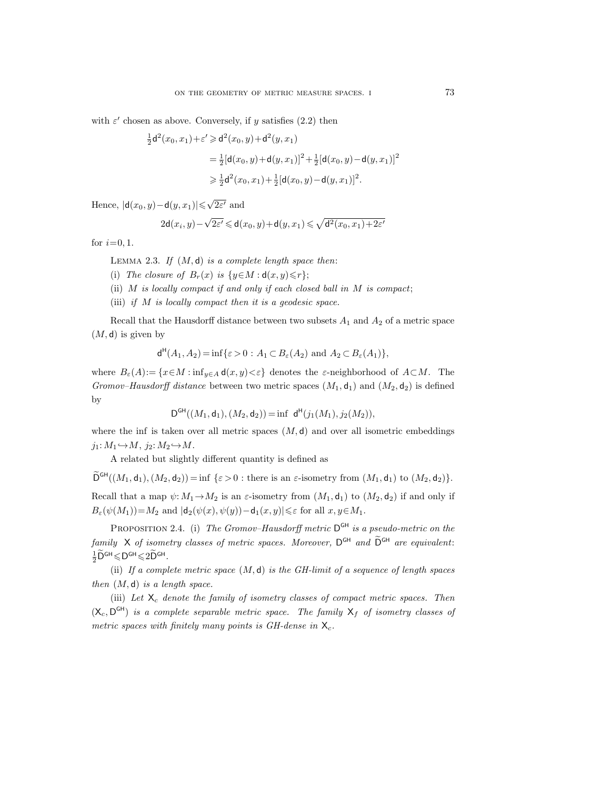with  $\varepsilon'$  chosen as above. Conversely, if y satisfies (2.2) then

$$
\frac{1}{2}d^2(x_0, x_1) + \varepsilon' \ge d^2(x_0, y) + d^2(y, x_1)
$$
  
= 
$$
\frac{1}{2}[d(x_0, y) + d(y, x_1)]^2 + \frac{1}{2}[d(x_0, y) - d(y, x_1)]^2
$$
  

$$
\ge \frac{1}{2}d^2(x_0, x_1) + \frac{1}{2}[d(x_0, y) - d(y, x_1)]^2.
$$

Hence,  $|\mathsf{d}(x_0, y) - \mathsf{d}(y, x_1)| \leq \sqrt{2\varepsilon'}$  and

$$
2\mathsf{d}(x_i,y)-\sqrt{2\varepsilon'}\leqslant \mathsf{d}(x_0,y)+\mathsf{d}(y,x_1)\leqslant \sqrt{\mathsf{d}^2(x_0,x_1)+2\varepsilon'}
$$

for  $i=0, 1$ .

Lemma 2.3. *If* (M, d) *is a complete length space then*:

- (i) *The closure of*  $B_r(x)$  *is*  $\{y \in M : d(x,y) \leq r\};$
- (ii) M *is locally compact if and only if each closed ball in* M *is compact*;
- (iii) *if* M *is locally compact then it is a geodesic space.*

Recall that the Hausdorff distance between two subsets  $A_1$  and  $A_2$  of a metric space  $(M, d)$  is given by

$$
\mathsf{d}^{\mathsf{H}}(A_1, A_2) = \inf \{ \varepsilon > 0 : A_1 \subset B_{\varepsilon}(A_2) \text{ and } A_2 \subset B_{\varepsilon}(A_1) \},
$$

where  $B_{\varepsilon}(A) := \{x \in M : \inf_{y \in A} d(x, y) < \varepsilon\}$  denotes the  $\varepsilon$ -neighborhood of  $A \subset M$ . The *Gromov–Hausdorff distance* between two metric spaces  $(M_1, d_1)$  and  $(M_2, d_2)$  is defined by

$$
D^{GH}((M_1, d_1), (M_2, d_2)) = \inf \ d^H(j_1(M_1), j_2(M_2)),
$$

where the inf is taken over all metric spaces  $(M, d)$  and over all isometric embeddings  $j_1: M_1 \hookrightarrow M$ ,  $j_2: M_2 \hookrightarrow M$ .

A related but slightly different quantity is defined as

 $\widetilde{\mathsf{D}}^{\mathsf{GH}}((M_1,\mathsf{d}_1),(M_2,\mathsf{d}_2)) = \inf \{\varepsilon > 0 : \text{there is an } \varepsilon\text{-isometry from } (M_1,\mathsf{d}_1) \text{ to } (M_2,\mathsf{d}_2)\}.$ 

Recall that a map  $\psi: M_1 \to M_2$  is an  $\varepsilon$ -isometry from  $(M_1, d_1)$  to  $(M_2, d_2)$  if and only if  $B_\varepsilon(\psi(M_1)) = M_2$  and  $|\mathsf{d}_2(\psi(x), \psi(y)) - \mathsf{d}_1(x, y)| \leq \varepsilon$  for all  $x, y \in M_1$ .

PROPOSITION 2.4. (i) *The Gromov–Hausdorff metric*  $D^{GH}$  *is a pseudo-metric on the family* X of isometry classes of metric spaces. Moreover,  $D^{GH}$  and  $\widetilde{D}^{GH}$  are equivalent:  $\frac{1}{2}\widetilde{\mathsf{D}}^{\mathsf{GH}}\leqslant\mathsf{D}^{\mathsf{GH}}\leqslant 2\widetilde{\mathsf{D}}^{\mathsf{GH}}.$ 

(ii) *If a complete metric space* (M, d) *is the GH-limit of a sequence of length spaces then* (M, d) *is a length space.*

(iii) Let  $X_c$  denote the family of isometry classes of compact metric spaces. Then  $(X_c, D^{GH})$  *is a complete separable metric space. The family*  $X_f$  *of isometry classes of metric spaces with finitely many points is GH-dense in*  $X_c$ .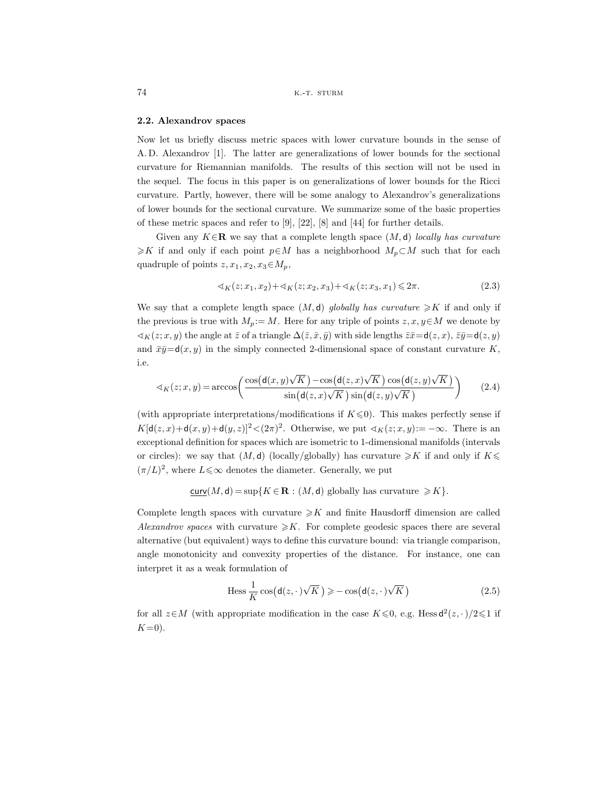#### **2.2. Alexandrov spaces**

Now let us briefly discuss metric spaces with lower curvature bounds in the sense of A. D. Alexandrov [1]. The latter are generalizations of lower bounds for the sectional curvature for Riemannian manifolds. The results of this section will not be used in the sequel. The focus in this paper is on generalizations of lower bounds for the Ricci curvature. Partly, however, there will be some analogy to Alexandrov's generalizations of lower bounds for the sectional curvature. We summarize some of the basic properties of these metric spaces and refer to [9], [22], [8] and [44] for further details.

Given any <sup>K</sup>∈**<sup>R</sup>** we say that a complete length space (M, <sup>d</sup>) *locally has curvature*  $\geq K$  if and only if each point  $p \in M$  has a neighborhood  $M_p \subset M$  such that for each quadruple of points  $z, x_1, x_2, x_3 \in M_p$ ,

$$
\langle x_K(z; x_1, x_2) + \langle x_K(z; x_2, x_3) + \langle x_K(z; x_3, x_1) \rangle \langle 2\pi. \tag{2.3}
$$

We say that a complete length space  $(M, d)$  *globally has curvature*  $\geq K$  if and only if the previous is true with  $M_p := M$ . Here for any triple of points  $z, x, y \in M$  we denote by  $\lhd_K(z; x, y)$  the angle at  $\bar{z}$  of a triangle  $\Delta(\bar{z}, \bar{x}, \bar{y})$  with side lengths  $\bar{z}\bar{x} = d(z, x), \bar{z}\bar{y} = d(z, y)$ and  $\bar{x}\bar{y}=\mathsf{d}(x,y)$  in the simply connected 2-dimensional space of constant curvature K, i.e.

$$
\langle x_K(z;x,y) = \arccos\left(\frac{\cos\left(\mathsf{d}(x,y)\sqrt{K}\right) - \cos\left(\mathsf{d}(z,x)\sqrt{K}\right)\cos\left(\mathsf{d}(z,y)\sqrt{K}\right)}{\sin\left(\mathsf{d}(z,x)\sqrt{K}\right)\sin\left(\mathsf{d}(z,y)\sqrt{K}\right)}\right) \tag{2.4}
$$

(with appropriate interpretations/modifications if  $K \leq 0$ ). This makes perfectly sense if  $K[\mathsf{d}(z,x)+\mathsf{d}(x,y)+\mathsf{d}(y,z)]^2\langle (2\pi)^2$ . Otherwise, we put  $\mathsf{d}_K(z;x,y):=-\infty$ . There is an exceptional definition for spaces which are isometric to 1-dimensional manifolds (intervals or circles): we say that  $(M, d)$  (locally/globally) has curvature  $\geq K$  if and only if  $K \leq$  $(\pi/L)^2,$  where  $L{\leqslant}\infty$  denotes the diameter. Generally, we put

$$
\underline{\text{curv}}(M,\mathsf{d}) = \sup\{K \in \mathbf{R} : (M,\mathsf{d}) \text{ globally has curvature } \geqslant K\}.
$$

Complete length spaces with curvature  $\geqslant K$  and finite Hausdorff dimension are called *Alexandrov spaces* with curvature  $\geq K$ . For complete geodesic spaces there are several alternative (but equivalent) ways to define this curvature bound: via triangle comparison, angle monotonicity and convexity properties of the distance. For instance, one can interpret it as a weak formulation of

$$
\text{Hess}\,\frac{1}{K}\cos\big(\mathsf{d}(z,\cdot)\sqrt{K}\big) \geqslant -\cos\big(\mathsf{d}(z,\cdot)\sqrt{K}\big) \tag{2.5}
$$

for all  $z \in M$  (with appropriate modification in the case  $K \leq 0$ , e.g. Hess  $d^2(z, \cdot)/2 \leq 1$  if  $K=0$ ).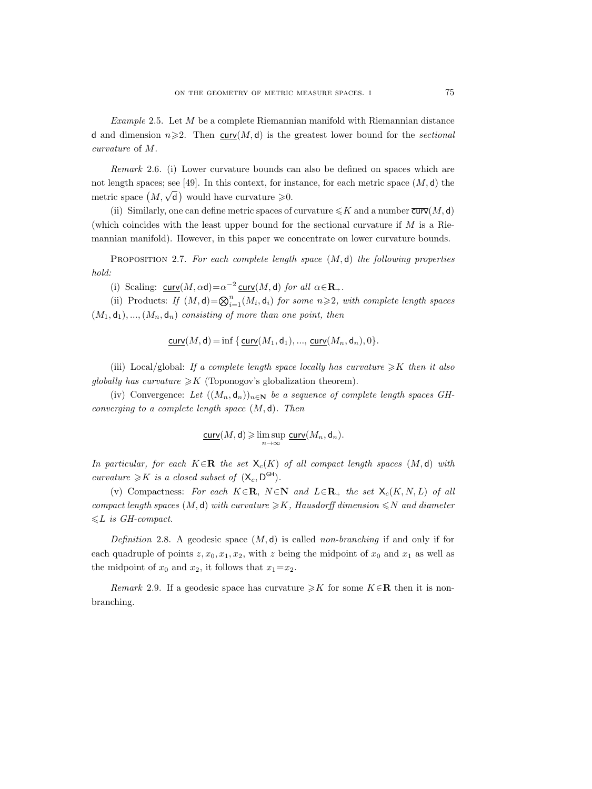*Example* 2.5. Let M be a complete Riemannian manifold with Riemannian distance d and dimension  $n \geq 2$ . Then curv(M, d) is the greatest lower bound for the *sectional curvature* of M.

*Remark* 2.6. (i) Lower curvature bounds can also be defined on spaces which are not length spaces; see [49]. In this context, for instance, for each metric space  $(M, d)$  the metric space  $(M, \sqrt{\mathsf{d}})$  would have curvature  $\geq 0$ .

(ii) Similarly, one can define metric spaces of curvature  $\leqslant K$  and a number  $\overline{\text{curv}}(M, \text{d})$ (which coincides with the least upper bound for the sectional curvature if  $M$  is a Riemannian manifold). However, in this paper we concentrate on lower curvature bounds.

Proposition 2.7. *For each complete length space* (M, d) *the following properties hold:*

(i) Scaling:  $\text{curv}(M, \alpha \mathbf{d}) = \alpha^{-2} \text{curv}(M, \mathbf{d})$  *for all*  $\alpha \in \mathbf{R}_+$ *.* 

(ii) Products: *If*  $(M, d) = \bigotimes_{i=1}^{n} (M_i, d_i)$  *for some*  $n \ge 2$ *, with complete length spaces*  $(M_1, d_1), ..., (M_n, d_n)$  *consisting of more than one point, then* 

curv $(M, d) = \inf \{ \text{curv}(M_1, d_1), ..., \text{curv}(M_n, d_n), 0 \}.$ 

(iii) Local/global: If a complete length space locally has curvature  $\geq K$  then it also *globally has curvature*  $\geq K$  (Toponogov's globalization theorem).

(iv) Convergence: Let  $((M_n, d_n))_{n \in \mathbb{N}}$  be a sequence of complete length spaces GH*converging to a complete length space* (M, d)*. Then*

$$
\underline{\operatorname{curv}}(M,\mathsf{d}) \geqslant \limsup_{n \to \infty} \underline{\operatorname{curv}}(M_n,\mathsf{d}_n).
$$

*In particular, for each*  $K \in \mathbb{R}$  *the set*  $X_c(K)$  *of all compact length spaces*  $(M, d)$  *with curvature*  $\geq K$  *is a closed subset of*  $(X_c, D^{GH})$ *.* 

(v) Compactness: For each  $K \in \mathbb{R}$ ,  $N \in \mathbb{N}$  and  $L \in \mathbb{R}_+$  the set  $\mathsf{X}_c(K, N, L)$  of all  $compact$  length spaces  $(M, d)$  with curvature  $\geq K$ , Hausdorff dimension  $\leq N$  and diameter  $\leq L$  *is GH-compact.* 

*Definition* 2.8. A geodesic space (M, d) is called *non-branching* if and only if for each quadruple of points  $z, x_0, x_1, x_2$ , with z being the midpoint of  $x_0$  and  $x_1$  as well as the midpoint of  $x_0$  and  $x_2$ , it follows that  $x_1=x_2$ .

*Remark* 2.9. If a geodesic space has curvature  $\geq K$  for some  $K \in \mathbb{R}$  then it is nonbranching.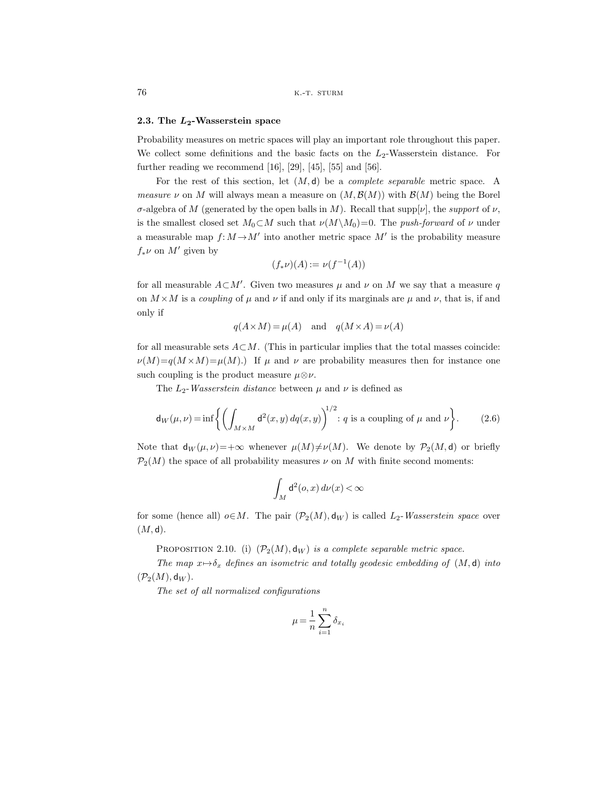## **2.3. The** *L***2-Wasserstein space**

Probability measures on metric spaces will play an important role throughout this paper. We collect some definitions and the basic facts on the  $L_2$ -Wasserstein distance. For further reading we recommend  $[16]$ ,  $[29]$ ,  $[45]$ ,  $[55]$  and  $[56]$ .

For the rest of this section, let (M, d) be a *complete separable* metric space. A *measure*  $\nu$  on M will always mean a measure on  $(M, \mathcal{B}(M))$  with  $\mathcal{B}(M)$  being the Borel σ-algebra of M (generated by the open balls in M). Recall that supp[ν], the *support* of ν, is the smallest closed set  $M_0 \subset M$  such that  $\nu(M\setminus M_0)=0$ . The *push-forward* of  $\nu$  under a measurable map  $f: M \rightarrow M'$  into another metric space M' is the probability measure  $f_*\nu$  on  $M'$  given by

$$
(f_*\nu)(A) := \nu(f^{-1}(A))
$$

for all measurable  $A\subset M'$ . Given two measures  $\mu$  and  $\nu$  on  $M$  we say that a measure  $q$ on  $M \times M$  is a *coupling* of  $\mu$  and  $\nu$  if and only if its marginals are  $\mu$  and  $\nu$ , that is, if and only if

$$
q(A \times M) = \mu(A) \quad \text{and} \quad q(M \times A) = \nu(A)
$$

for all measurable sets  $A \subset M$ . (This in particular implies that the total masses coincide:  $\nu(M)=q(M\times M)=\mu(M).$  If  $\mu$  and  $\nu$  are probability measures then for instance one such coupling is the product measure  $\mu \otimes \nu$ .

The  $L_2$ -*Wasserstein distance* between  $\mu$  and  $\nu$  is defined as

$$
\mathsf{d}_W(\mu,\nu) = \inf \left\{ \left( \int_{M \times M} \mathsf{d}^2(x,y) \, dq(x,y) \right)^{1/2} : q \text{ is a coupling of } \mu \text{ and } \nu \right\}. \tag{2.6}
$$

Note that  $d_W(\mu, \nu)=+\infty$  whenever  $\mu(M)\neq \nu(M)$ . We denote by  $\mathcal{P}_2(M, d)$  or briefly  $\mathcal{P}_2(M)$  the space of all probability measures  $\nu$  on M with finite second moments:

$$
\int_M \mathrm{d}^2(o,x)\,d\nu(x)\!<\!\infty
$$

for some (hence all)  $o \in M$ . The pair  $(\mathcal{P}_2(M), \mathsf{d}_W)$  is called  $L_2$ -*Wasserstein space* over  $(M, d).$ 

PROPOSITION 2.10. (i)  $(\mathcal{P}_2(M), \mathsf{d}_W)$  *is a complete separable metric space.* 

*The map*  $x \mapsto \delta_x$  *defines an isometric and totally geodesic embedding of*  $(M, d)$  *into*  $(\mathcal{P}_2(M), \mathsf{d}_W)$ .

*The set of all normalized configurations*

$$
\mu = \frac{1}{n} \sum_{i=1}^{n} \delta_{x_i}
$$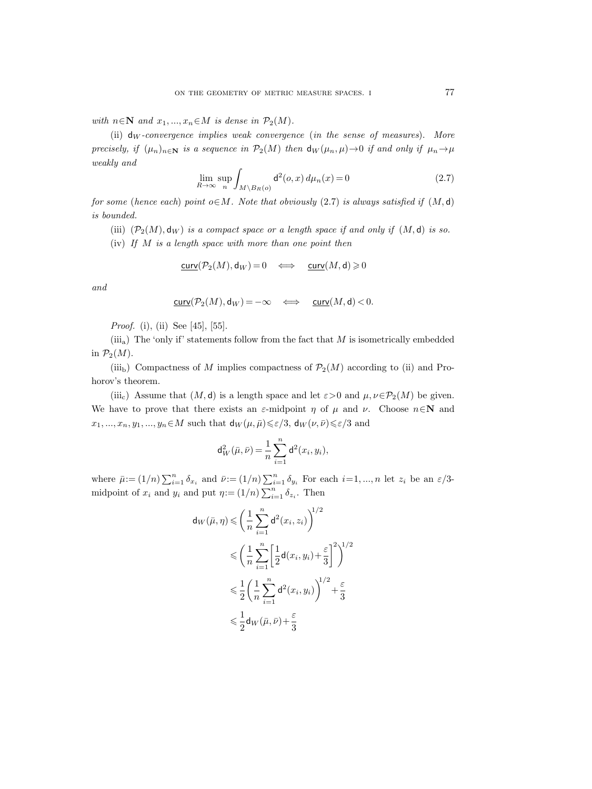*with*  $n \in \mathbb{N}$  *and*  $x_1, ..., x_n \in M$  *is dense in*  $\mathcal{P}_2(M)$ *.* 

(ii) d<sup>W</sup> *-convergence implies weak convergence* (*in the sense of measures*). *More precisely, if*  $(\mu_n)_{n\in\mathbb{N}}$  *is a sequence in*  $\mathcal{P}_2(M)$  *then*  $d_W(\mu_n, \mu) \to 0$  *if and only if*  $\mu_n \to \mu$ *weakly and*

$$
\lim_{R \to \infty} \sup_n \int_{M \setminus B_R(o)} \mathsf{d}^2(o, x) \, d\mu_n(x) = 0 \tag{2.7}
$$

*for some* (*hence each*) *point*  $o \in M$ *. Note that obviously* (2.7) *is always satisfied if*  $(M, d)$ *is bounded.*

(iii)  $(\mathcal{P}_2(M), \mathsf{d}_W)$  *is a compact space or a length space if and only if*  $(M, \mathsf{d})$  *is so.* 

(iv) *If* M *is a length space with more than one point then*

$$
\underline{\operatorname{curv}}(\mathcal{P}_2(M),\mathrm{d}_W)=0\quad\Longleftrightarrow\quad\underline{\operatorname{curv}}(M,\mathrm{d})\geqslant 0
$$

*and*

$$
\underline{\operatorname{curv}}(\mathcal{P}_2(M),\mathrm{d}_W)=-\infty\quad\Longleftrightarrow\quad\underline{\operatorname{curv}}(M,\mathrm{d})<0.
$$

*Proof.* (i), (ii) See [45], [55].

(iii<sub>a</sub>) The 'only if' statements follow from the fact that  $M$  is isometrically embedded in  $\mathcal{P}_2(M)$ .

(iii<sub>b</sub>) Compactness of M implies compactness of  $\mathcal{P}_2(M)$  according to (ii) and Prohorov's theorem.

(iii<sub>c</sub>) Assume that  $(M, d)$  is a length space and let  $\varepsilon > 0$  and  $\mu, \nu \in \mathcal{P}_2(M)$  be given. We have to prove that there exists an  $\varepsilon$ -midpoint  $\eta$  of  $\mu$  and  $\nu$ . Choose  $n \in \mathbb{N}$  and  $x_1, ..., x_n, y_1, ..., y_n \in M$  such that  $\mathsf{d}_W(\mu, \bar{\mu}) \leq \varepsilon/3$ ,  $\mathsf{d}_W(\nu, \bar{\nu}) \leq \varepsilon/3$  and

$$
d_W^2(\bar{\mu}, \bar{\nu}) = \frac{1}{n} \sum_{i=1}^n d^2(x_i, y_i),
$$

where  $\bar{\mu} := (1/n) \sum_{i=1}^n \delta_{x_i}$  and  $\bar{\nu} := (1/n) \sum_{i=1}^n \delta_{y_i}$  For each  $i=1,...,n$  let  $z_i$  be an  $\varepsilon/3$ midpoint of  $x_i$  and  $y_i$  and put  $\eta := (1/n) \sum_{i=1}^n \delta_{z_i}$ . Then

$$
\mathsf{d}_W(\bar{\mu}, \eta) \leqslant \left(\frac{1}{n}\sum_{i=1}^n \mathsf{d}^2(x_i, z_i)\right)^{1/2}
$$
\n
$$
\leqslant \left(\frac{1}{n}\sum_{i=1}^n \left[\frac{1}{2}\mathsf{d}(x_i, y_i) + \frac{\varepsilon}{3}\right]^2\right)^{1/2}
$$
\n
$$
\leqslant \frac{1}{2}\left(\frac{1}{n}\sum_{i=1}^n \mathsf{d}^2(x_i, y_i)\right)^{1/2} + \frac{\varepsilon}{3}
$$
\n
$$
\leqslant \frac{1}{2}\mathsf{d}_W(\bar{\mu}, \bar{\nu}) + \frac{\varepsilon}{3}
$$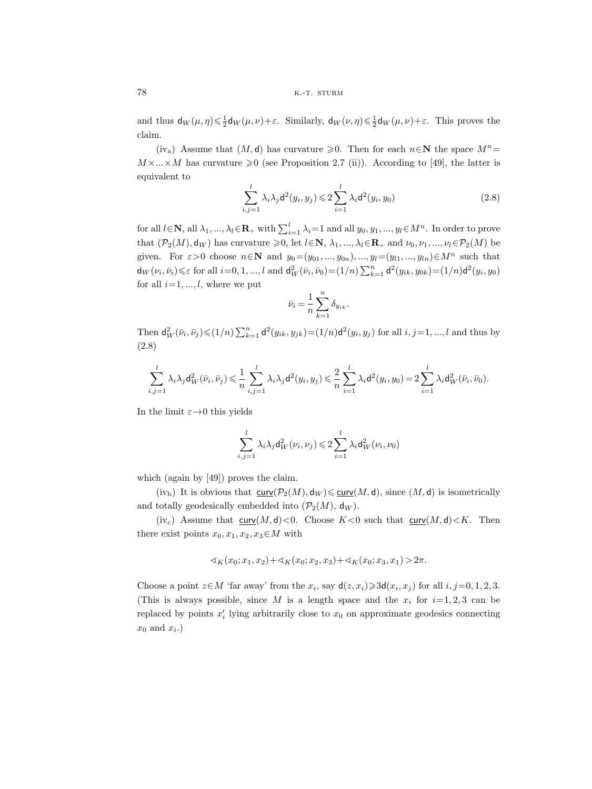and thus  $d_W(\mu, \eta) \leq \frac{1}{2} d_W(\mu, \nu) + \varepsilon$ . Similarly,  $d_W(\nu, \eta) \leq \frac{1}{2} d_W(\mu, \nu) + \varepsilon$ . This proves the claim.

(iv<sub>a</sub>) Assume that  $(M, d)$  has curvature  $\geq 0$ . Then for each  $n \in \mathbb{N}$  the space  $M^n =$  $M \times ... \times M$  has curvature  $\geq 0$  (see Proposition 2.7 (ii)). According to [49], the latter is equivalent to

$$
\sum_{i,j=1}^{l} \lambda_i \lambda_j \mathsf{d}^2(y_i, y_j) \leqslant 2 \sum_{i=1}^{l} \lambda_i \mathsf{d}^2(y_i, y_0) \tag{2.8}
$$

for all  $l \in \mathbb{N}$ , all  $\lambda_1, ..., \lambda_l \in \mathbb{R}_+$  with  $\sum_{i=1}^l \lambda_i = 1$  and all  $y_0, y_1, ..., y_l \in M^n$ . In order to prove that  $(\mathcal{P}_2(M), \mathsf{d}_W)$  has curvature  $\geq 0$ , let  $l \in \mathbb{N}$ ,  $\lambda_1, ..., \lambda_l \in \mathbb{R}_+$  and  $\nu_0, \nu_1, ..., \nu_l \in \mathcal{P}_2(M)$  be given. For  $\varepsilon > 0$  choose  $n \in \mathbb{N}$  and  $y_0 = (y_{01}, ..., y_{0n}), ..., y_l = (y_{l1}, ..., y_{ln}) \in M^n$  such that  $\mathsf{d}_{W}(v_{i},\bar{v}_{i}) \leq \varepsilon$  for all  $i=0,1,...,l$  and  $\mathsf{d}_{W}^{2}(\bar{v}_{i},\bar{v}_{0}) = (1/n)\sum_{k=1}^{n} \mathsf{d}^{2}(y_{ik}, y_{0k}) = (1/n)\mathsf{d}^{2}(y_{i}, y_{0})$ for all  $i=1, ..., l$ , where we put

$$
\bar{\nu}_i = \frac{1}{n} \sum_{k=1}^n \delta_{y_{ik}}.
$$

Then  $d_W^2(\bar{\nu}_i, \bar{\nu}_j) \leq (1/n) \sum_{k=1}^n d^2(y_{ik}, y_{jk}) = (1/n) d^2(y_i, y_j)$  for all  $i, j = 1, ..., l$  and thus by (2.8)

$$
\sum_{i,j=1}^l \lambda_i\lambda_j \mathsf{d}_W^2(\bar{\nu}_i,\bar{\nu}_j) \leqslant \frac{1}{n} \sum_{i,j=1}^l \lambda_i\lambda_j \mathsf{d}^2(y_i,y_j) \leqslant \frac{2}{n} \sum_{i=1}^l \lambda_i \mathsf{d}^2(y_i,y_0) = 2 \sum_{i=1}^l \lambda_i \mathsf{d}_W^2(\bar{\nu}_i,\bar{\nu}_0).
$$

In the limit  $\varepsilon \rightarrow 0$  this yields

$$
\sum_{i,j=1}^l \lambda_i \lambda_j d_W^2(\nu_i, \nu_j) \leq 2 \sum_{i=1}^l \lambda_i d_W^2(\nu_i, \nu_0)
$$

which (again by [49]) proves the claim.

 $(iv<sub>b</sub>)$  It is obvious that  $\underline{curv}(\mathcal{P}_2(M), \mathsf{d}_W) \leq \underline{curv}(M, \mathsf{d})$ , since  $(M, \mathsf{d})$  is isometrically and totally geodesically embedded into  $(\mathcal{P}_2(M), \mathsf{d}_W)$ .

(iv<sub>c</sub>) Assume that  $\underline{\text{curv}}(M, d) < 0$ . Choose  $K < 0$  such that  $\underline{\text{curv}}(M, d) < K$ . Then there exist points  $x_0, x_1, x_2, x_3 \in M$  with

$$
\langle x_1(x_0; x_1, x_2) + x_1(x_0; x_2, x_3) + x_1(x_0; x_3, x_1) \rangle 2\pi.
$$

Choose a point  $z \in M$  'far away' from the  $x_i$ , say  $d(z, x_i) \geq 3d(x_i, x_j)$  for all  $i, j=0, 1, 2, 3$ . (This is always possible, since M is a length space and the  $x_i$  for  $i=1, 2, 3$  can be replaced by points  $x_i'$  lying arbitrarily close to  $x_0$  on approximate geodesics connecting  $x_0$  and  $x_i$ .)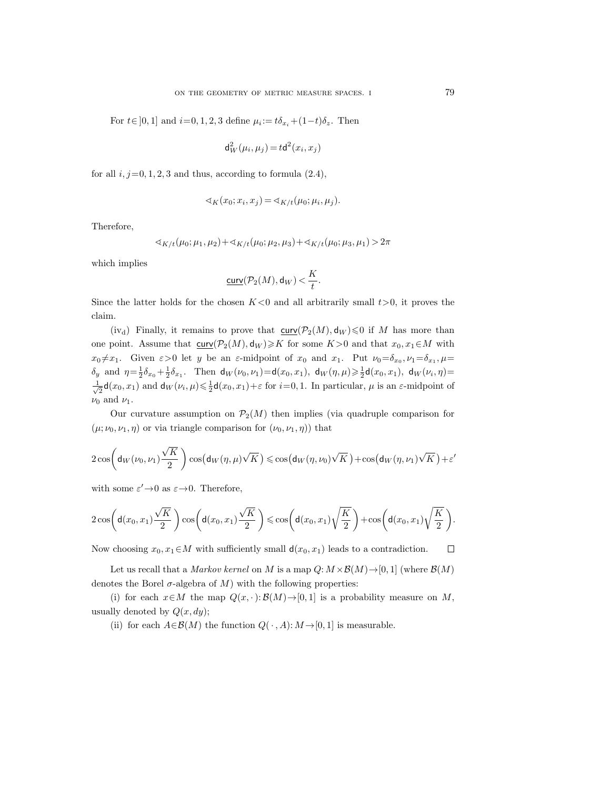For  $t \in [0, 1]$  and  $i=0, 1, 2, 3$  define  $\mu_i := t \delta_{x_i} + (1-t) \delta_{z_i}$ . Then

$$
\mathsf{d}_W^2(\mu_i,\mu_j) \,{=}\, t \mathsf{d}^2(x_i,x_j)
$$

for all  $i, j=0, 1, 2, 3$  and thus, according to formula  $(2.4)$ ,

$$
\sphericalangle_K(x_0; x_i, x_j) = \sphericalangle_{K/t}(\mu_0; \mu_i, \mu_j).
$$

Therefore,

$$
\langle K/t(\mu_0;\mu_1,\mu_2)+\langle K/t(\mu_0;\mu_2,\mu_3)+\langle K/t(\mu_0;\mu_3,\mu_1)\rangle\Big)\rangle 2\pi
$$

which implies

$$
\underline{\operatorname{curv}}(\mathcal{P}_2(M),\mathrm{d}_W) < \frac{K}{t}.
$$

Since the latter holds for the chosen  $K<0$  and all arbitrarily small  $t>0$ , it proves the claim.

(iv<sub>d</sub>) Finally, it remains to prove that  $\underline{\text{curv}}(\mathcal{P}_2(M),\mathsf{d}_W){\leqslant}0$  if M has more than one point. Assume that  $\underline{\text{cur}}(\mathcal{P}_2(M), \mathsf{d}_W) \geqslant K$  for some  $K>0$  and that  $x_0, x_1 \in M$  with  $x_0 \neq x_1$ . Given  $\varepsilon > 0$  let y be an  $\varepsilon$ -midpoint of  $x_0$  and  $x_1$ . Put  $\nu_0 = \delta_{x_0}, \nu_1 = \delta_{x_1}, \mu =$  $\delta_y$  and  $\eta = \frac{1}{2}\delta_{x_0} + \frac{1}{2}\delta_{x_1}$ . Then  $d_W(\nu_0, \nu_1) = d(x_0, x_1)$ ,  $d_W(\eta, \mu) \geq \frac{1}{2}d(x_0, x_1)$ ,  $d_W(\nu_i, \eta) =$  $\frac{1}{\sqrt{2}}\mathsf{d}(x_0,x_1)$  and  $\mathsf{d}_W(\nu_i,\mu) \leq \frac{1}{2}\mathsf{d}(x_0,x_1) + \varepsilon$  for  $i=0,1$ . In particular,  $\mu$  is an  $\varepsilon$ -midpoint of  $\nu_0$  and  $\nu_1$ .

Our curvature assumption on  $\mathcal{P}_2(M)$  then implies (via quadruple comparison for  $(\mu; \nu_0, \nu_1, \eta)$  or via triangle comparison for  $(\nu_0, \nu_1, \eta)$  that

$$
2\cos\left(\mathsf{d}_{W}(\nu_0,\nu_1)\frac{\sqrt{K}}{2}\right)\cos\left(\mathsf{d}_{W}(\eta,\mu)\sqrt{K}\right) \leqslant \cos\left(\mathsf{d}_{W}(\eta,\nu_0)\sqrt{K}\right) + \cos\left(\mathsf{d}_{W}(\eta,\nu_1)\sqrt{K}\right) + \varepsilon'
$$

with some  $\varepsilon' \rightarrow 0$  as  $\varepsilon \rightarrow 0$ . Therefore,

$$
2\cos\left(\mathsf{d}(x_0,x_1)\frac{\sqrt{K}}{2}\right)\cos\left(\mathsf{d}(x_0,x_1)\frac{\sqrt{K}}{2}\right)\leqslant \cos\left(\mathsf{d}(x_0,x_1)\sqrt{\frac{K}{2}}\right)+\cos\left(\mathsf{d}(x_0,x_1)\sqrt{\frac{K}{2}}\right).
$$

Now choosing  $x_0, x_1 \in M$  with sufficiently small  $d(x_0, x_1)$  leads to a contradiction.  $\Box$ 

Let us recall that a *Markov kernel* on M is a map  $Q: M \times \mathcal{B}(M) \rightarrow [0, 1]$  (where  $\mathcal{B}(M)$ ) denotes the Borel  $\sigma$ -algebra of M) with the following properties:

(i) for each  $x \in M$  the map  $Q(x, \cdot): \mathcal{B}(M) \to [0, 1]$  is a probability measure on M, usually denoted by  $Q(x, dy)$ ;

(ii) for each  $A \in \mathcal{B}(M)$  the function  $Q(\cdot, A) : M \to [0, 1]$  is measurable.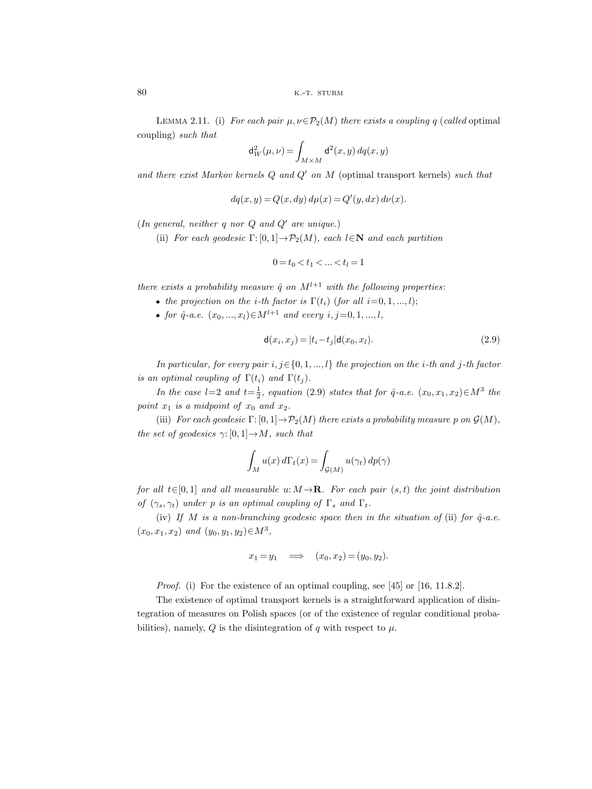LEMMA 2.11. (i) *For each pair*  $\mu, \nu \in \mathcal{P}_2(M)$  *there exists a coupling q (called optimal* coupling) *such that*

$$
\textup{\textsf{d}}^2_W(\mu,\nu)\,{=}\int_{M\times M}\textup{\textsf{d}}^2(x,y)\,dq(x,y)
$$

*and there exist Markov kernels* Q *and* Q *on* M (optimal transport kernels) *such that*

$$
dq(x, y) = Q(x, dy) d\mu(x) = Q'(y, dx) d\nu(x).
$$

(*In general, neither*  $q$  *nor*  $Q$  *and*  $Q'$  *are unique.*)

(ii) *For each geodesic*  $\Gamma: [0, 1] \to \mathcal{P}_2(M)$ *, each*  $l \in \mathbb{N}$  *and each partition* 

$$
0 = t_0 < t_1 < \ldots < t_l = 1
$$

*there exists a probability measure*  $\hat{q}$  *on*  $M^{l+1}$  *with the following properties:* 

- the projection on the *i*-th factor is  $\Gamma(t_i)$  (for all  $i=0, 1, ..., l$ );
- for  $\hat{q}$ -a.e.  $(x_0, ..., x_l) \in M^{l+1}$  *and every*  $i, j = 0, 1, ..., l$ ,

 $\ddot{\phantom{a}}$ 

$$
\mathsf{d}(x_i, x_j) = |t_i - t_j| \mathsf{d}(x_0, x_l). \tag{2.9}
$$

*In particular, for every pair* i, j∈{0, <sup>1</sup>, ..., l} *the projection on the* <sup>i</sup>*-th and* <sup>j</sup>*-th factor is an optimal coupling of*  $\Gamma(t_i)$  *and*  $\Gamma(t_i)$ *.* 

*In the case*  $l=2$  *and*  $t=\frac{1}{2}$ *, equation* (2.9) *states that for*  $\hat{q}$ -*a.e.*  $(x_0, x_1, x_2) \in M^3$  *the point*  $x_1$  *is a midpoint of*  $x_0$  *and*  $x_2$ *.* 

(iii) *For each geodesic*  $\Gamma$ : [0, 1]  $\rightarrow$   $\mathcal{P}_2(M)$  *there exists a probability measure* p *on*  $\mathcal{G}(M)$ *, the set of geodesics*  $\gamma$ : [0, 1]  $\rightarrow$  *M, such that* 

$$
\int_M u(x) d\Gamma_t(x) = \int_{\mathcal{G}(M)} u(\gamma_t) dp(\gamma)
$$

*for all*  $t \in [0, 1]$  *and all measurable* u:  $M \rightarrow \mathbb{R}$ *. For each pair*  $(s, t)$  *the joint distribution of*  $(\gamma_s, \gamma_t)$  *under p is an optimal coupling of*  $\Gamma_s$  *and*  $\Gamma_t$ *.* 

(iv) If M is a non-branching geodesic space then in the situation of (ii) for  $\hat{q}$ -a.e.  $(x_0, x_1, x_2)$  *and*  $(y_0, y_1, y_2) \in M^3$ ,

$$
x_1 = y_1 \quad \Longrightarrow \quad (x_0, x_2) = (y_0, y_2).
$$

*Proof.* (i) For the existence of an optimal coupling, see [45] or [16, 11.8.2].

The existence of optimal transport kernels is a straightforward application of disintegration of measures on Polish spaces (or of the existence of regular conditional probabilities), namely, Q is the disintegration of q with respect to  $\mu$ .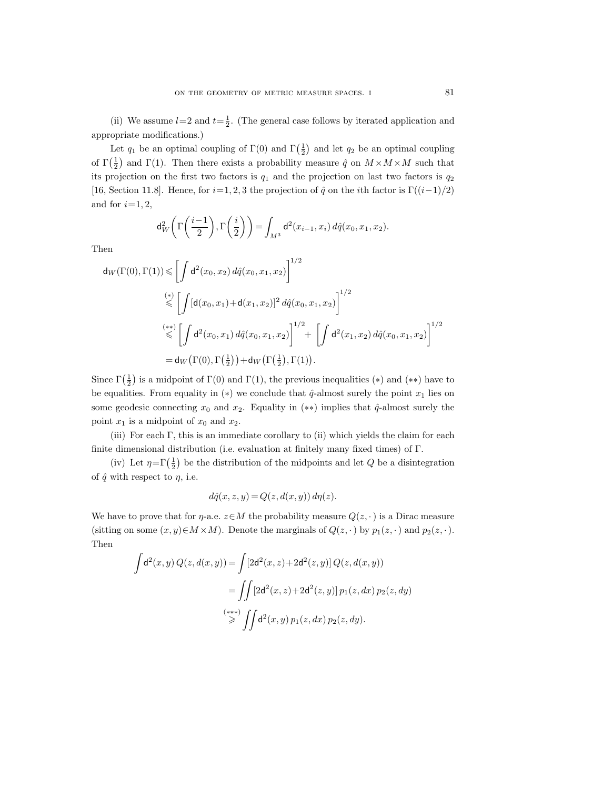(ii) We assume  $l=2$  and  $t=\frac{1}{2}$ . (The general case follows by iterated application and appropriate modifications.)

Let  $q_1$  be an optimal coupling of  $\Gamma(0)$  and  $\Gamma(\frac{1}{2})$  and let  $q_2$  be an optimal coupling of  $\Gamma(\frac{1}{2})$  and  $\Gamma(1)$ . Then there exists a probability measure  $\hat{q}$  on  $M \times M \times M$  such that its projection on the first two factors is  $q_1$  and the projection on last two factors is  $q_2$ [16, Section 11.8]. Hence, for  $i=1, 2, 3$  the projection of  $\hat{q}$  on the *i*th factor is  $\Gamma((i-1)/2)$ and for  $i=1, 2$ ,

$$
\mathrm{d}_{W}^{2}\left(\Gamma\left(\frac{i-1}{2}\right),\Gamma\left(\frac{i}{2}\right)\right)=\int_{M^{3}}\mathrm{d}^{2}(x_{i-1},x_{i})\,d\hat{q}(x_{0},x_{1},x_{2}).
$$

Then

$$
\begin{split} \mathsf{d}_{W}(\Gamma(0),\Gamma(1)) &\leq \left[ \int \mathsf{d}^{2}(x_{0},x_{2}) \, d\hat{q}(x_{0},x_{1},x_{2}) \right]^{1/2} \\ &\leqslant \left[ \int [\mathsf{d}(x_{0},x_{1}) + \mathsf{d}(x_{1},x_{2})]^{2} \, d\hat{q}(x_{0},x_{1},x_{2}) \right]^{1/2} \\ &\leqslant \left[ \int \mathsf{d}^{2}(x_{0},x_{1}) \, d\hat{q}(x_{0},x_{1},x_{2}) \right]^{1/2} + \left[ \int \mathsf{d}^{2}(x_{1},x_{2}) \, d\hat{q}(x_{0},x_{1},x_{2}) \right]^{1/2} \\ &= \mathsf{d}_{W}\big(\Gamma(0),\Gamma\left(\frac{1}{2}\right)\big) + \mathsf{d}_{W}\big(\Gamma\left(\frac{1}{2}\right),\Gamma(1)\big). \end{split}
$$

Since  $\Gamma(\frac{1}{2})$  is a midpoint of  $\Gamma(0)$  and  $\Gamma(1)$ , the previous inequalities (\*) and (\*\*) have to be equalities. From equality in  $(*)$  we conclude that  $\hat{q}$ -almost surely the point  $x_1$  lies on some geodesic connecting  $x_0$  and  $x_2$ . Equality in  $(**)$  implies that  $\hat{q}$ -almost surely the point  $x_1$  is a midpoint of  $x_0$  and  $x_2$ .

(iii) For each Γ, this is an immediate corollary to (ii) which yields the claim for each finite dimensional distribution (i.e. evaluation at finitely many fixed times) of Γ.

(iv) Let  $\eta = \Gamma(\frac{1}{2})$  be the distribution of the midpoints and let Q be a disintegration of  $\hat{q}$  with respect to  $\eta$ , i.e.

$$
d\hat{q}(x, z, y) = Q(z, d(x, y)) d\eta(z).
$$

We have to prove that for  $\eta$ -a.e.  $z \in M$  the probability measure  $Q(z, \cdot)$  is a Dirac measure (sitting on some  $(x, y) \in M \times M$ ). Denote the marginals of  $Q(z, \cdot)$  by  $p_1(z, \cdot)$  and  $p_2(z, \cdot)$ . Then

$$
\int d^2(x, y) Q(z, d(x, y)) = \int [2d^2(x, z) + 2d^2(z, y)] Q(z, d(x, y))
$$
  
= 
$$
\iint [2d^2(x, z) + 2d^2(z, y)] p_1(z, dx) p_2(z, dy)
$$
  

$$
\stackrel{(***)}{\geq} \iint d^2(x, y) p_1(z, dx) p_2(z, dy).
$$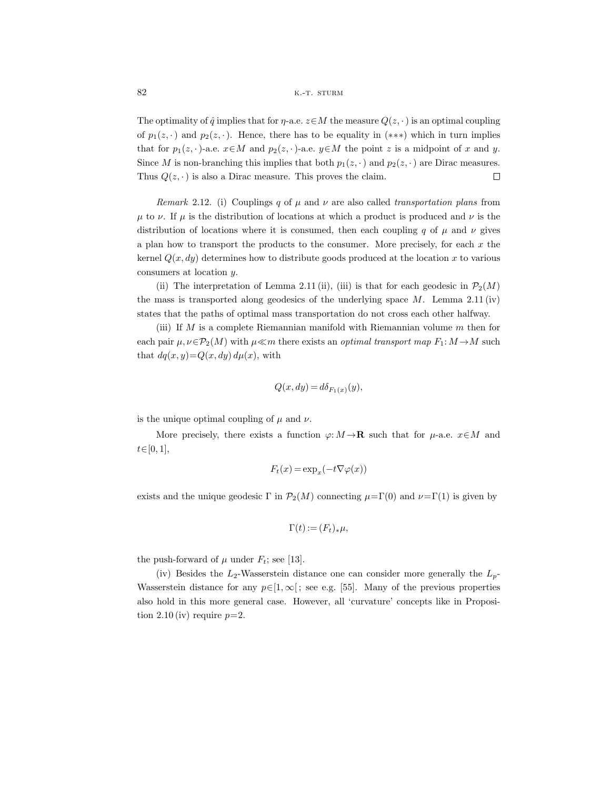The optimality of  $\hat{q}$  implies that for  $\eta$ -a.e.  $z \in M$  the measure  $Q(z, \cdot)$  is an optimal coupling of  $p_1(z, \cdot)$  and  $p_2(z, \cdot)$ . Hence, there has to be equality in (\*\*\*) which in turn implies that for  $p_1(z, \cdot)$ -a.e.  $x \in M$  and  $p_2(z, \cdot)$ -a.e.  $y \in M$  the point z is a midpoint of x and y. Since M is non-branching this implies that both  $p_1(z, \cdot)$  and  $p_2(z, \cdot)$  are Dirac measures. Thus  $Q(z, \cdot)$  is also a Dirac measure. This proves the claim.  $\Box$ 

*Remark* 2.12. (i) Couplings q of  $\mu$  and  $\nu$  are also called *transportation plans* from  $\mu$  to  $\nu$ . If  $\mu$  is the distribution of locations at which a product is produced and  $\nu$  is the distribution of locations where it is consumed, then each coupling q of  $\mu$  and  $\nu$  gives a plan how to transport the products to the consumer. More precisely, for each  $x$  the kernel  $Q(x, dy)$  determines how to distribute goods produced at the location x to various consumers at location y.

(ii) The interpretation of Lemma 2.11 (ii), (iii) is that for each geodesic in  $\mathcal{P}_2(M)$ the mass is transported along geodesics of the underlying space  $M$ . Lemma 2.11 (iv) states that the paths of optimal mass transportation do not cross each other halfway.

(iii) If  $M$  is a complete Riemannian manifold with Riemannian volume  $m$  then for each pair  $\mu, \nu \in \mathcal{P}_2(M)$  with  $\mu \ll m$  there exists an *optimal transport map*  $F_1: M \to M$  such that  $dq(x, y) = Q(x, dy) d\mu(x)$ , with

$$
Q(x, dy) = d\delta_{F_1(x)}(y),
$$

is the unique optimal coupling of  $\mu$  and  $\nu$ .

More precisely, there exists a function  $\varphi: M \to \mathbf{R}$  such that for  $\mu$ -a.e.  $x \in M$  and  $t \in [0, 1],$ 

$$
F_t(x) = \exp_x(-t\nabla\varphi(x))
$$

exists and the unique geodesic Γ in  $\mathcal{P}_2(M)$  connecting  $\mu = \Gamma(0)$  and  $\nu = \Gamma(1)$  is given by

$$
\Gamma(t) := (F_t)_*\mu,
$$

the push-forward of  $\mu$  under  $F_t$ ; see [13].

(iv) Besides the  $L_2$ -Wasserstein distance one can consider more generally the  $L_p$ -Wasserstein distance for any  $p \in [1,\infty]$ ; see e.g. [55]. Many of the previous properties also hold in this more general case. However, all 'curvature' concepts like in Proposition 2.10 (iv) require  $p=2$ .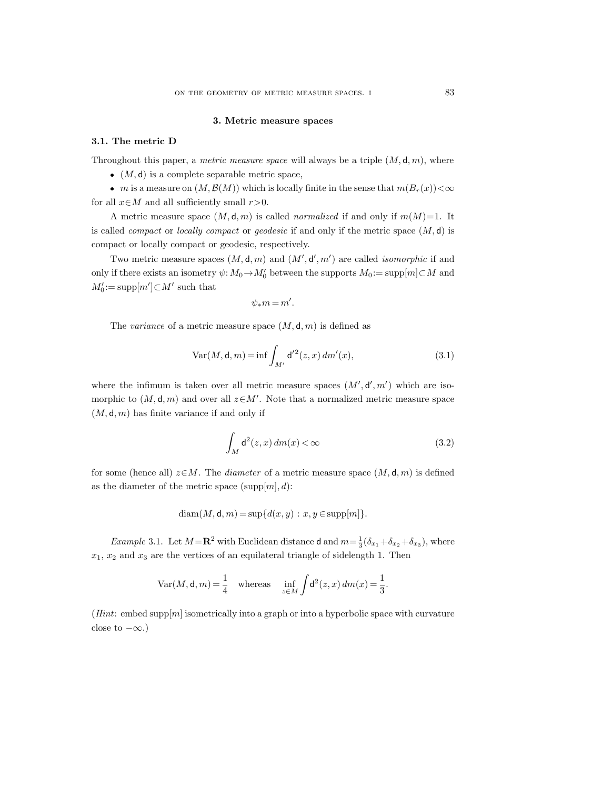#### **3. Metric measure spaces**

#### **3.1. The metric D**

Throughout this paper, a *metric measure space* will always be a triple  $(M, d, m)$ , where

- $(M, d)$  is a complete separable metric space,
- m is a measure on  $(M, \mathcal{B}(M))$  which is locally finite in the sense that  $m(B_r(x)) < \infty$ for all  $x \in M$  and all sufficiently small  $r > 0$ .

A metric measure space  $(M, d, m)$  is called *normalized* if and only if  $m(M)=1$ . It is called *compact* or *locally compact* or *geodesic* if and only if the metric space (M, d) is compact or locally compact or geodesic, respectively.

Two metric measure spaces  $(M, d, m)$  and  $(M', d', m')$  are called *isomorphic* if and only if there exists an isometry  $\psi: M_0 \to M'_0$  between the supports  $M_0 := \text{supp}[m] \subset M$  and  $M_0'\!:=\!\mathrm{supp}[m']\!\subset\!M'$  such that

$$
\psi_{*}m=m'.
$$

The *variance* of a metric measure space  $(M, d, m)$  is defined as

$$
Var(M, d, m) = \inf \int_{M'} d'^2(z, x) \, dm'(x),\tag{3.1}
$$

where the infimum is taken over all metric measure spaces  $(M', d', m')$  which are isomorphic to  $(M, d, m)$  and over all  $z \in M'$ . Note that a normalized metric measure space  $(M, d, m)$  has finite variance if and only if

$$
\int_{M} \mathsf{d}^{2}(z, x) \, dm(x) < \infty \tag{3.2}
$$

for some (hence all)  $z \in M$ . The *diameter* of a metric measure space  $(M, d, m)$  is defined as the diameter of the metric space  $(supp[m], d)$ :

$$
diam(M, \mathbf{d}, m) = sup{d(x, y) : x, y \in supp[m]}.
$$

*Example* 3.1. Let  $M = \mathbb{R}^2$  with Euclidean distance **d** and  $m = \frac{1}{3}(\delta_{x_1} + \delta_{x_2} + \delta_{x_3})$ , where  $x_1, x_2$  and  $x_3$  are the vertices of an equilateral triangle of sidelength 1. Then

$$
\text{Var}(M, \mathbf{d}, m) = \frac{1}{4} \quad \text{whereas} \quad \inf_{z \in M} \int \mathbf{d}^2(z, x) \, dm(x) = \frac{1}{3}.
$$

 $(Hint: embed supp[m] isometrically into a graph or into a hyperbolic space with curvature$ close to  $-\infty$ .)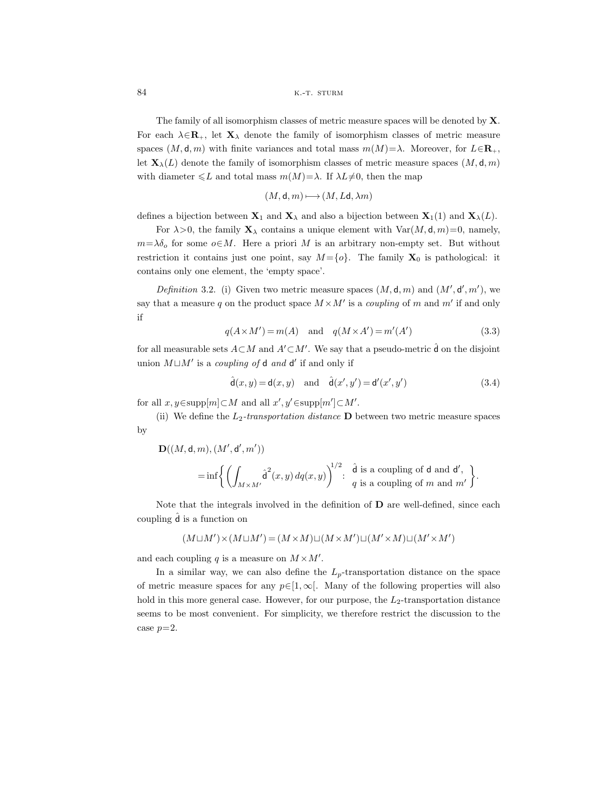The family of all isomorphism classes of metric measure spaces will be denoted by **X**. For each  $\lambda \in \mathbf{R}_+$ , let  $\mathbf{X}_\lambda$  denote the family of isomorphism classes of metric measure spaces  $(M, \mathsf{d}, m)$  with finite variances and total mass  $m(M)=\lambda$ . Moreover, for  $L\in\mathbf{R}_+$ , let  $\mathbf{X}_{\lambda}(L)$  denote the family of isomorphism classes of metric measure spaces  $(M, \mathsf{d}, m)$ with diameter  $\leq L$  and total mass  $m(M)=\lambda$ . If  $\lambda L\neq 0$ , then the map

$$
(M,\mathsf{d},m)\,{\longmapsto}\,(M,L\mathsf{d},\lambda m)
$$

defines a bijection between  $\mathbf{X}_1$  and  $\mathbf{X}_\lambda$  and also a bijection between  $\mathbf{X}_1(1)$  and  $\mathbf{X}_\lambda(L)$ .

For  $\lambda > 0$ , the family  $\mathbf{X}_{\lambda}$  contains a unique element with  $\text{Var}(M, \mathsf{d}, m) = 0$ , namely,  $m=\lambda\delta_o$  for some  $o\in M$ . Here a priori M is an arbitrary non-empty set. But without restriction it contains just one point, say  $M = \{o\}$ . The family  $X_0$  is pathological: it contains only one element, the 'empty space'.

*Definition* 3.2. (i) Given two metric measure spaces  $(M, d, m)$  and  $(M', d', m')$ , we say that a measure q on the product space  $M \times M'$  is a *coupling* of m and m' if and only if

$$
q(A \times M') = m(A) \quad \text{and} \quad q(M \times A') = m'(A')
$$
 (3.3)

for all measurable sets  $A \subset M$  and  $A' \subset M'$ . We say that a pseudo-metric  $\hat{d}$  on the disjoint union  $M \sqcup M'$  is a *coupling of* **d** and **d'** if and only if

$$
\hat{\mathsf{d}}(x,y) = \mathsf{d}(x,y) \quad \text{and} \quad \hat{\mathsf{d}}(x',y') = \mathsf{d}'(x',y')
$$
\n(3.4)

for all  $x, y \in \text{supp}[m] \subset M$  and all  $x', y' \in \text{supp}[m'] \subset M'.$ 

(ii) We define the  $L_2$ -transportation distance **D** between two metric measure spaces by

$$
((M, \mathsf{d}, m), (M', \mathsf{d}', m'))
$$
  
= 
$$
\inf \left\{ \left( \int_{M \times M'} \hat{\mathsf{d}}^2(x, y) \, dq(x, y) \right)^{1/2} : \begin{array}{l} \hat{\mathsf{d}} \text{ is a coupling of } \mathsf{d} \text{ and } \mathsf{d}', \\ q \text{ is a coupling of } m \text{ and } m' \end{array} \right\}.
$$

Note that the integrals involved in the definition of **D** are well-defined, since each coupling  $\hat{d}$  is a function on

$$
(M\sqcup M')\!\times\!(M\sqcup M')\,{=}\,(M\!\times\!M)\!\sqcup\!(M\!\times\!M')\!\sqcup\!(M'\!\times\!M)\!\sqcup\!(M'\!\times\!M')
$$

and each coupling  $q$  is a measure on  $M \times M'$ .

 $\mathbf{D}$ 

In a similar way, we can also define the  $L_p$ -transportation distance on the space of metric measure spaces for any  $p \in [1,\infty[$ . Many of the following properties will also hold in this more general case. However, for our purpose, the  $L_2$ -transportation distance seems to be most convenient. For simplicity, we therefore restrict the discussion to the case  $p=2$ .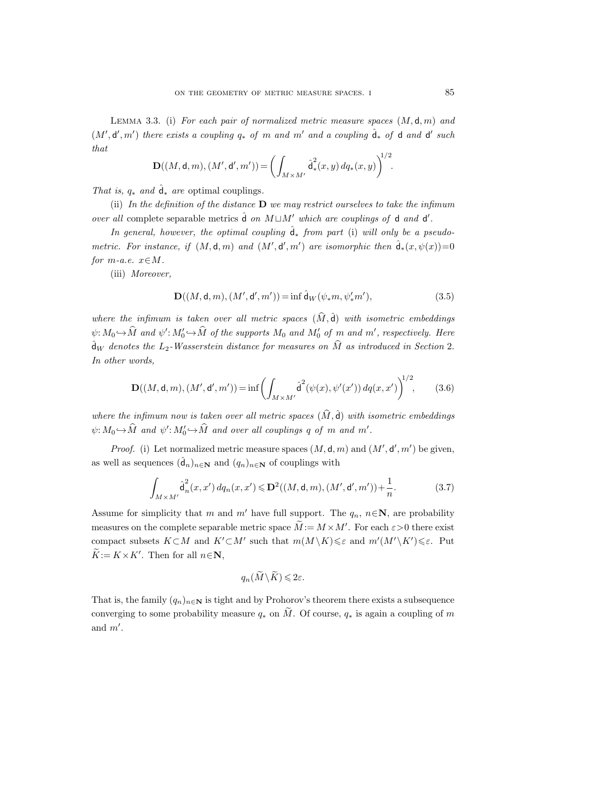Lemma 3.3. (i) *For each pair of normalized metric measure spaces* (M, d, m) *and*  $(M', d', m')$  *there exists a coupling*  $q_*$  *of*  $m$  *and*  $m'$  *and*  $a$  *coupling*  $\hat{d}_*$  *of*  $d$  *and*  $d'$  *such that*

$$
\mathbf{D}((M,\mathsf{d},m),(M',\mathsf{d}',m')) = \bigg(\int_{M \times M'} \hat{\mathsf{d}}_*^2(x,y) \, dq_*(x,y)\bigg)^{1/2}.
$$

*That is,*  $q_*$  *and*  $\hat{d}_*$  *are* optimal couplings.

(ii) *In the definition of the distance* **D** *we may restrict ourselves to take the infimum over all* complete separable metrics  $\hat{d}$  *on*  $M \sqcup M'$  *which are couplings of* **d** *and* **d'**.

*In general, however, the optimal coupling*  $\hat{d}_*$  *from part* (i) *will only be a pseudometric. For instance, if*  $(M, d, m)$  *and*  $(M', d', m')$  *are isomorphic then*  $\hat{d}_*(x, \psi(x)) = 0$ *for*  $m$ *-a.e.*  $x \in M$ *.* 

(iii) *Moreover,*

$$
\mathbf{D}((M, \mathsf{d}, m), (M', \mathsf{d}', m')) = \inf \hat{\mathsf{d}}_W(\psi_* m, \psi'_* m'),\tag{3.5}
$$

*where the infimum is taken over all metric spaces*  $(\widehat{M}, \widehat{d})$  *with isometric embeddings*  $\psi: M_0 \hookrightarrow \widehat{M}$  and  $\psi': M'_0 \hookrightarrow \widehat{M}$  of the supports  $M_0$  and  $M'_0$  of m and m', respectively. Here  $\hat{\mathsf{d}}_W$  denotes the  $L_2$ -Wasserstein distance for measures on  $\widehat{M}$  as introduced in Section 2. *In other words,*

$$
\mathbf{D}((M,\mathsf{d},m),(M',\mathsf{d}',m')) = \inf \left( \int_{M \times M'} \hat{\mathsf{d}}^2(\psi(x),\psi'(x')) \, dq(x,x') \right)^{1/2},\tag{3.6}
$$

where the infimum now is taken over all metric spaces  $(\widehat{M}, \widehat{d})$  with isometric embeddings  $\psi: M_0 \hookrightarrow \widehat{M}$  and  $\psi': M'_0 \hookrightarrow \widehat{M}$  and over all couplings q of m and m'.

*Proof.* (i) Let normalized metric measure spaces  $(M, d, m)$  and  $(M', d', m')$  be given, as well as sequences  $(\hat{\mathbf{d}}_n)_{n \in \mathbb{N}}$  and  $(q_n)_{n \in \mathbb{N}}$  of couplings with

$$
\int_{M \times M'} \hat{d}_n^2(x, x') \, dq_n(x, x') \le \mathbf{D}^2((M, \mathsf{d}, m), (M', \mathsf{d}', m')) + \frac{1}{n}.\tag{3.7}
$$

Assume for simplicity that m and m' have full support. The  $q_n$ ,  $n \in \mathbb{N}$ , are probability measures on the complete separable metric space  $\widetilde{M} := M \times M'$ . For each  $\varepsilon > 0$  there exist compact subsets  $K\subset M$  and  $K'\subset M'$  such that  $m(M\setminus K)\leqslant \varepsilon$  and  $m'(M'\setminus K')\leqslant \varepsilon$ . Put  $\widetilde{K} := K \times K'$ . Then for all  $n \in \mathbb{N}$ ,

$$
q_n(\widetilde{M}\setminus \widetilde{K})\leqslant 2\varepsilon.
$$

That is, the family  $(q_n)_{n\in\mathbf{N}}$  is tight and by Prohorov's theorem there exists a subsequence converging to some probability measure  $q_*$  on  $\widetilde{M}$ . Of course,  $q_*$  is again a coupling of m and  $m'$ .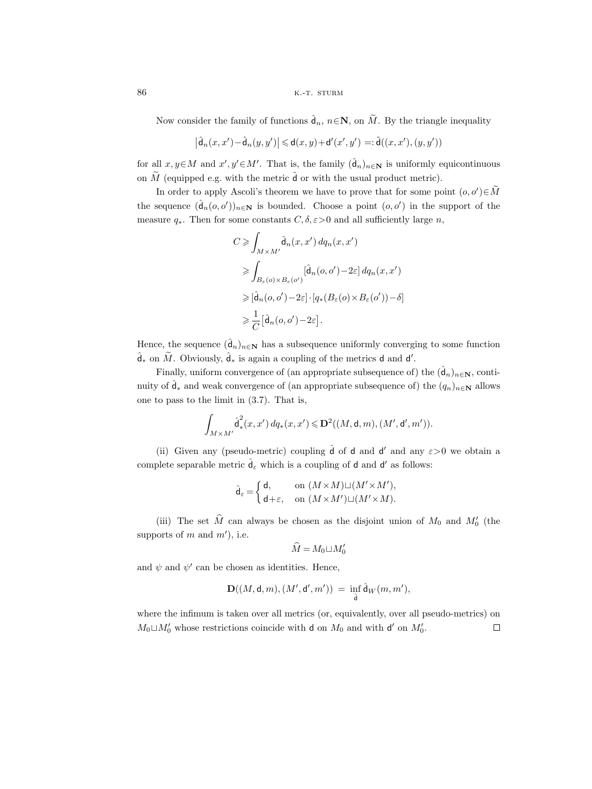86 k.-t. sturm

Now consider the family of functions  $\hat{d}_n$ ,  $n \in \mathbb{N}$ , on  $\widetilde{M}$ . By the triangle inequality

$$
\left|\hat{\mathsf{d}}_n(x,x')-\hat{\mathsf{d}}_n(y,y')\right|\leqslant \mathsf{d}(x,y)+\mathsf{d}'(x',y')=:\tilde{\mathsf{d}}\big((x,x'),(y,y')\big)
$$

for all  $x, y \in M$  and  $x', y' \in M'$ . That is, the family  $(\hat{d}_n)_{n \in \mathbb{N}}$  is uniformly equicontinuous on  $\widetilde{M}$  (equipped e.g. with the metric  $\widetilde{d}$  or with the usual product metric).

In order to apply Ascoli's theorem we have to prove that for some point  $(o, o') \in \widetilde{M}$ the sequence  $(\hat{d}_n(o, o'))_{n \in \mathbb{N}}$  is bounded. Choose a point  $(o, o')$  in the support of the measure  $q_*$ . Then for some constants  $C, \delta, \varepsilon > 0$  and all sufficiently large n,

$$
C \geqslant \int_{M \times M'} \hat{d}_n(x, x') \, dq_n(x, x')
$$
  
\n
$$
\geqslant \int_{B_{\varepsilon}(o) \times B_{\varepsilon}(o')} [\hat{d}_n(o, o') - 2\varepsilon] \, dq_n(x, x')
$$
  
\n
$$
\geqslant [\hat{d}_n(o, o') - 2\varepsilon] \cdot [q_*(B_{\varepsilon}(o) \times B_{\varepsilon}(o')) - \delta]
$$
  
\n
$$
\geqslant \frac{1}{C} [\hat{d}_n(o, o') - 2\varepsilon].
$$

Hence, the sequence  $(\hat{d}_n)_{n \in \mathbb{N}}$  has a subsequence uniformly converging to some function  $\hat{\mathsf{d}}_*$  on  $\widetilde{M}$ . Obviously,  $\hat{\mathsf{d}}_*$  is again a coupling of the metrics **d** and **d'**.

Finally, uniform convergence of (an appropriate subsequence of) the  $(\hat{d}_n)_{n\in\mathbb{N}}$ , continuity of  $\hat{\mathbf{d}}_*$  and weak convergence of (an appropriate subsequence of) the  $(q_n)_{n\in\mathbb{N}}$  allows one to pass to the limit in (3.7). That is,

$$
\int_{M\times M'}\hat{\operatorname{d}}^2_*(x,x')\,dq_*(x,x')\leqslant\operatorname{\mathbf{D}}^2((M,\operatorname{\mathbf{d}},m),(M',\operatorname{\mathbf{d}}',m')).
$$

(ii) Given any (pseudo-metric) coupling  $\hat{d}$  of d and d' and any  $\varepsilon > 0$  we obtain a complete separable metric  $\hat{d}_{\varepsilon}$  which is a coupling of **d** and **d'** as follows:

$$
\widehat{\mathsf{d}}_{\varepsilon} = \left\{ \begin{aligned} &\mathsf{d}, &&\quad \mathrm{on}\ (M \times M) \sqcup (M' \times M'), \\ &\mathsf{d} + \varepsilon, &&\quad \mathrm{on}\ (M \times M') \sqcup (M' \times M). \end{aligned} \right.
$$

(iii) The set  $\widehat{M}$  can always be chosen as the disjoint union of  $M_0$  and  $M'_0$  (the supports of m and  $m'$ , i.e.

$$
\widehat{M} = M_0 \sqcup M'_0
$$

and  $\psi$  and  $\psi'$  can be chosen as identities. Hence,

$$
\mathbf{D}((M,\mathsf{d},m),(M',\mathsf{d}',m'))\ =\ \inf_{\hat{\mathsf{d}}}\hat{\mathsf{d}}_W(m,m'),
$$

where the infimum is taken over all metrics (or, equivalently, over all pseudo-metrics) on  $M_0 \sqcup M'_0$  whose restrictions coincide with **d** on  $M_0$  and with **d'** on  $M'_0$ .  $\Box$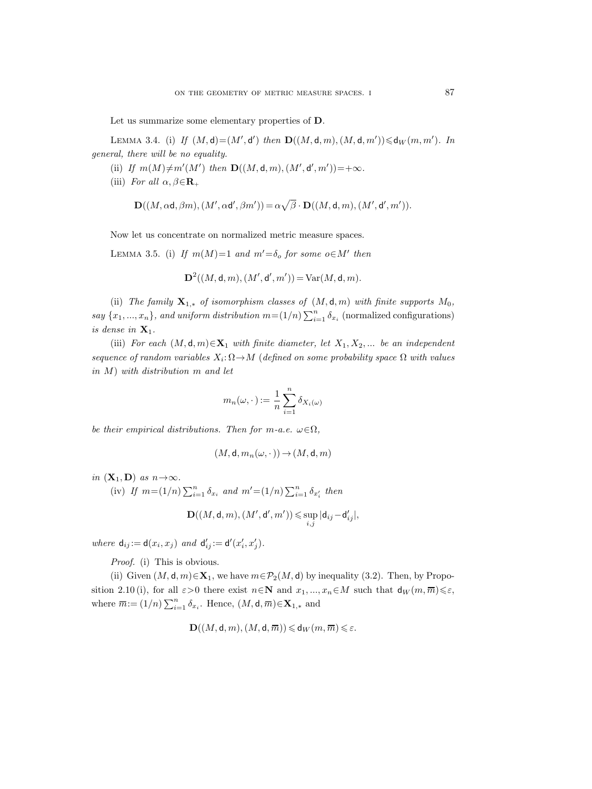Let us summarize some elementary properties of **D**.

LEMMA 3.4. (i) If  $(M, d) = (M', d')$  then  $\mathbf{D}((M, d, m), (M, d, m')) \leq d_W(m, m')$ . In *general, there will be no equality.*

- (ii) If  $m(M) \neq m'(M')$  then  $\mathbf{D}((M, d, m), (M', d', m')) = +\infty$ *.*
- (iii) *For all*  $\alpha, \beta \in \mathbf{R}_+$

$$
\mathbf{D}((M, \alpha \mathsf{d}, \beta m), (M', \alpha \mathsf{d}', \beta m')) = \alpha \sqrt{\beta} \cdot \mathbf{D}((M, \mathsf{d}, m), (M', \mathsf{d}', m')).
$$

Now let us concentrate on normalized metric measure spaces.

LEMMA 3.5. (i) *If*  $m(M)=1$  *and*  $m'=\delta_o$  *for some*  $o \in M'$  *then* 

$$
D^{2}((M, \mathsf{d}, m), (M', \mathsf{d}', m')) = \text{Var}(M, \mathsf{d}, m).
$$

(ii) *The family*  $\mathbf{X}_{1,*}$  *of isomorphism classes of*  $(M, \mathsf{d}, m)$  *with finite supports*  $M_0$ , *say*  $\{x_1, ..., x_n\}$ , and uniform distribution  $m = (1/n) \sum_{i=1}^n \delta_{x_i}$  (normalized configurations) *is dense in*  $X_1$ *.* 

(iii) *For each*  $(M, d, m) \in \mathbf{X}_1$  *with finite diameter, let*  $X_1, X_2, ...$  *be an independent sequence of random variables*  $X_i: \Omega \to M$  (*defined on some probability space*  $\Omega$  *with values in* M) *with distribution* m *and let*

$$
m_n(\omega,\cdot):=\frac{1}{n}\sum_{i=1}^n\delta_{X_i(\omega)}
$$

*be their empirical distributions. Then for m-a.e.*  $\omega \in \Omega$ ,

$$
(M,\mathsf{d},m_n(\omega,\cdot\,))\,{\to}\,(M,\mathsf{d},m)
$$

*in*  $(\mathbf{X}_1, \mathbf{D})$  *as*  $n \to \infty$ *.*<br>*(iv) If*  $m = (1/n)$ 

(iv) If 
$$
m = (1/n) \sum_{i=1}^n \delta_{x_i}
$$
 and  $m' = (1/n) \sum_{i=1}^n \delta_{x'_i}$  then

$$
\mathbf{D}((M,\mathsf{d},m),(M',\mathsf{d}',m'))\leqslant \sup_{i,j}|\mathsf{d}_{ij}-\mathsf{d}'_{ij}|,
$$

*where*  $d_{ij} := d(x_i, x_j)$  *and*  $d'_{ij} := d'(x'_i, x'_j)$ *.* 

*Proof.* (i) This is obvious.

(ii) Given  $(M, d, m) \in \mathbf{X}_1$ , we have  $m \in \mathcal{P}_2(M, d)$  by inequality (3.2). Then, by Proposition 2.10 (i), for all  $\varepsilon > 0$  there exist  $n \in \mathbb{N}$  and  $x_1, ..., x_n \in M$  such that  $d_W(m, \overline{m}) \leq \varepsilon$ , where  $\overline{m} := (1/n) \sum_{i=1}^{n} \delta_{x_i}$ . Hence,  $(M, \mathsf{d}, \overline{m}) \in \mathbf{X}_{1,*}$  and

$$
\mathbf{D}((M,\mathsf{d},m),(M,\mathsf{d},\overline{m})) \leqslant \mathsf{d}_W(m,\overline{m}) \leqslant \varepsilon.
$$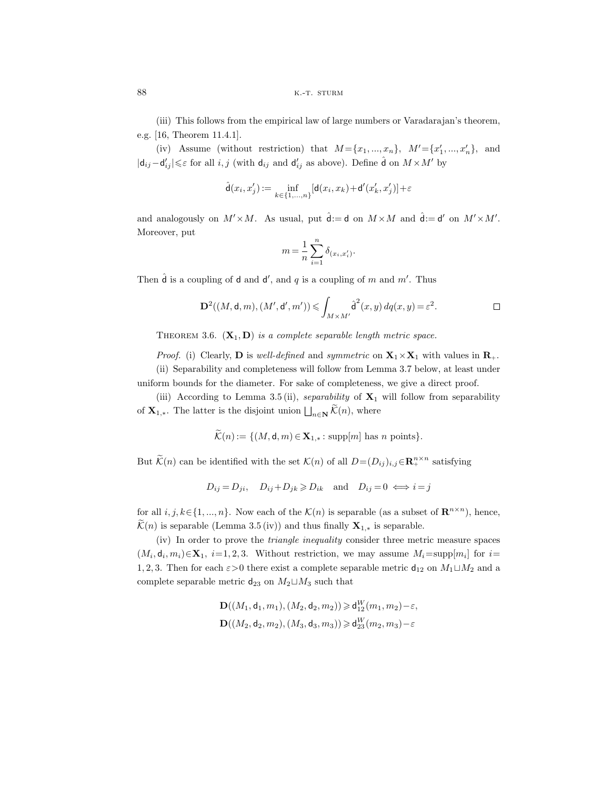(iii) This follows from the empirical law of large numbers or Varadarajan's theorem, e.g. [16, Theorem 11.4.1].

(iv) Assume (without restriction) that  $M = \{x_1, ..., x_n\}$ ,  $M' = \{x'_1, ..., x'_n\}$ , and  $|\mathsf{d}_{ij} - \mathsf{d}'_{ij}| \leq \varepsilon$  for all *i*, *j* (with  $\mathsf{d}_{ij}$  and  $\mathsf{d}'_{ij}$  as above). Define  $\hat{\mathsf{d}}$  on  $M \times M'$  by

$$
\widehat{\mathsf{d}}(x_i,x_j'):=\inf_{k\in\{1,...,n\}}[\mathsf{d}(x_i,x_k)+\mathsf{d}'(x_k',x_j')]+\varepsilon
$$

and analogously on  $M' \times M$ . As usual, put  $\hat{\mathbf{d}} := \mathbf{d}$  on  $M \times M$  and  $\hat{\mathbf{d}} := \mathbf{d}'$  on  $M' \times M'$ . Moreover, put

$$
m = \frac{1}{n} \sum_{i=1}^n \delta_{(x_i, x_i')}.
$$

Then  $\hat{\mathsf{d}}$  is a coupling of  $\mathsf{d}$  and  $\mathsf{d}'$ , and  $q$  is a coupling of m and m'. Thus

$$
\mathbf{D}^2((M,\mathsf{d},m),(M',\mathsf{d}',m')) \leqslant \int_{M \times M'} \hat{\mathsf{d}}^2(x,y) \, dq(x,y) = \varepsilon^2.
$$

THEOREM 3.6.  $(X_1, D)$  *is a complete separable length metric space.* 

*Proof.* (i) Clearly, **D** is *well-defined* and *symmetric* on  $X_1 \times X_1$  with values in  $\mathbf{R}_+$ .

(ii) Separability and completeness will follow from Lemma 3.7 below, at least under uniform bounds for the diameter. For sake of completeness, we give a direct proof.

(iii) According to Lemma 3.5 (ii), *separability* of  $X_1$  will follow from separability of  $\mathbf{X}_{1,*}$ . The latter is the disjoint union  $\bigsqcup_{n\in\mathbf{N}}\widetilde{\mathcal{K}}(n)$ , where

$$
\widetilde{\mathcal{K}}(n) := \{ (M, \mathsf{d}, m) \in \mathbf{X}_{1,*} : \text{supp}[m] \text{ has } n \text{ points} \}.
$$

But  $\widetilde{\mathcal{K}}(n)$  can be identified with the set  $\mathcal{K}(n)$  of all  $D=(D_{ij})_{i,j}\in\mathbf{R}_{+}^{n\times n}$  satisfying

$$
D_{ij}=D_{ji},\quad D_{ij}+D_{jk}\geqslant D_{ik}\quad\text{and}\quad D_{ij}=0\iff i=j
$$

for all  $i, j, k \in \{1, ..., n\}$ . Now each of the  $\mathcal{K}(n)$  is separable (as a subset of  $\mathbb{R}^{n \times n}$ ), hence,  $\mathcal{K}(n)$  is separable (Lemma 3.5 (iv)) and thus finally  $\mathbf{X}_{1,*}$  is separable.

(iv) In order to prove the *triangle inequality* consider three metric measure spaces  $(M_i, \mathsf{d}_i, m_i) \in \mathbf{X}_1$ , i=1, 2, 3. Without restriction, we may assume  $M_i = \text{supp}[m_i]$  for i= 1, 2, 3. Then for each  $\varepsilon > 0$  there exist a complete separable metric  $d_{12}$  on  $M_1 \sqcup M_2$  and a complete separable metric  $d_{23}$  on  $M_2 \sqcup M_3$  such that

$$
\mathbf{D}((M_1, \mathbf{d}_1, m_1), (M_2, \mathbf{d}_2, m_2)) \geq d_{12}^W(m_1, m_2) - \varepsilon,
$$
  

$$
\mathbf{D}((M_2, \mathbf{d}_2, m_2), (M_3, \mathbf{d}_3, m_3)) \geq d_{23}^W(m_2, m_3) - \varepsilon
$$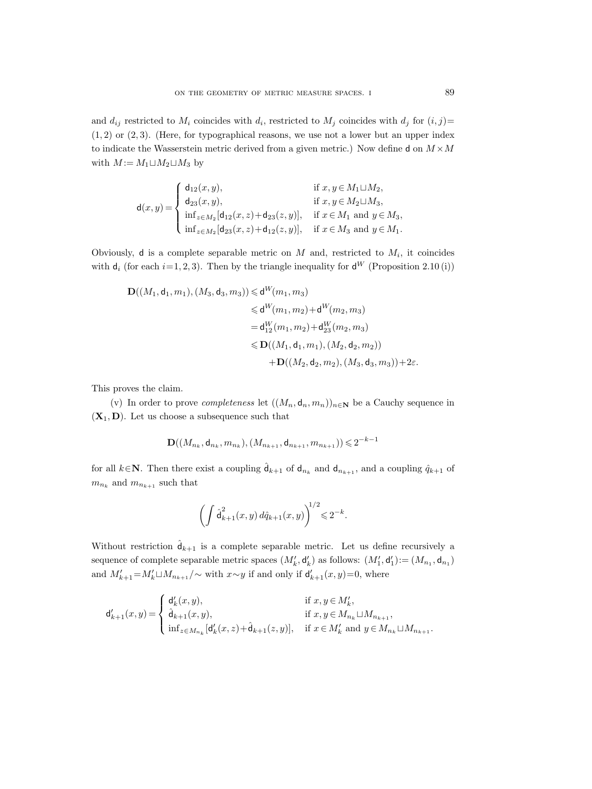and  $d_{ij}$  restricted to  $M_i$  coincides with  $d_i$ , restricted to  $M_j$  coincides with  $d_j$  for  $(i, j)$ =  $(1, 2)$  or  $(2, 3)$ . (Here, for typographical reasons, we use not a lower but an upper index to indicate the Wasserstein metric derived from a given metric.) Now define d on  $M \times M$ with  $M := M_1 \sqcup M_2 \sqcup M_3$  by

$$
\mathsf{d}(x,y) = \left\{ \begin{array}{ll} \mathsf{d}_{12}(x,y), & \text{if } x,y \in M_1 \sqcup M_2, \\ \mathsf{d}_{23}(x,y), & \text{if } x,y \in M_2 \sqcup M_3, \\ \inf_{z \in M_2} [\mathsf{d}_{12}(x,z) + \mathsf{d}_{23}(z,y)], & \text{if } x \in M_1 \text{ and } y \in M_3, \\ \inf_{z \in M_2} [\mathsf{d}_{23}(x,z) + \mathsf{d}_{12}(z,y)], & \text{if } x \in M_3 \text{ and } y \in M_1. \end{array} \right.
$$

Obviously, d is a complete separable metric on  $M$  and, restricted to  $M_i$ , it coincides with  $d_i$  (for each  $i=1, 2, 3$ ). Then by the triangle inequality for  $d^W$  (Proposition 2.10 (i))

$$
\mathbf{D}((M_1, \mathsf{d}_1, m_1), (M_3, \mathsf{d}_3, m_3)) \leq \mathsf{d}^W(m_1, m_3)
$$
  
\n
$$
\leq \mathsf{d}^W(m_1, m_2) + \mathsf{d}^W(m_2, m_3)
$$
  
\n
$$
= \mathsf{d}_{12}^W(m_1, m_2) + \mathsf{d}_{23}^W(m_2, m_3)
$$
  
\n
$$
\leq \mathbf{D}((M_1, \mathsf{d}_1, m_1), (M_2, \mathsf{d}_2, m_2))
$$
  
\n
$$
+ \mathbf{D}((M_2, \mathsf{d}_2, m_2), (M_3, \mathsf{d}_3, m_3)) + 2\varepsilon.
$$

This proves the claim.

(v) In order to prove *completeness* let  $((M_n, \mathsf{d}_n, m_n))_{n \in \mathbb{N}}$  be a Cauchy sequence in  $(X_1, D)$ . Let us choose a subsequence such that

$$
\mathbf{D}((M_{n_k},\mathsf{d}_{n_k},m_{n_k}),(M_{n_{k+1}},\mathsf{d}_{n_{k+1}},m_{n_{k+1}}))\!\leqslant\! 2^{-k-1}
$$

for all  $k \in \mathbb{N}$ . Then there exist a coupling  $\hat{\mathsf{d}}_{k+1}$  of  $\mathsf{d}_{n_k}$  and  $\mathsf{d}_{n_{k+1}}$ , and a coupling  $\hat{q}_{k+1}$  of  $m_{n_k}$  and  $m_{n_{k+1}}$  such that

$$
\left(\int \hat{\mathsf{d}}_{k+1}^2(x,y) \, d\hat{q}_{k+1}(x,y)\right)^{1/2} \leq 2^{-k}.
$$

Without restriction  $\hat{d}_{k+1}$  is a complete separable metric. Let us define recursively a sequence of complete separable metric spaces  $(M'_k, \mathsf{d}_k')$  as follows:  $(M'_1, \mathsf{d}_1') := (M_{n_1}, \mathsf{d}_{n_1})$ and  $M'_{k+1} = M'_{k} \sqcup M_{n_{k+1}}/\sim$  with  $x \sim y$  if and only if  $d'_{k+1}(x, y) = 0$ , where

$$
\mathsf{d}_{k+1}'(x,y) = \left\{ \begin{array}{ll} \mathsf{d}_k'(x,y), & \text{if } x,y \in M'_k, \\ \hat{\mathsf{d}}_{k+1}(x,y), & \text{if } x,y \in M_{n_k} \sqcup M_{n_{k+1}}, \\ \inf_{z \in M_{n_k}}[\mathsf{d}_k'(x,z) + \hat{\mathsf{d}}_{k+1}(z,y)], & \text{if } x \in M'_k \text{ and } y \in M_{n_k} \sqcup M_{n_{k+1}}. \end{array} \right.
$$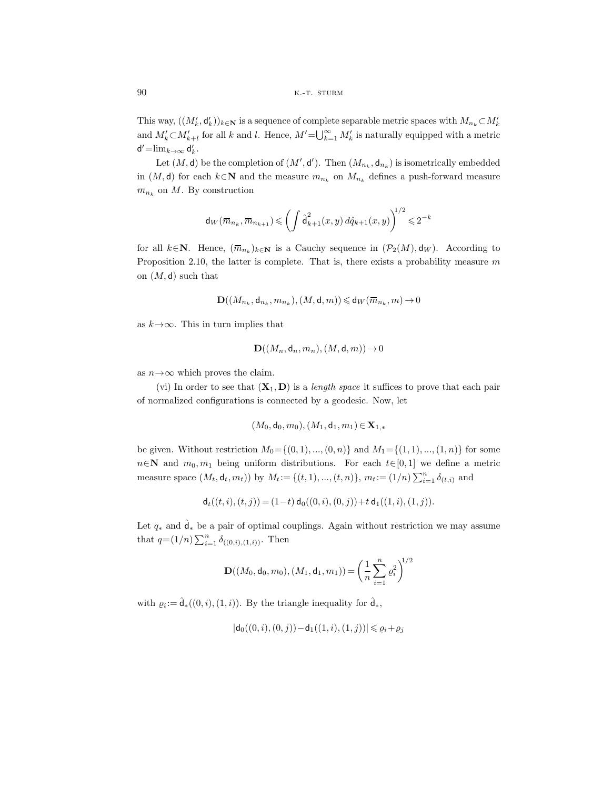This way,  $((M'_k, \mathsf{d}'_k))_{k \in \mathbb{N}}$  is a sequence of complete separable metric spaces with  $M_{n_k} \subset M'_k$ and  $M'_k \subset M'_{k+l}$  for all k and l. Hence,  $M' = \bigcup_{k=1}^{\infty} M'_k$  is naturally equipped with a metric  $d' = \lim_{k \to \infty} d'_k$ .

Let  $(M, d)$  be the completion of  $(M', d')$ . Then  $(M_{n_k}, d_{n_k})$  is isometrically embedded in  $(M, d)$  for each  $k \in \mathbb{N}$  and the measure  $m_{n_k}$  on  $M_{n_k}$  defines a push-forward measure  $\overline{m}_{n_k}$  on M. By construction

$$
d_W(\overline{m}_{n_k}, \overline{m}_{n_{k+1}}) \leqslant \left(\int \hat{d}_{k+1}^2(x, y) \, d\hat{q}_{k+1}(x, y)\right)^{1/2} \leqslant 2^{-k}
$$

for all  $k \in \mathbb{N}$ . Hence,  $(\overline{m}_{n_k})_{k \in \mathbb{N}}$  is a Cauchy sequence in  $(\mathcal{P}_2(M), \mathsf{d}_W)$ . According to Proposition 2.10, the latter is complete. That is, there exists a probability measure  $m$ on  $(M, d)$  such that

$$
\mathbf{D}((M_{n_k},\mathsf{d}_{n_k},m_{n_k}),(M,\mathsf{d},m))\!\leqslant\!\mathsf{d}_W(\overline{m}_{n_k},m)\!\to\!0
$$

as  $k \rightarrow \infty$ . This in turn implies that

$$
\mathbf{D}((M_n,\mathsf{d}_n,m_n),(M,\mathsf{d},m))\to 0
$$

as  $n \rightarrow \infty$  which proves the claim.

(vi) In order to see that  $(\mathbf{X}_1, \mathbf{D})$  is a *length space* it suffices to prove that each pair of normalized configurations is connected by a geodesic. Now, let

$$
(M_0,\mathsf{d}_0,m_0), (M_1,\mathsf{d}_1,m_1)\,{\in}\,\mathbf{X}_{1,*}
$$

be given. Without restriction  $M_0 = \{(0, 1), ..., (0, n)\}\$ and  $M_1 = \{(1, 1), ..., (1, n)\}\$ for some  $n \in \mathbb{N}$  and  $m_0, m_1$  being uniform distributions. For each  $t \in [0, 1]$  we define a metric measure space  $(M_t, d_t, m_t)$  by  $M_t := \{(t, 1), ..., (t, n)\}, m_t := (1/n) \sum_{i=1}^n \delta_{(t,i)}$  and

$$
\mathsf{d}_t((t,i),(t,j)) = (1-t) \, \mathsf{d}_0((0,i),(0,j)) + t \, \mathsf{d}_1((1,i),(1,j)).
$$

Let  $q_*$  and  $\hat{\mathbf{d}}_*$  be a pair of optimal couplings. Again without restriction we may assume that  $q=(1/n)\sum_{i=1}^n \delta_{((0,i),(1,i))}$ . Then

$$
\mathbf{D}((M_0, \mathsf{d}_0, m_0), (M_1, \mathsf{d}_1, m_1)) = \left(\frac{1}{n} \sum_{i=1}^n \varrho_i^2\right)^{1/2}
$$

with  $\varrho_i := \hat{\mathsf{d}}_*((0, i), (1, i))$ . By the triangle inequality for  $\hat{\mathsf{d}}_*$ ,

$$
|\mathsf{d}_0((0,i),(0,j)) - \mathsf{d}_1((1,i),(1,j))| \leq \varrho_i + \varrho_j
$$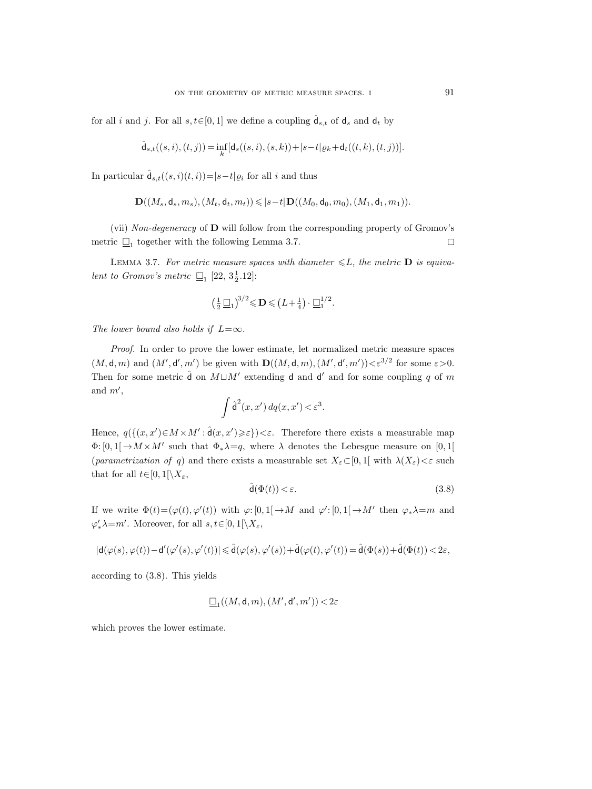for all *i* and *j*. For all  $s, t \in [0, 1]$  we define a coupling  $\hat{d}_{s,t}$  of  $d_s$  and  $d_t$  by

$$
\hat{\mathsf{d}}_{s,t}((s,i),(t,j))\!=\!\inf_{k}[\mathsf{d}_{s}((s,i),(s,k))\!+\!|s\!-\!t|\varrho_{k}\!+\!\mathsf{d}_{t}((t,k),(t,j))].
$$

In particular  $\hat{\mathsf{d}}_{s,t}((s,i)(t,i))=|s-t|\varrho_i$  for all i and thus

$$
\mathbf{D}((M_s,d_s,m_s),(M_t,\mathsf{d}_t,m_t))\leqslant |s-t|\mathbf{D}((M_0,\mathsf{d}_0,m_0),(M_1,\mathsf{d}_1,m_1)).
$$

(vii) *Non-degeneracy* of **D** will follow from the corresponding property of Gromov's metric  $\Box_1$  together with the following Lemma 3.7.  $\Box$ 

LEMMA 3.7. For metric measure spaces with diameter  $\leq L$ , the metric **D** is equiva*lent to Gromov's metric*  $\Box_1$  [22, 3 $\frac{1}{2}$ .12]:

$$
\left(\frac{1}{2}\,\underline{\Box}_1\right)^{3/2} \leqslant \mathbf{D} \leqslant \left(L + \frac{1}{4}\right) \cdot \underline{\Box}_1^{1/2}.
$$

*The lower bound also holds if*  $L=\infty$ *.* 

*Proof.* In order to prove the lower estimate, let normalized metric measure spaces  $(M, \mathsf{d}, m)$  and  $(M', \mathsf{d}', m')$  be given with  $\mathbf{D}((M, \mathsf{d}, m), (M', \mathsf{d}', m')) < \varepsilon^{3/2}$  for some  $\varepsilon > 0$ . Then for some metric  $\hat{\mathbf{d}}$  on  $M \sqcup M'$  extending **d** and **d'** and for some coupling q of m and  $m'$ . ,  $\overline{\phantom{a}}$ 

$$
\int \hat{\mathsf{d}}^2(x, x') \, dq(x, x') < \varepsilon^3.
$$

Hence,  $q(\{(x, x')\in M\times M': \hat{d}(x, x')\geqslant \varepsilon\})<\varepsilon$ . Therefore there exists a measurable map  $\Phi: [0,1] \to M \times M'$  such that  $\Phi_*\lambda = q$ , where  $\lambda$  denotes the Lebesgue measure on [0,1] (*parametrization of* q) and there exists a measurable set  $X_{\varepsilon} \subset [0,1]$  with  $\lambda(X_{\varepsilon}) < \varepsilon$  such that for all  $t \in [0, 1[\setminus X_{\varepsilon},$ 

$$
\hat{\mathsf{d}}(\Phi(t)) < \varepsilon. \tag{3.8}
$$

If we write  $\Phi(t) = (\varphi(t), \varphi'(t))$  with  $\varphi: [0, 1] \to M$  and  $\varphi': [0, 1] \to M'$  then  $\varphi_* \lambda = m$  and  $\varphi'_* \lambda = m'$ . Moreover, for all  $s, t \in [0, 1] \setminus X_{\varepsilon}$ ,

$$
|\mathsf{d}(\varphi(s),\varphi(t))-\mathsf{d}'(\varphi'(s),\varphi'(t))| \leq \hat{\mathsf{d}}(\varphi(s),\varphi'(s)) + \hat{\mathsf{d}}(\varphi(t),\varphi'(t)) = \hat{\mathsf{d}}(\Phi(s)) + \hat{\mathsf{d}}(\Phi(t)) < 2\varepsilon,
$$

according to (3.8). This yields

$$
\underline{\Box}_1((M,\mathsf{d},m),(M',\mathsf{d}',m'))\!<\!2\varepsilon
$$

which proves the lower estimate.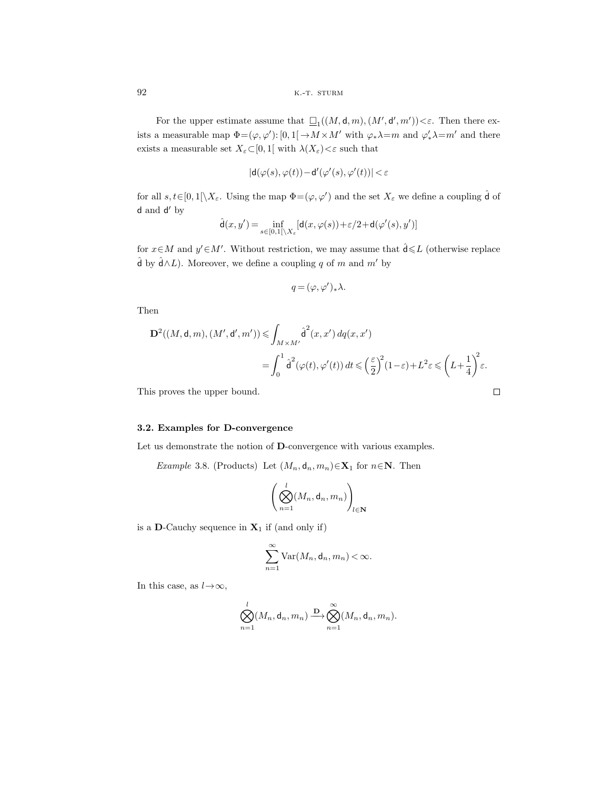For the upper estimate assume that  $\square_1((M, \mathsf{d}, m), (M', \mathsf{d}', m')) < \varepsilon$ . Then there exists a measurable map  $\Phi = (\varphi, \varphi') : [0, 1] \to M \times M'$  with  $\varphi_* \lambda = m$  and  $\varphi'_* \lambda = m'$  and there exists a measurable set  $X_\varepsilon {\subset} [0,1[$  with  $\lambda(X_\varepsilon) {<} \varepsilon$  such that

$$
|\mathsf{d}(\varphi(s),\varphi(t)) - \mathsf{d}'(\varphi'(s),\varphi'(t))| < \varepsilon
$$

for all  $s, t \in [0, 1] \setminus X_{\varepsilon}$ . Using the map  $\Phi = (\varphi, \varphi')$  and the set  $X_{\varepsilon}$  we define a coupling  $\hat{\mathsf{d}}$  of d and d' by

$$
\hat{\mathsf{d}}(x,y')\!=\!\inf_{s\in[0,1[\backslash X_{\varepsilon}}[\mathsf{d}(x,\varphi(s))+\varepsilon/2\!+\!\mathsf{d}(\varphi'(s),y')]
$$

for  $x \in M$  and  $y' \in M'$ . Without restriction, we may assume that  $\hat{d} \leq L$  (otherwise replace  $\hat{\mathsf{d}}$  by  $\hat{\mathsf{d}} \wedge L$ ). Moreover, we define a coupling q of m and m' by

$$
q=(\varphi,\varphi')_*\lambda.
$$

Then

$$
\mathbf{D}^{2}((M, \mathsf{d}, m), (M', \mathsf{d}', m')) \leqslant \int_{M \times M'} \hat{\mathsf{d}}^{2}(x, x') dq(x, x')
$$
  
= 
$$
\int_{0}^{1} \hat{\mathsf{d}}^{2}(\varphi(t), \varphi'(t)) dt \leqslant \left(\frac{\varepsilon}{2}\right)^{2} (1 - \varepsilon) + L^{2} \varepsilon \leqslant \left(L + \frac{1}{4}\right)^{2} \varepsilon.
$$

This proves the upper bound.

## **3.2. Examples for D-convergence**

Let us demonstrate the notion of **D**-convergence with various examples.

*Example* 3.8. (Products) Let  $(M_n, d_n, m_n) \in \mathbf{X}_1$  for  $n \in \mathbb{N}$ . Then

$$
\left(\bigotimes_{n=1}^{l} (M_n, \mathsf{d}_n, m_n)\right)_{l \in \mathbb{N}}
$$

is a **D**-Cauchy sequence in  $X_1$  if (and only if)

$$
\sum_{n=1}^{\infty} \text{Var}(M_n, \mathsf{d}_n, m_n) < \infty.
$$

In this case, as  $l \rightarrow \infty$ ,

$$
\bigotimes_{n=1}^{l} (M_n, \mathsf{d}_n, m_n) \xrightarrow{\mathbf{D}} \bigotimes_{n=1}^{\infty} (M_n, \mathsf{d}_n, m_n).
$$

 $\Box$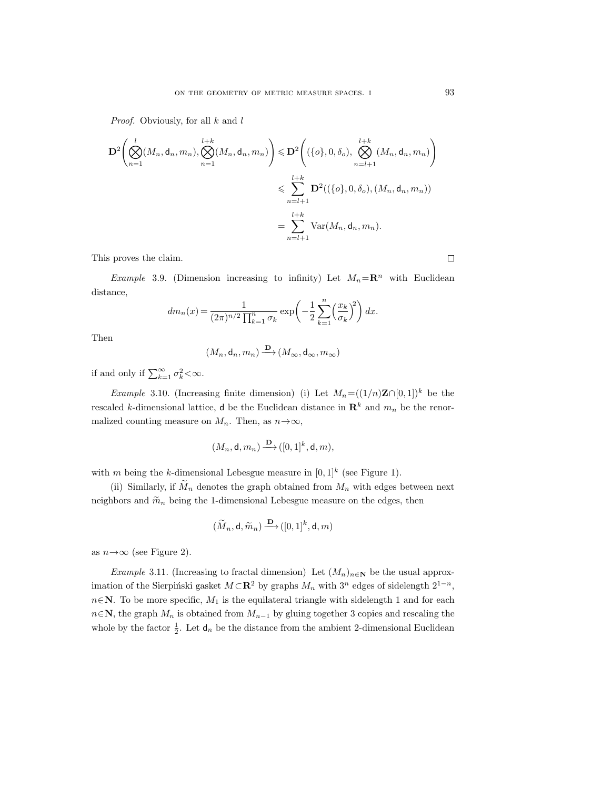*Proof.* Obviously, for all k and l

$$
\mathbf{D}^{2}\left(\bigotimes_{n=1}^{l}(M_{n}, \mathsf{d}_{n}, m_{n}), \bigotimes_{n=1}^{l+k}(M_{n}, \mathsf{d}_{n}, m_{n})\right) \leq \mathbf{D}^{2}\left((\{o\}, 0, \delta_{o}), \bigotimes_{n=l+1}^{l+k}(M_{n}, \mathsf{d}_{n}, m_{n})\right)
$$

$$
\leq \sum_{n=l+1}^{l+k} \mathbf{D}^{2}((\{o\}, 0, \delta_{o}), (M_{n}, \mathsf{d}_{n}, m_{n}))
$$

$$
= \sum_{n=l+1}^{l+k} \text{Var}(M_{n}, \mathsf{d}_{n}, m_{n}).
$$

This proves the claim.

*Example* 3.9. (Dimension increasing to infinity) Let  $M_n = \mathbb{R}^n$  with Euclidean distance,

$$
dm_n(x) = \frac{1}{(2\pi)^{n/2} \prod_{k=1}^n \sigma_k} \exp\left(-\frac{1}{2} \sum_{k=1}^n \left(\frac{x_k}{\sigma_k}\right)^2\right) dx.
$$

Then

$$
(M_n, \mathsf{d}_n, m_n) \xrightarrow{\mathbf{D}} (M_\infty, \mathsf{d}_\infty, m_\infty)
$$

if and only if  $\sum_{k=1}^{\infty} \sigma_k^2 < \infty$ .

*Example* 3.10. (Increasing finite dimension) (i) Let  $M_n = ((1/n)\mathbf{Z} \cap [0, 1])^k$  be the rescaled k-dimensional lattice, d be the Euclidean distance in  $\mathbb{R}^k$  and  $m_n$  be the renormalized counting measure on  $M_n$ . Then, as  $n \rightarrow \infty$ ,

$$
(M_n, \mathsf{d}, m_n) \xrightarrow{\mathbf{D}} ([0,1]^k, \mathsf{d}, m),
$$

with m being the k-dimensional Lebesgue measure in  $[0, 1]^k$  (see Figure 1).

(ii) Similarly, if  $\widetilde{M}_n$  denotes the graph obtained from  $M_n$  with edges between next neighbors and  $\widetilde{m}_n$  being the 1-dimensional Lebesgue measure on the edges, then

$$
(\widetilde{M}_n, \mathsf{d}, \widetilde{m}_n) \xrightarrow{\mathbf{D}} ([0,1]^k, \mathsf{d}, m)
$$

as  $n \rightarrow \infty$  (see Figure 2).

*Example* 3.11. (Increasing to fractal dimension) Let  $(M_n)_{n\in\mathbb{N}}$  be the usual approximation of the Sierpiński gasket  $M \subset \mathbb{R}^2$  by graphs  $M_n$  with 3<sup>n</sup> edges of sidelength  $2^{1-n}$ ,  $n \in \mathbb{N}$ . To be more specific,  $M_1$  is the equilateral triangle with sidelength 1 and for each  $n \in \mathbb{N}$ , the graph  $M_n$  is obtained from  $M_{n-1}$  by gluing together 3 copies and rescaling the whole by the factor  $\frac{1}{2}$ . Let  $d_n$  be the distance from the ambient 2-dimensional Euclidean

 $\Box$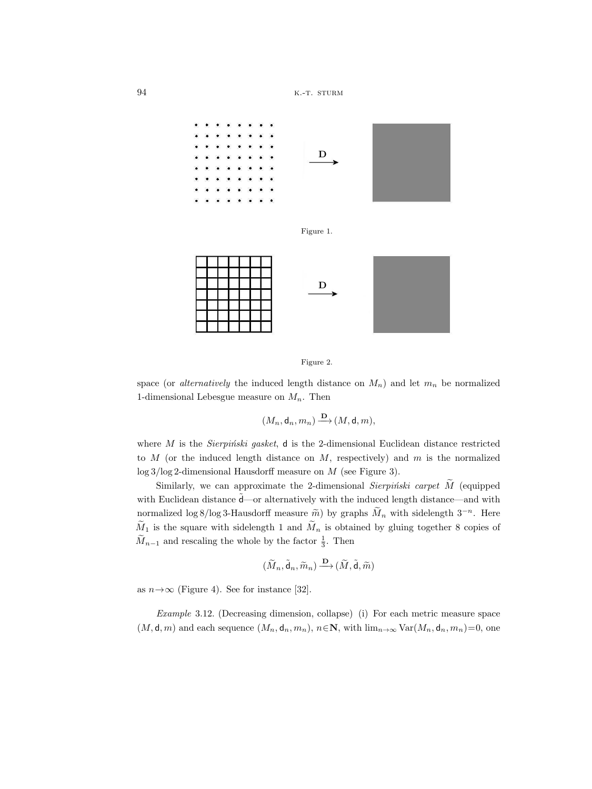







space (or *alternatively* the induced length distance on  $M_n$ ) and let  $m_n$  be normalized 1-dimensional Lebesgue measure on  $M_n$ . Then

 $(M_n, \mathsf{d}_n, m_n) \xrightarrow{\mathbf{D}} (M, \mathsf{d}, m),$ 

where M is the *Sierpitiski gasket*, d is the 2-dimensional Euclidean distance restricted to  $M$  (or the induced length distance on  $M$ , respectively) and  $m$  is the normalized log 3/log 2-dimensional Hausdorff measure on M (see Figure 3).

Similarly, we can approximate the 2-dimensional *Sierpinski carpet* M (equipped with Euclidean distance  $\tilde{\mathbf{d}}$  or alternatively with the induced length distance—and with normalized log 8/log 3-Hausdorff measure  $\tilde{m}$ ) by graphs  $\tilde{M}_n$  with sidelength 3<sup>-n</sup>. Here  $M_1$  is the square with sidelength 1 and  $M_n$  is obtained by gluing together 8 copies of  $\widetilde{M}_{n-1}$  and rescaling the whole by the factor  $\frac{1}{3}$ . Then

$$
(\widetilde{M}_n, \widetilde{\mathsf{d}}_n, \widetilde{m}_n) \stackrel{\mathbf{D}}{\longrightarrow} (\widetilde{M}, \widetilde{\mathsf{d}}, \widetilde{m})
$$

as  $n \rightarrow \infty$  (Figure 4). See for instance [32].

*Example* 3.12. (Decreasing dimension, collapse) (i) For each metric measure space  $(M, \mathsf{d}, m)$  and each sequence  $(M_n, \mathsf{d}_n, m_n)$ ,  $n \in \mathbb{N}$ , with  $\lim_{n \to \infty} \text{Var}(M_n, \mathsf{d}_n, m_n) = 0$ , one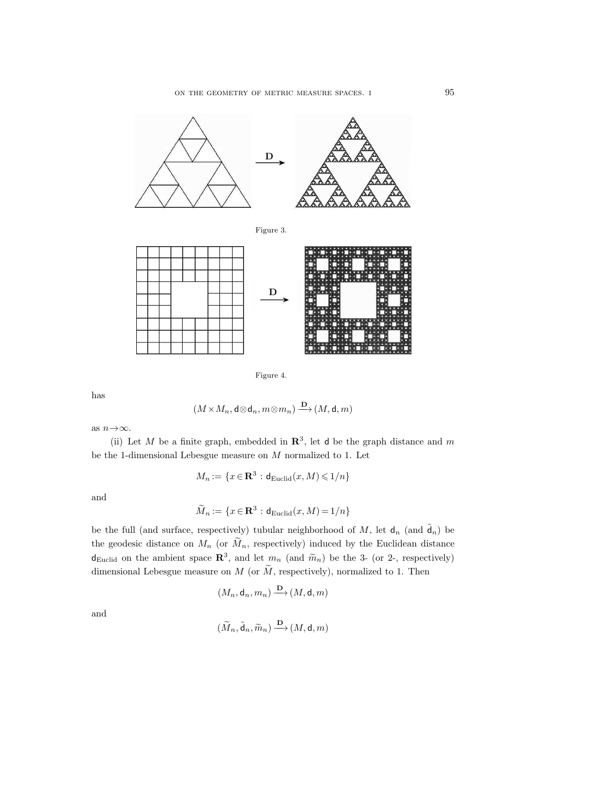



Figure 4.

has

$$
(M\!\times\! M_n,\mathsf d\! \otimes \mathsf d_n, m\! \otimes \! m_n) \stackrel{\mathbf D}{\longrightarrow} (M,\mathsf d,m)
$$

as  $n \rightarrow \infty$ .

(ii) Let M be a finite graph, embedded in  $\mathbb{R}^3$ , let d be the graph distance and m be the 1-dimensional Lebesgue measure on  $M$  normalized to 1. Let

$$
M_n := \{ x \in \mathbf{R}^3 : \mathbf{d}_{\mathrm{Euclid}}(x, M) \leq 1/n \}
$$

and

$$
\widetilde{M}_n := \{ x \in \mathbf{R}^3 : \mathbf{d}_{\mathrm{Euclid}}(x, M) = 1/n \}
$$

be the full (and surface, respectively) tubular neighborhood of M, let  $d_n$  (and  $\tilde{d}_n$ ) be the geodesic distance on  $M_n$  (or  $\widetilde{M}_n$ , respectively) induced by the Euclidean distance  $d_{Euclid}$  on the ambient space  $\mathbb{R}^3$ , and let  $m_n$  (and  $\widetilde{m}_n$ ) be the 3- (or 2-, respectively) dimensional Lebesgue measure on  $M$  (or  $\widetilde{M}$ , respectively), normalized to 1. Then

$$
(M_n, \mathsf{d}_n, m_n) \xrightarrow{\mathbf{D}} (M, \mathsf{d}, m)
$$

and

$$
(\widetilde{M}_n, \widetilde{\mathsf{d}}_n, \widetilde{m}_n) \xrightarrow{\mathbf{D}} (M, \mathsf{d}, m)
$$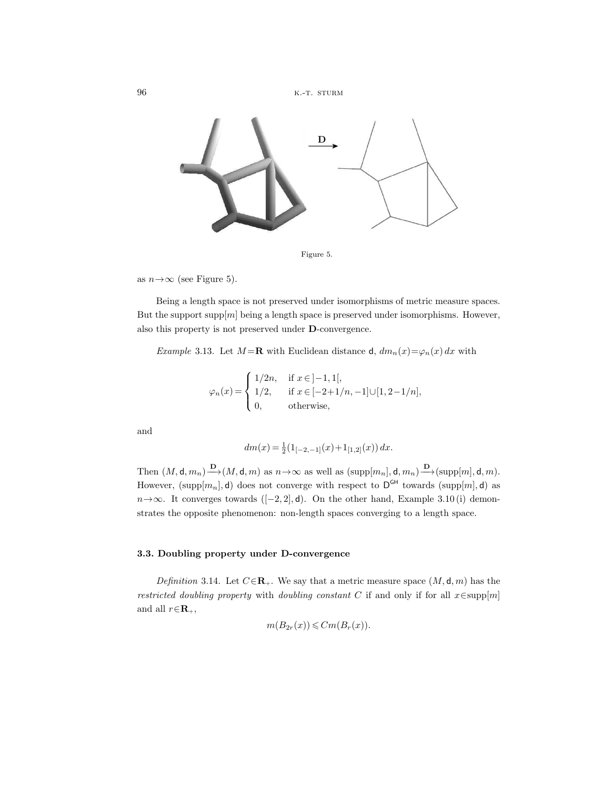

Figure 5.

as  $n \rightarrow \infty$  (see Figure 5).

Being a length space is not preserved under isomorphisms of metric measure spaces. But the support  $\text{supp}[m]$  being a length space is preserved under isomorphisms. However, also this property is not preserved under **D**-convergence.

*Example* 3.13. Let  $M = \mathbf{R}$  with Euclidean distance d,  $dm_n(x) = \varphi_n(x) dx$  with

$$
\varphi_n(x) = \begin{cases} 1/2n, & \text{if } x \in ]-1,1[, \\ 1/2, & \text{if } x \in [-2+1/n,-1] \cup [1,2-1/n], \\ 0, & \text{otherwise}, \end{cases}
$$

and

$$
dm(x) = \frac{1}{2} (1_{[-2,-1]}(x) + 1_{[1,2]}(x)) dx.
$$

Then  $(M, \mathsf{d}, m_n) \xrightarrow{\mathbf{D}} (M, \mathsf{d}, m)$  as  $n \to \infty$  as well as  $(\text{supp}[m_n], \mathsf{d}, m_n) \xrightarrow{\mathbf{D}} (\text{supp}[m], \mathsf{d}, m)$ . However,  $(\text{supp}[m_n], \mathbf{d})$  does not converge with respect to  $D^{GH}$  towards  $(\text{supp}[m], \mathbf{d})$  as  $n \rightarrow \infty$ . It converges towards ([−2, 2], d). On the other hand, Example 3.10 (i) demonstrates the opposite phenomenon: non-length spaces converging to a length space.

# **3.3. Doubling property under D-convergence**

*Definition* 3.14. Let  $C \in \mathbb{R}_+$ . We say that a metric measure space  $(M, \mathsf{d}, m)$  has the *restricted doubling property* with *doubling constant* <sup>C</sup> if and only if for all <sup>x</sup>∈supp[m] and all  $r \in \mathbb{R}_+$ ,

$$
m(B_{2r}(x)) \leq Cm(B_r(x)).
$$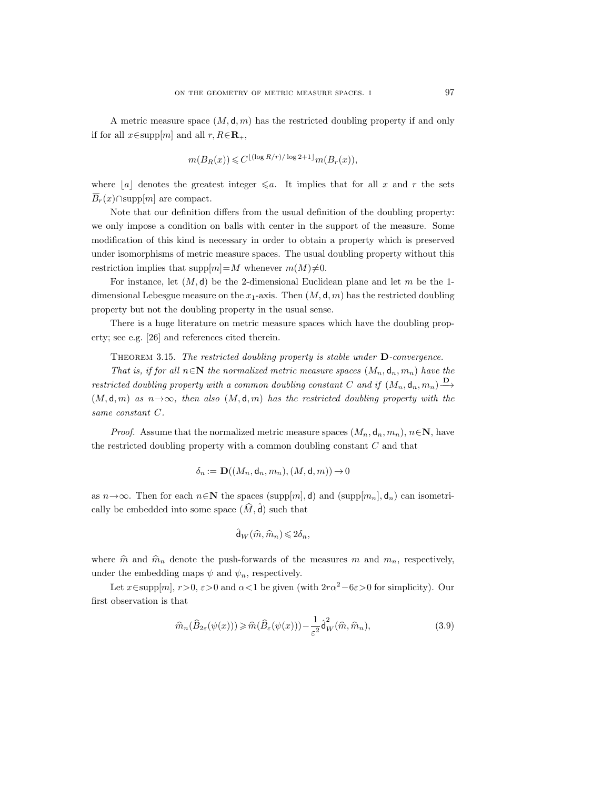A metric measure space  $(M, d, m)$  has the restricted doubling property if and only if for all  $x \in \text{supp}[m]$  and all  $r, R \in \mathbf{R}_+$ ,

$$
m(B_R(x)) \leq C^{\lfloor (\log R/r)/\log 2 + 1 \rfloor} m(B_r(x)),
$$

where  $\lfloor a \rfloor$  denotes the greatest integer  $\leq a$ . It implies that for all x and r the sets  $\overline{B}_r(x) \cap \text{supp}[m]$  are compact.

Note that our definition differs from the usual definition of the doubling property: we only impose a condition on balls with center in the support of the measure. Some modification of this kind is necessary in order to obtain a property which is preserved under isomorphisms of metric measure spaces. The usual doubling property without this restriction implies that  $\text{supp}[m]=M$  whenever  $m(M)\neq 0$ .

For instance, let  $(M, d)$  be the 2-dimensional Euclidean plane and let m be the 1dimensional Lebesgue measure on the  $x_1$ -axis. Then  $(M, d, m)$  has the restricted doubling property but not the doubling property in the usual sense.

There is a huge literature on metric measure spaces which have the doubling property; see e.g. [26] and references cited therein.

Theorem 3.15. *The restricted doubling property is stable under* **D***-convergence.*

*That is, if for all*  $n \in \mathbb{N}$  *the normalized metric measure spaces*  $(M_n, d_n, m_n)$  *have the restricted doubling property with a common doubling constant* C and if  $(M_n, \mathsf{d}_n, m_n) \longrightarrow$  $(M, \mathsf{d}, m)$  *as*  $n \rightarrow \infty$ , then also  $(M, \mathsf{d}, m)$  *has the restricted doubling property with the same constant* C*.*

*Proof.* Assume that the normalized metric measure spaces  $(M_n, d_n, m_n)$ ,  $n \in \mathbb{N}$ , have the restricted doubling property with a common doubling constant C and that

$$
\delta_n:=\mathbf{D}((M_n,\mathsf{d}_n,m_n),(M,\mathsf{d},m))\hspace{-0.2ex}\rightarrow\hspace{-0.2ex}0
$$

as  $n \rightarrow \infty$ . Then for each  $n \in \mathbb{N}$  the spaces (supp[m<sub>1</sub>, d) and (supp[m<sub>n</sub>], d<sub>n</sub>) can isometrically be embedded into some space  $(\widehat{M}, \widehat{\mathsf{d}})$  such that

$$
\hat{\mathsf{d}}_W(\widehat{m},\widehat{m}_n) \leqslant 2\delta_n,
$$

where  $\hat{m}$  and  $\hat{m}_n$  denote the push-forwards of the measures m and  $m_n$ , respectively, under the embedding maps  $\psi$  and  $\psi_n$ , respectively.

Let  $x \in \text{supp}[m]$ ,  $r > 0$ ,  $\varepsilon > 0$  and  $\alpha < 1$  be given (with  $2r\alpha^2 - 6\varepsilon > 0$  for simplicity). Our first observation is that

$$
\widehat{m}_n(\widehat{B}_{2\varepsilon}(\psi(x))) \geqslant \widehat{m}(\widehat{B}_{\varepsilon}(\psi(x))) - \frac{1}{\varepsilon^2} \widehat{\mathsf{d}}_W^2(\widehat{m}, \widehat{m}_n),\tag{3.9}
$$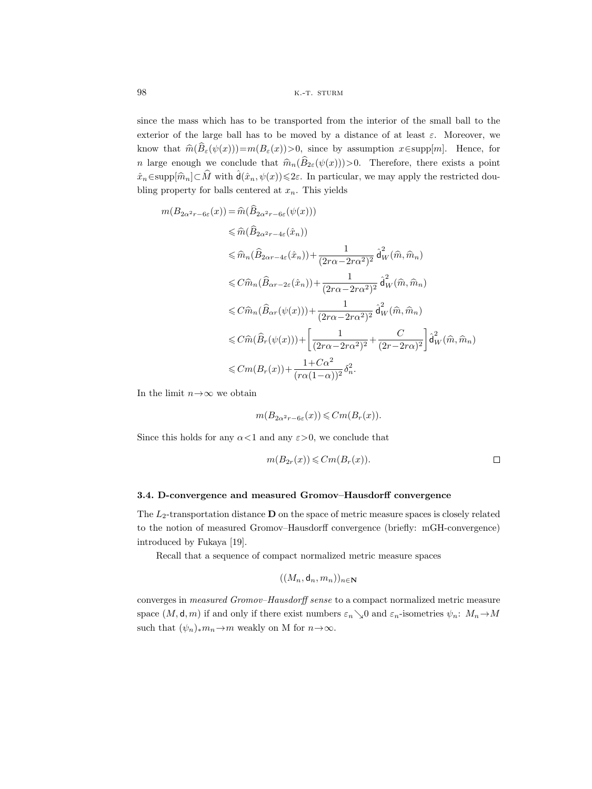since the mass which has to be transported from the interior of the small ball to the exterior of the large ball has to be moved by a distance of at least  $\varepsilon$ . Moreover, we know that  $\hat{m}(\hat{B}_{\varepsilon}(\psi(x)))=m(B_{\varepsilon}(x))>0$ , since by assumption  $x\in \text{supp}[m]$ . Hence, for n large enough we conclude that  $\hat{m}_n(\hat{B}_{2\varepsilon}(\psi(x)))>0$ . Therefore, there exists a point  $\hat{x}_n \in \text{supp}[\hat{m}_n] \subset \hat{M}$  with  $\hat{d}(\hat{x}_n, \psi(x)) \leq 2\varepsilon$ . In particular, we may apply the restricted doubling property for balls centered at  $x_n$ . This yields

$$
m(B_{2\alpha^2 r - 6\varepsilon}(x)) = \hat{m}(\hat{B}_{2\alpha^2 r - 6\varepsilon}(\psi(x)))
$$
  
\n
$$
\leq \hat{m}(\hat{B}_{2\alpha^2 r - 4\varepsilon}(\hat{x}_n))
$$
  
\n
$$
\leq \hat{m}_n(\hat{B}_{2\alpha r - 4\varepsilon}(\hat{x}_n)) + \frac{1}{(2r\alpha - 2r\alpha^2)^2} \hat{d}_W^2(\hat{m}, \hat{m}_n)
$$
  
\n
$$
\leq C\hat{m}_n(\hat{B}_{\alpha r - 2\varepsilon}(\hat{x}_n)) + \frac{1}{(2r\alpha - 2r\alpha^2)^2} \hat{d}_W^2(\hat{m}, \hat{m}_n)
$$
  
\n
$$
\leq C\hat{m}_n(\hat{B}_{\alpha r}(\psi(x))) + \frac{1}{(2r\alpha - 2r\alpha^2)^2} \hat{d}_W^2(\hat{m}, \hat{m}_n)
$$
  
\n
$$
\leq C\hat{m}(\hat{B}_r(\psi(x))) + \left[\frac{1}{(2r\alpha - 2r\alpha^2)^2} + \frac{C}{(2r - 2r\alpha)^2}\right] \hat{d}_W^2(\hat{m}, \hat{m}_n)
$$
  
\n
$$
\leq Cm(B_r(x)) + \frac{1 + C\alpha^2}{(r\alpha(1 - \alpha))^2} \delta_n^2.
$$

In the limit  $n \rightarrow \infty$  we obtain

$$
m(B_{2\alpha^2 r - 6\varepsilon}(x)) \leq Cm(B_r(x)).
$$

Since this holds for any  $\alpha < 1$  and any  $\varepsilon > 0$ , we conclude that

$$
m(B_{2r}(x)) \leqslant Cm(B_r(x)).
$$

## **3.4. D-convergence and measured Gromov–Hausdorff convergence**

The  $L_2$ -transportation distance  **on the space of metric measure spaces is closely related** to the notion of measured Gromov–Hausdorff convergence (briefly: mGH-convergence) introduced by Fukaya [19].

Recall that a sequence of compact normalized metric measure spaces

$$
((M_n,\mathsf{d}_n,m_n))_{n\in\mathbf{N}}
$$

converges in *measured Gromov–Hausdorff sense* to a compact normalized metric measure space  $(M, \mathsf{d}, m)$  if and only if there exist numbers  $\varepsilon_n\searrow0$  and  $\varepsilon_n$ -isometries  $\psi_n: M_n \to M$ such that  $(\psi_n)_*m_n \to m$  weakly on M for  $n \to \infty$ .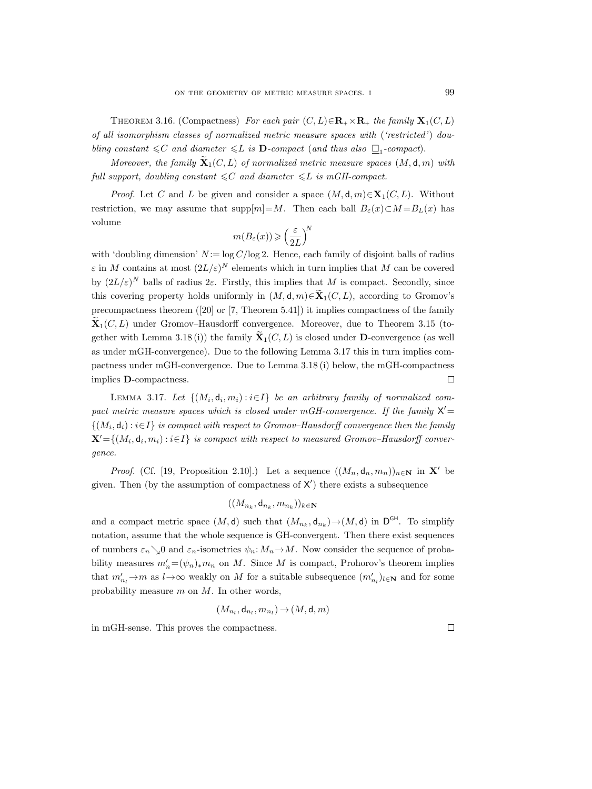THEOREM 3.16. (Compactness) For each pair  $(C, L) \in \mathbb{R}_+ \times \mathbb{R}_+$  the family  $\mathbf{X}_1(C, L)$ *of all isomorphism classes of normalized metric measure spaces with* (*'restricted'*) *doubling constant*  $\leq C$  *and diameter*  $\leq L$  *is* **D***-compact* (*and thus also*  $\Box$ <sub>1</sub>*-compact*).

*Moreover, the family*  $\mathbf{\tilde{X}}_1(C, L)$  *of normalized metric measure spaces*  $(M, d, m)$  *with*  $full$  support, doubling constant  $\leq C$  and diameter  $\leq L$  is mGH-compact.

*Proof.* Let C and L be given and consider a space  $(M, d, m) \in X_1(C, L)$ . Without restriction, we may assume that supp $[m]=M$ . Then each ball  $B_{\varepsilon}(x)\subset M=B_{L}(x)$  has volume

$$
m(B_{\varepsilon}(x)) \geqslant \left(\frac{\varepsilon}{2L}\right)^{\!N}
$$

with 'doubling dimension'  $N := \log C / \log 2$ . Hence, each family of disjoint balls of radius  $\varepsilon$  in M contains at most  $(2L/\varepsilon)^N$  elements which in turn implies that M can be covered by  $(2L/\varepsilon)^N$  balls of radius  $2\varepsilon$ . Firstly, this implies that M is compact. Secondly, since this covering property holds uniformly in  $(M, \mathsf{d}, m) \in \mathbf{X}$ <sub>1</sub> $(C, L)$ , according to Gromov's precompactness theorem ([20] or [7, Theorem 5.41]) it implies compactness of the family  $\mathbf{X}_1(C, L)$  under Gromov–Hausdorff convergence. Moreover, due to Theorem 3.15 (together with Lemma 3.18 (i)) the family  $\mathbf{\tilde{X}}_1(C, L)$  is closed under **D**-convergence (as well as under mGH-convergence). Due to the following Lemma 3.17 this in turn implies compactness under mGH-convergence. Due to Lemma 3.18 (i) below, the mGH-compactness  $\Box$ implies **D**-compactness.

LEMMA 3.17. Let  $\{(M_i, \mathsf{d}_i, m_i) : i \in I\}$  *be an arbitrary family of normalized com*pact metric measure spaces which is closed under mGH-convergence. If the family  $X' =$  $\{(M_i, d_i) : i \in I\}$  *is compact with respect to Gromov–Hausdorff convergence then the family*  $\mathbf{X}' = \{(M_i, \mathsf{d}_i, m_i) : i \in I\}$  *is compact with respect to measured Gromov–Hausdorff convergence.*

*Proof.* (Cf. [19, Proposition 2.10].) Let a sequence  $((M_n, d_n, m_n))_{n\in\mathbb{N}}$  in **X**' be given. Then (by the assumption of compactness of  $X'$ ) there exists a subsequence

$$
((M_{n_k},\mathsf{d}_{n_k},m_{n_k}))_{k\in\mathbf{N}}
$$

and a compact metric space  $(M, d)$  such that  $(M_{n_k}, d_{n_k}) \rightarrow (M, d)$  in D<sup>GH</sup>. To simplify notation, assume that the whole sequence is GH-convergent. Then there exist sequences of numbers  $\varepsilon_n\searrow0$  and  $\varepsilon_n$ -isometries  $\psi_n: M_n \to M$ . Now consider the sequence of probability measures  $m'_n = (\psi_n)_* m_n$  on M. Since M is compact, Prohorov's theorem implies that  $m'_{n_l} \to m$  as  $l \to \infty$  weakly on M for a suitable subsequence  $(m'_{n_l})_{l \in \mathbb{N}}$  and for some probability measure  $m$  on  $M$ . In other words,

$$
(M_{n_l}, \mathsf{d}_{n_l}, m_{n_l}) \mathop{\rightarrow} (M, \mathsf{d}, m)
$$

in mGH-sense. This proves the compactness.

 $\Box$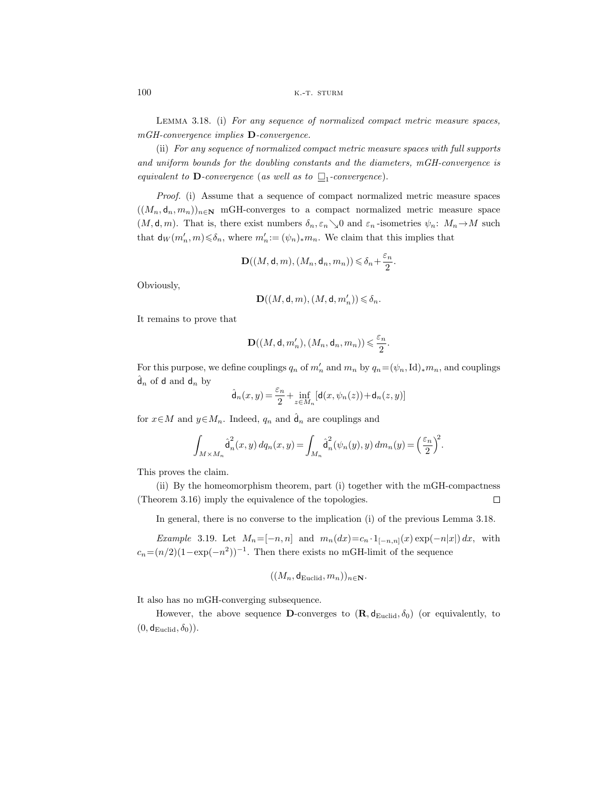Lemma 3.18. (i) *For any sequence of normalized compact metric measure spaces, mGH-convergence implies* **D***-convergence.*

(ii) *For any sequence of normalized compact metric measure spaces with full supports and uniform bounds for the doubling constants and the diameters, mGH-convergence is equivalent to*  $\mathbf{D}$ *-convergence* (*as well as to*  $\Box$ <sub>1</sub>*-convergence*).

*Proof.* (i) Assume that a sequence of compact normalized metric measure spaces  $((M_n, d_n, m_n))_{n\in\mathbb{N}}$  mGH-converges to a compact normalized metric measure space  $(M, \mathsf{d}, m)$ . That is, there exist numbers  $\delta_n, \varepsilon_n \searrow 0$  and  $\varepsilon_n$ -isometries  $\psi_n: M_n \to M$  such that  $d_W(m'_n, m) \leq \delta_n$ , where  $m'_n := (\psi_n)_* m_n$ . We claim that this implies that

$$
\mathbf{D}((M,\mathsf{d},m),(M_n,\mathsf{d}_n,m_n))\leqslant \delta_n+\frac{\varepsilon_n}{2}.
$$

Obviously,

$$
\mathbf{D}((M,\mathsf{d},m),(M,\mathsf{d},m'_n))\leqslant \delta_n.
$$

It remains to prove that

$$
\mathbf{D}((M,\mathsf{d},m'_n),(M_n,\mathsf{d}_n,m_n))\leqslant \frac{\varepsilon_n}{2}.
$$

For this purpose, we define couplings  $q_n$  of  $m'_n$  and  $m_n$  by  $q_n = (\psi_n, \mathrm{Id})_* m_n$ , and couplings  $\hat{\mathsf{d}}_n$  of **d** and  $\mathsf{d}_n$  by

$$
\hat{\mathsf{d}}_n(x,y) = \frac{\varepsilon_n}{2} + \inf_{z \in M_n} [\mathsf{d}(x,\psi_n(z)) + \mathsf{d}_n(z,y)]
$$

for  $x \in M$  and  $y \in M_n$ . Indeed,  $q_n$  and  $\hat{d}_n$  are couplings and

$$
\int_{M\times M_n} \hat{\textsf{d}}_n^2(x,y)\,dq_n(x,y)=\int_{M_n} \hat{\textsf{d}}_n^2(\psi_n(y),y)\,dm_n(y)=\Big(\frac{\varepsilon_n}{2}\Big)^{\!2}.
$$

This proves the claim.

(ii) By the homeomorphism theorem, part (i) together with the mGH-compactness (Theorem 3.16) imply the equivalence of the topologies.  $\Box$ 

In general, there is no converse to the implication (i) of the previous Lemma 3.18.

*Example* 3.19. Let  $M_n=[-n,n]$  and  $m_n(dx)=c_n \cdot 1_{[-n,n]}(x) \exp(-n|x|) dx$ , with  $c_n=(n/2)(1-\exp(-n^2))^{-1}$ . Then there exists no mGH-limit of the sequence

$$
((M_n, \mathsf{d}_{\mathrm{Euclid}}, m_n))_{n \in \mathbf{N}}.
$$

It also has no mGH-converging subsequence.

However, the above sequence **D**-converges to  $(\mathbf{R}, \mathbf{d}_{Euclid}, \delta_0)$  (or equivalently, to  $(0, d_{Euclid}, \delta_0)$ .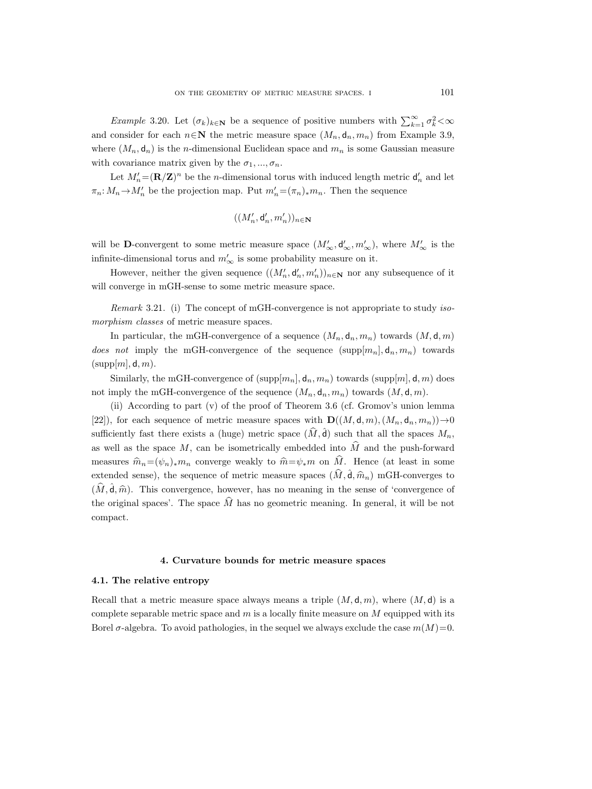*Example* 3.20. Let  $(\sigma_k)_{k \in \mathbb{N}}$  be a sequence of positive numbers with  $\sum_{k=1}^{\infty} \sigma_k^2 < \infty$ and consider for each  $n \in \mathbb{N}$  the metric measure space  $(M_n, d_n, m_n)$  from Example 3.9, where  $(M_n, \mathbf{d}_n)$  is the *n*-dimensional Euclidean space and  $m_n$  is some Gaussian measure with covariance matrix given by the  $\sigma_1, ..., \sigma_n$ .

Let  $M'_n = (\mathbf{R}/\mathbf{Z})^n$  be the *n*-dimensional torus with induced length metric  $\mathsf{d}'_n$  and let  $\pi_n: M_n \to M'_n$  be the projection map. Put  $m'_n = (\pi_n)_* m_n$ . Then the sequence

$$
((M_n',\mathsf{d}_n',m_n'))_{n\in\mathbf{N}}
$$

will be **D**-convergent to some metric measure space  $(M'_{\infty}, \mathsf{d}'_{\infty}, m'_{\infty}),$  where  $M'_{\infty}$  is the infinite-dimensional torus and  $m'_\infty$  is some probability measure on it.

However, neither the given sequence  $((M'_n, \mathsf{d}'_n, m'_n))_{n \in \mathbb{N}}$  nor any subsequence of it will converge in mGH-sense to some metric measure space.

*Remark* 3.21. (i) The concept of mGH-convergence is not appropriate to study *isomorphism classes* of metric measure spaces.

In particular, the mGH-convergence of a sequence  $(M_n, \mathsf{d}_n, m_n)$  towards  $(M, \mathsf{d}, m)$ *does not* imply the mGH-convergence of the sequence  $(\text{supp}[m_n], d_n, m_n)$  towards  $(supp[m], d, m).$ 

Similarly, the mGH-convergence of  $(\text{supp}[m_n], \mathbf{d}_n, m_n)$  towards  $(\text{supp}[m], \mathbf{d}, m)$  does not imply the mGH-convergence of the sequence  $(M_n, d_n, m_n)$  towards  $(M, d, m)$ .

(ii) According to part (v) of the proof of Theorem 3.6 (cf. Gromov's union lemma [22]), for each sequence of metric measure spaces with  $\mathbf{D}((M, \mathsf{d}, m), (M_n, \mathsf{d}_n, m_n)) \rightarrow 0$ sufficiently fast there exists a (huge) metric space  $(\widehat{M}, \widehat{d})$  such that all the spaces  $M_n$ , as well as the space M, can be isometrically embedded into  $\hat{M}$  and the push-forward measures  $\hat{m}_n=(\psi_n)_*m_n$  converge weakly to  $\hat{m}=\psi_*m$  on  $\hat{M}$ . Hence (at least in some extended sense), the sequence of metric measure spaces  $(\hat{M}, \hat{\mathbf{d}}, \hat{m}_n)$  mGH-converges to  $(\hat{M}, \hat{\mathsf{d}}, \hat{m})$ . This convergence, however, has no meaning in the sense of 'convergence of the original spaces'. The space  $\widehat{M}$  has no geometric meaning. In general, it will be not compact.

## **4. Curvature bounds for metric measure spaces**

### **4.1. The relative entropy**

Recall that a metric measure space always means a triple  $(M, d, m)$ , where  $(M, d)$  is a complete separable metric space and  $m$  is a locally finite measure on  $M$  equipped with its Borel  $\sigma$ -algebra. To avoid pathologies, in the sequel we always exclude the case  $m(M)=0$ .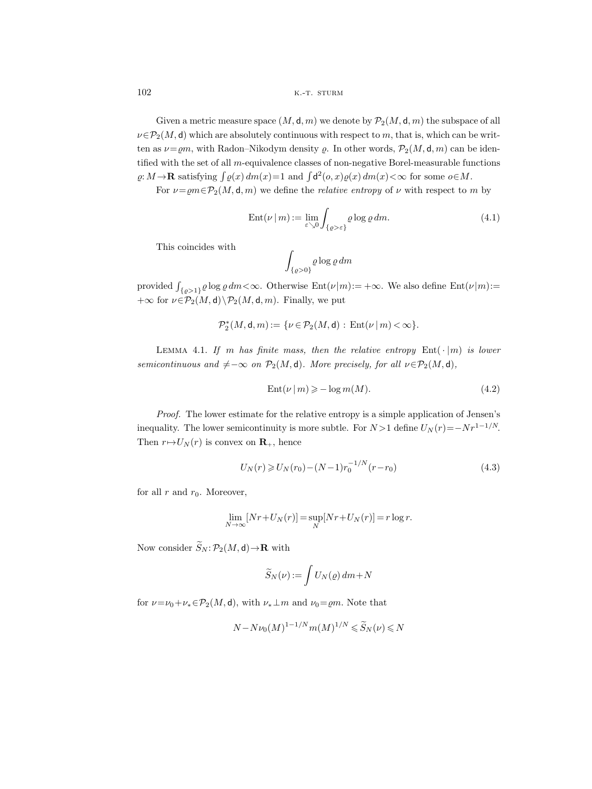Given a metric measure space  $(M, \mathsf{d}, m)$  we denote by  $\mathcal{P}_2(M, \mathsf{d}, m)$  the subspace of all  $\nu \in \mathcal{P}_2(M, d)$  which are absolutely continuous with respect to m, that is, which can be written as  $\nu = \rho m$ , with Radon–Nikodym density  $\rho$ . In other words,  $\mathcal{P}_2(M, \mathsf{d}, m)$  can be identified with the set of all m-equivalence classes of non-negative Borel-measurable functions  $\varrho: M \to \mathbf{R}$  satisfying  $\int \varrho(x) dm(x) = 1$  and  $\int d^2(\rho, x) \varrho(x) dm(x) < \infty$  for some  $\rho \in M$ .

For  $\nu = \rho m \in \mathcal{P}_2(M, d, m)$  we define the *relative entropy* of  $\nu$  with respect to m by

$$
Ent(\nu \mid m) := \lim_{\varepsilon \searrow 0} \int_{\{\varrho > \varepsilon\}} \varrho \log \varrho \, dm. \tag{4.1}
$$

This coincides with

$$
\int_{\{\varrho>0\}} \varrho \log \varrho \, dm
$$

provided  $\int_{\{\varrho>1\}} \varrho \log \varrho dm < \infty$ . Otherwise  $Ent(\nu|m) := +\infty$ . We also define  $Ent(\nu|m) :=$  $+\infty$  for  $\nu \in \mathcal{P}_2(M,\mathsf{d}) \backslash \mathcal{P}_2(M,\mathsf{d},m)$ . Finally, we put

$$
\mathcal{P}^*_{2}(M,\mathsf{d},m):=\{\nu\in\mathcal{P}_{2}(M,\mathsf{d})\,\colon\mathop{\rm Ent}\nolimits(\nu\,|\,m)<\infty\}.
$$

LEMMA 4.1. *If* m has finite mass, then the relative entropy  $Ent(\cdot | m)$  is lower *semicontinuous and*  $\neq -\infty$  *on*  $\mathcal{P}_2(M, d)$ *. More precisely, for all*  $\nu \in \mathcal{P}_2(M, d)$ *,* 

$$
Ent(\nu \mid m) \geqslant -\log m(M). \tag{4.2}
$$

*Proof.* The lower estimate for the relative entropy is a simple application of Jensen's inequality. The lower semicontinuity is more subtle. For  $N > 1$  define  $U_N(r) = -Nr^{1-1/N}$ . Then  $r \mapsto U_N(r)$  is convex on **R**<sub>+</sub>, hence

$$
U_N(r) \geqslant U_N(r_0) - (N-1)r_0^{-1/N}(r-r_0)
$$
\n
$$
(4.3)
$$

for all  $r$  and  $r_0$ . Moreover,

$$
\lim_{N \to \infty} [Nr + U_N(r)] = \sup_N [Nr + U_N(r)] = r \log r.
$$

Now consider  $\widetilde{S}_N : \mathcal{P}_2(M, \mathsf{d}) \to \mathbf{R}$  with

$$
\widetilde{S}_N(\nu):=\int U_N(\varrho)\,dm\!+\!N
$$

for  $\nu = \nu_0 + \nu_* \in \mathcal{P}_2(M, d)$ , with  $\nu_* \perp m$  and  $\nu_0 = \rho m$ . Note that

$$
N - N\nu_0(M)^{1-1/N} m(M)^{1/N} \leqslant \widetilde{S}_N(\nu) \leqslant N
$$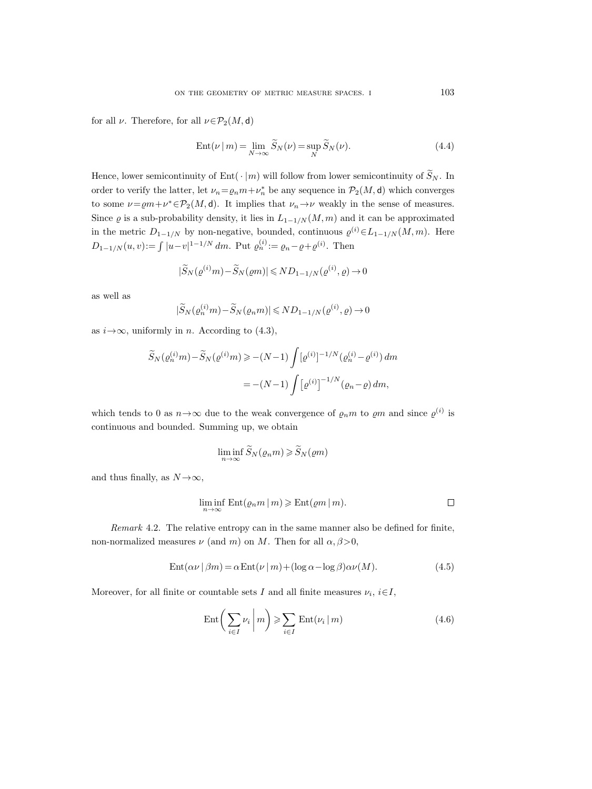for all  $\nu$ . Therefore, for all  $\nu \in \mathcal{P}_2(M, d)$ 

$$
Ent(\nu \mid m) = \lim_{N \to \infty} \widetilde{S}_N(\nu) = \sup_N \widetilde{S}_N(\nu).
$$
\n(4.4)

Hence, lower semicontinuity of Ent $(\cdot | m)$  will follow from lower semicontinuity of  $\widetilde{S}_N$ . In order to verify the latter, let  $\nu_n = \varrho_n m + \nu_n^*$  be any sequence in  $\mathcal{P}_2(M, \mathsf{d})$  which converges to some  $\nu = \rho m + \nu^* \in \mathcal{P}_2(M, d)$ . It implies that  $\nu_n \to \nu$  weakly in the sense of measures. Since  $\varrho$  is a sub-probability density, it lies in  $L_{1-1/N}(M,m)$  and it can be approximated in the metric  $D_{1-1/N}$  by non-negative, bounded, continuous  $\varrho^{(i)} \in L_{1-1/N}(M,m)$ . Here  $D_{1-1/N}(u, v) := \int |u - v|^{1-1/N} dm$ . Put  $\varrho_n^{(i)} := \varrho_n - \varrho + \varrho^{(i)}$ . Then

$$
|\widetilde{S}_N(\varrho^{(i)}m) - \widetilde{S}_N(\varrho m)| \leqslant ND_{1-1/N}(\varrho^{(i)}, \varrho) \to 0
$$

as well as

$$
|\widetilde{S}_N(\varrho_n^{(i)}m) - \widetilde{S}_N(\varrho_n m)| \leq N D_{1-1/N}(\varrho^{(i)}, \varrho) \to 0
$$

as  $i \rightarrow \infty$ , uniformly in *n*. According to (4.3),

$$
\widetilde{S}_N(\varrho_n^{(i)}m) - \widetilde{S}_N(\varrho^{(i)}m) \ge -(N-1) \int [\varrho^{(i)}]^{-1/N} (\varrho_n^{(i)} - \varrho^{(i)}) dm
$$
  
= -(N-1) 
$$
\int [\varrho^{(i)}]^{-1/N} (\varrho_n - \varrho) dm,
$$

which tends to 0 as  $n \rightarrow \infty$  due to the weak convergence of  $\rho_n m$  to  $\rho m$  and since  $\rho^{(i)}$  is continuous and bounded. Summing up, we obtain

$$
\liminf_{n \to \infty} \widetilde{S}_N(\varrho_n m) \geqslant \widetilde{S}_N(\varrho m)
$$

and thus finally, as  $N \rightarrow \infty$ ,

$$
\liminf_{n \to \infty} \mathrm{Ent}(\varrho_n m \, | \, m) \geqslant \mathrm{Ent}(\varrho m \, | \, m).
$$

*Remark* 4.2. The relative entropy can in the same manner also be defined for finite, non-normalized measures  $\nu$  (and m) on M. Then for all  $\alpha$ ,  $\beta > 0$ ,

$$
Ent(\alpha \nu \mid \beta m) = \alpha Ent(\nu \mid m) + (\log \alpha - \log \beta)\alpha \nu(M). \tag{4.5}
$$

Moreover, for all finite or countable sets I and all finite measures  $\nu_i$ ,  $i \in I$ ,

$$
Ent\bigg(\sum_{i\in I} \nu_i \bigg| m\bigg) \geqslant \sum_{i\in I} Ent(\nu_i \,|\, m) \tag{4.6}
$$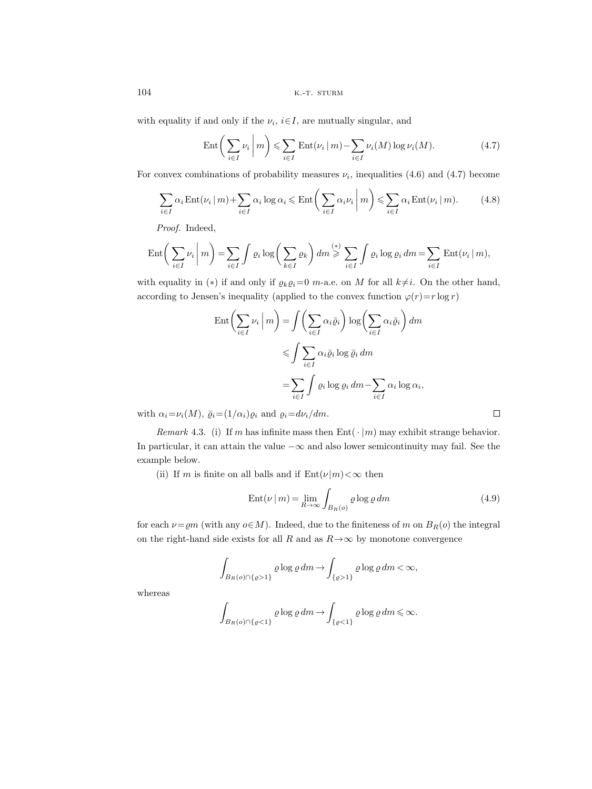with equality if and only if the  $\nu_i$ ,  $i \in I$ , are mutually singular, and

$$
\operatorname{Ent}\bigg(\sum_{i\in I}\nu_i\,\bigg|\,m\bigg)\leqslant\sum_{i\in I}\operatorname{Ent}(\nu_i\,|\,m)-\sum_{i\in I}\nu_i(M)\log\nu_i(M). \tag{4.7}
$$

For convex combinations of probability measures  $\nu_i$ , inequalities (4.6) and (4.7) become

$$
\sum_{i \in I} \alpha_i \text{Ent}(\nu_i \mid m) + \sum_{i \in I} \alpha_i \log \alpha_i \le \text{Ent}\bigg(\sum_{i \in I} \alpha_i \nu_i \mid m\bigg) \le \sum_{i \in I} \alpha_i \text{Ent}(\nu_i \mid m). \tag{4.8}
$$

*Proof.* Indeed,

$$
\operatorname{Ent}\bigg(\sum_{i\in I}\nu_i\,\bigg|\,m\bigg)=\sum_{i\in I}\int\varrho_i\log\bigg(\sum_{k\in I}\varrho_k\bigg)\,dm\stackrel{(*)}{\geqslant}\sum_{i\in I}\int\varrho_i\log\varrho_i\,dm=\sum_{i\in I}\operatorname{Ent}(\nu_i\,|\,m),
$$

with equality in (\*) if and only if  $\varrho_k\varrho_i=0$  m-a.e. on M for all  $k\neq i$ . On the other hand, according to Jensen's inequality (applied to the convex function  $\varphi(r)=r \log r$ )

$$
\operatorname{Ent}\left(\sum_{i\in I} \nu_i \middle| m\right) = \int \left(\sum_{i\in I} \alpha_i \bar{\varrho}_i\right) \log\left(\sum_{i\in I} \alpha_i \bar{\varrho}_i\right) dm
$$
  
\$\leqslant \int \sum\_{i\in I} \alpha\_i \bar{\varrho}\_i \log \bar{\varrho}\_i dm\$  

$$
= \sum_{i\in I} \int \varrho_i \log \varrho_i dm - \sum_{i\in I} \alpha_i \log \alpha_i,
$$

with  $\alpha_i = \nu_i(M)$ ,  $\bar{\varrho}_i = (1/\alpha_i)\varrho_i$  and  $\varrho_i = d\nu_i/dm$ .

*Remark* 4.3. (i) If m has infinite mass then  $Ent(\cdot | m)$  may exhibit strange behavior. In particular, it can attain the value  $-\infty$  and also lower semicontinuity may fail. See the example below.

(ii) If m is finite on all balls and if  $Ent(\nu|m) < \infty$  then

$$
Ent(\nu \mid m) = \lim_{R \to \infty} \int_{B_R(o)} \varrho \log \varrho \, dm \tag{4.9}
$$

for each  $\nu = \varrho m$  (with any  $o \in M$ ). Indeed, due to the finiteness of m on  $B_R(o)$  the integral on the right-hand side exists for all R and as  $R \rightarrow \infty$  by monotone convergence

$$
\int_{B_R(\rho)\cap\{\varrho>1\}} \varrho \log \varrho \, dm \to \int_{\{\varrho>1\}} \varrho \log \varrho \, dm < \infty,
$$

whereas

$$
\int_{B_R(\rho)\cap\{\varrho<1\}}\varrho\log\varrho\,dm\to\int_{\{\varrho<1\}}\varrho\log\varrho\,dm\leqslant\infty.
$$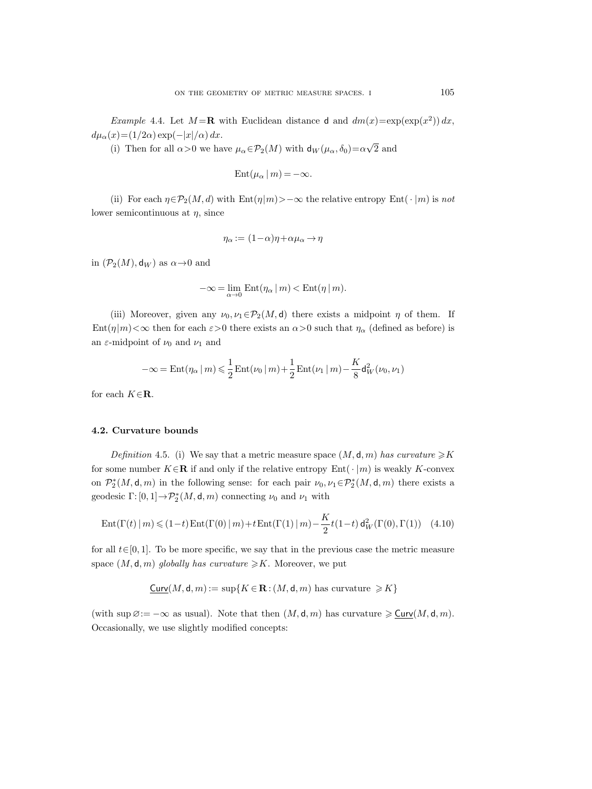*Example* 4.4. Let  $M = \mathbf{R}$  with Euclidean distance d and  $dm(x) = \exp(\exp(x^2)) dx$ ,  $d\mu_{\alpha}(x) = (1/2\alpha) \exp(-|x|/\alpha) dx.$ 

(i) Then for all  $\alpha > 0$  we have  $\mu_{\alpha} \in \mathcal{P}_2(M)$  with  $d_W(\mu_{\alpha}, \delta_0) = \alpha \sqrt{2}$  and

$$
Ent(\mu_{\alpha} | m) = -\infty.
$$

(ii) For each  $\eta \in \mathcal{P}_2(M, d)$  with  $\text{Ent}(\eta|m) > -\infty$  the relative entropy  $\text{Ent}(\cdot | m)$  is *not* lower semicontinuous at  $\eta$ , since

$$
\eta_\alpha := (1\!-\!\alpha)\eta \!+\! \alpha\mu_\alpha \!\rightarrow\! \eta
$$

in  $(\mathcal{P}_2(M), \mathsf{d}_W)$  as  $\alpha \rightarrow 0$  and

$$
-\infty = \lim_{\alpha \to 0} \mathrm{Ent}(\eta_\alpha \, | \, m) < \mathrm{Ent}(\eta \, | \, m).
$$

(iii) Moreover, given any  $\nu_0, \nu_1 \in \mathcal{P}_2(M, d)$  there exists a midpoint  $\eta$  of them. If  $\text{Ent}(\eta|m)<\infty$  then for each  $\varepsilon>0$  there exists an  $\alpha>0$  such that  $\eta_{\alpha}$  (defined as before) is an  $\varepsilon$ -midpoint of  $\nu_0$  and  $\nu_1$  and

$$
-\infty=\mathrm{Ent}(\eta_\alpha\,|\,m)\leqslant\frac{1}{2}\,\mathrm{Ent}(\nu_0\,|\,m)+\frac{1}{2}\,\mathrm{Ent}(\nu_1\,|\,m)-\frac{K}{8}\mathsf{d}_W^2(\nu_0,\nu_1)
$$

for each  $K \in \mathbf{R}$ .

## **4.2. Curvature bounds**

*Definition* 4.5. (i) We say that a metric measure space  $(M, d, m)$  has curvature  $\ge K$ for some number  $K \in \mathbb{R}$  if and only if the relative entropy  $Ent(\cdot | m)$  is weakly K-convex on  $\mathcal{P}_2^*(M, \mathsf{d}, m)$  in the following sense: for each pair  $\nu_0, \nu_1 \in \mathcal{P}_2^*(M, \mathsf{d}, m)$  there exists a geodesic  $\Gamma$ :  $[0, 1] \rightarrow \mathcal{P}_2^*(M, \mathsf{d}, m)$  connecting  $\nu_0$  and  $\nu_1$  with

Ent
$$
(\Gamma(t) | m) \le (1-t) \text{Ent}(\Gamma(0) | m) + t \text{Ent}(\Gamma(1) | m) - \frac{K}{2} t (1-t) d_W^2(\Gamma(0), \Gamma(1))
$$
 (4.10)

for all  $t \in [0, 1]$ . To be more specific, we say that in the previous case the metric measure space  $(M, \mathsf{d}, m)$  *globally has curvature*  $\geq K$ . Moreover, we put

$$
\underline{\mathsf{Curv}}(M,\mathsf{d},m):=\sup\{K\!\in\!\mathbf{R}\!:\!(M,\mathsf{d},m)\text{ has curvature }\geqslant\! K\}
$$

(with sup  $\emptyset := -\infty$  as usual). Note that then  $(M, d, m)$  has curvature  $\geq \underline{\text{Curv}}(M, d, m)$ . Occasionally, we use slightly modified concepts: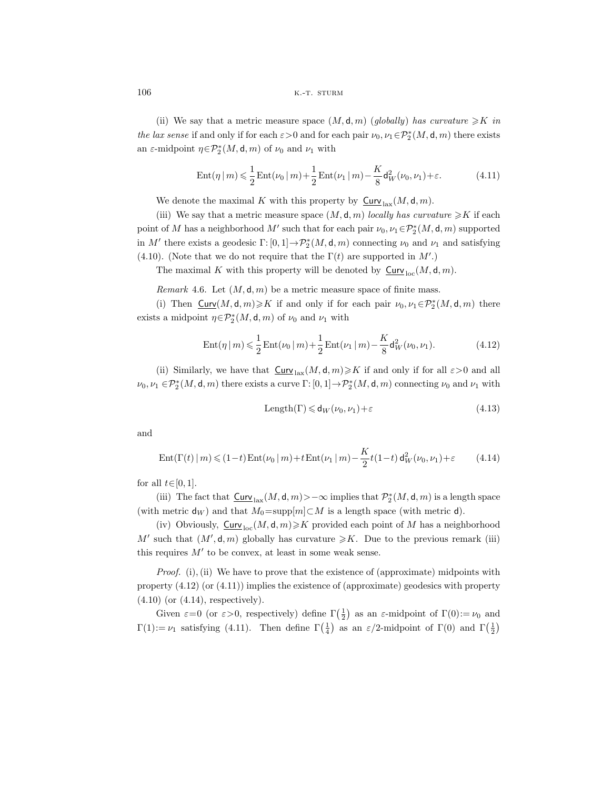(ii) We say that a metric measure space  $(M, d, m)$  (*qlobally*) has curvature  $\geq K$  in *the lax sense* if and only if for each  $\varepsilon > 0$  and for each pair  $\nu_0, \nu_1 \in \mathcal{P}_2^*(M, \mathsf{d}, m)$  there exists an  $\varepsilon$ -midpoint  $\eta \in \mathcal{P}_2^*(M, \mathsf{d}, m)$  of  $\nu_0$  and  $\nu_1$  with

$$
Ent(\eta | m) \leq \frac{1}{2} Ent(\nu_0 | m) + \frac{1}{2} Ent(\nu_1 | m) - \frac{K}{8} d_W^2(\nu_0, \nu_1) + \varepsilon.
$$
 (4.11)

We denote the maximal K with this property by  $\mathsf{Curv}_{\text{law}}(M, \mathsf{d}, m)$ .

(iii) We say that a metric measure space  $(M, d, m)$  *locally has curvature*  $\geq K$  if each point of M has a neighborhood  $M'$  such that for each pair  $\nu_0, \nu_1 \in \mathcal{P}_2^*(M, \mathsf{d}, m)$  supported in M' there exists a geodesic  $\Gamma: [0,1] \to \mathcal{P}_2^*(M, \mathsf{d}, m)$  connecting  $\nu_0$  and  $\nu_1$  and satisfying (4.10). (Note that we do not require that the  $\Gamma(t)$  are supported in  $M'$ .)

The maximal K with this property will be denoted by  $\mathsf{Curv}_{\mathrm{loc}}(M, \mathsf{d}, m)$ .

*Remark* 4.6. Let  $(M, \mathsf{d}, m)$  be a metric measure space of finite mass.

(i) Then  $\underline{\text{Curv}}(M,\mathsf{d},m)\geqslant K$  if and only if for each pair  $\nu_0,\nu_1\in \mathcal{P}_2^*(M,\mathsf{d},m)$  there exists a midpoint  $\eta \in \mathcal{P}_2^*(M, \mathsf{d}, m)$  of  $\nu_0$  and  $\nu_1$  with

$$
Ent(\eta | m) \leq \frac{1}{2} Ent(\nu_0 | m) + \frac{1}{2} Ent(\nu_1 | m) - \frac{K}{8} d_W^2(\nu_0, \nu_1).
$$
 (4.12)

(ii) Similarly, we have that  $\underline{\text{Curv}}_{\text{lax}}(M, \mathsf{d}, m) \geqslant K$  if and only if for all  $\varepsilon > 0$  and all  $\nu_0, \nu_1 \in \mathcal{P}_2^*(M, \mathsf{d}, m)$  there exists a curve  $\Gamma: [0, 1] \to \mathcal{P}_2^*(M, \mathsf{d}, m)$  connecting  $\nu_0$  and  $\nu_1$  with

$$
Length(\Gamma) \leq d_W(\nu_0, \nu_1) + \varepsilon \tag{4.13}
$$

and

$$
\operatorname{Ent}(\Gamma(t) \mid m) \leq (1-t)\operatorname{Ent}(\nu_0 \mid m) + t\operatorname{Ent}(\nu_1 \mid m) - \frac{K}{2}t(1-t)\operatorname{d}_W^2(\nu_0, \nu_1) + \varepsilon \tag{4.14}
$$

for all  $t \in [0, 1]$ .

(iii) The fact that  $\underline{\textsf{Curv}}_{\text{ lax}}(M,\mathsf{d},m)$ >- $\infty$  implies that  $\mathcal{P}_2^*(M,\mathsf{d},m)$  is a length space (with metric  $d_W$ ) and that  $M_0 = \text{supp}[m] \subset M$  is a length space (with metric d).

(iv) Obviously,  $\mathsf{Curv}_{\mathrm{loc}}(M, \mathsf{d}, m) \geqslant K$  provided each point of M has a neighborhood M' such that  $(M', \mathsf{d}, m)$  globally has curvature  $\geq K$ . Due to the previous remark (iii) this requires  $M'$  to be convex, at least in some weak sense.

*Proof.* (i), (ii) We have to prove that the existence of (approximate) midpoints with property  $(4.12)$  (or  $(4.11)$ ) implies the existence of (approximate) geodesics with property (4.10) (or (4.14), respectively).

Given  $\varepsilon=0$  (or  $\varepsilon>0$ , respectively) define  $\Gamma(\frac{1}{2})$  as an  $\varepsilon$ -midpoint of  $\Gamma(0):=\nu_0$  and  $\Gamma(1) := \nu_1$  satisfying (4.11). Then define  $\Gamma(\frac{1}{4})$  as an  $\varepsilon/2$ -midpoint of  $\Gamma(0)$  and  $\Gamma(\frac{1}{2})$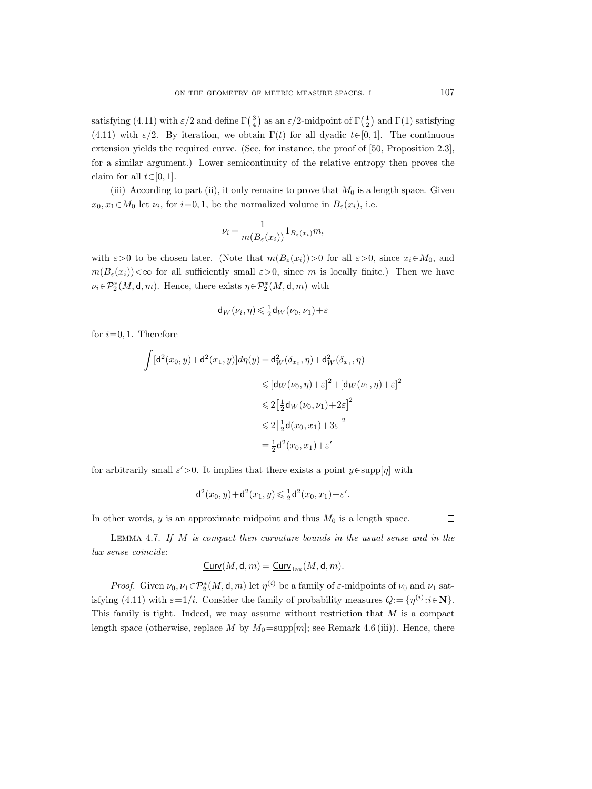satisfying (4.11) with  $\varepsilon/2$  and define  $\Gamma(\frac{3}{4})$  as an  $\varepsilon/2$ -midpoint of  $\Gamma(\frac{1}{2})$  and  $\Gamma(1)$  satisfying (4.11) with  $\varepsilon/2$ . By iteration, we obtain  $\Gamma(t)$  for all dyadic  $t\in[0,1]$ . The continuous extension yields the required curve. (See, for instance, the proof of [50, Proposition 2.3], for a similar argument.) Lower semicontinuity of the relative entropy then proves the claim for all  $t \in [0, 1]$ .

(iii) According to part (ii), it only remains to prove that  $M_0$  is a length space. Given  $x_0, x_1 \in M_0$  let  $\nu_i$ , for  $i=0, 1$ , be the normalized volume in  $B_{\varepsilon}(x_i)$ , i.e.

$$
\nu_i = \frac{1}{m(B_{\varepsilon}(x_i))} 1_{B_{\varepsilon}(x_i)} m,
$$

with  $\varepsilon > 0$  to be chosen later. (Note that  $m(B_{\varepsilon}(x_i))>0$  for all  $\varepsilon > 0$ , since  $x_i \in M_0$ , and  $m(B_{\varepsilon}(x_i))<\infty$  for all sufficiently small  $\varepsilon>0$ , since m is locally finite.) Then we have  $\nu_i \in \mathcal{P}_2^*(M, \mathsf{d}, m)$ . Hence, there exists  $\eta \in \mathcal{P}_2^*(M, \mathsf{d}, m)$  with

$$
\mathsf{d}_W\big(\nu_i,\eta\big) \!\leqslant\! \tfrac12 \mathsf{d}_W\big(\nu_0,\nu_1\big)\!+\!\varepsilon
$$

for  $i=0, 1$ . Therefore

$$
\int [d^2(x_0, y) + d^2(x_1, y)]d\eta(y) = d_W^2(\delta_{x_0}, \eta) + d_W^2(\delta_{x_1}, \eta)
$$
  
\n
$$
\leq [d_W(\nu_0, \eta) + \varepsilon]^2 + [d_W(\nu_1, \eta) + \varepsilon]^2
$$
  
\n
$$
\leq 2\left[\frac{1}{2}d_W(\nu_0, \nu_1) + 2\varepsilon\right]^2
$$
  
\n
$$
\leq 2\left[\frac{1}{2}d(x_0, x_1) + 3\varepsilon\right]^2
$$
  
\n
$$
= \frac{1}{2}d^2(x_0, x_1) + \varepsilon'
$$

for arbitrarily small  $\varepsilon' > 0$ . It implies that there exists a point  $y \in \text{supp}[\eta]$  with

$$
d^{2}(x_{0}, y) + d^{2}(x_{1}, y) \leq \frac{1}{2}d^{2}(x_{0}, x_{1}) + \varepsilon'.
$$

In other words,  $y$  is an approximate midpoint and thus  $M_0$  is a length space.

 $\Box$ 

Lemma 4.7. *If* M *is compact then curvature bounds in the usual sense and in the lax sense coincide*:

$$
\underline{\mathsf{Curv}}(M,\mathsf{d},m)=\underline{\mathsf{Curv}}_{\mathrm{lax}}(M,\mathsf{d},m).
$$

*Proof.* Given  $\nu_0, \nu_1 \in \mathcal{P}_2^*(M, \mathbf{d}, m)$  let  $\eta^{(i)}$  be a family of  $\varepsilon$ -midpoints of  $\nu_0$  and  $\nu_1$  satisfying (4.11) with  $\varepsilon=1/i$ . Consider the family of probability measures  $Q:=\{\eta^{(i)}:i\in\mathbb{N}\}.$ This family is tight. Indeed, we may assume without restriction that  $M$  is a compact length space (otherwise, replace M by  $M_0 = \text{supp}[m]$ ; see Remark 4.6 (iii)). Hence, there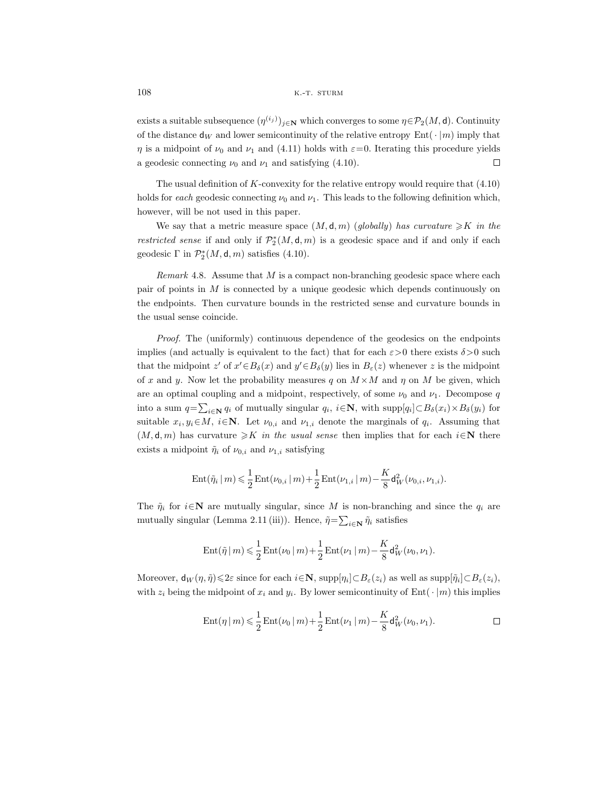exists a suitable subsequence  $(\eta^{(i_j)})_{j\in\mathbb{N}}$  which converges to some  $\eta \in \mathcal{P}_2(M, \mathsf{d})$ . Continuity of the distance  $\mathsf{d}_W$  and lower semicontinuity of the relative entropy Ent( $\cdot |m\rangle$  imply that  $\eta$  is a midpoint of  $\nu_0$  and  $\nu_1$  and (4.11) holds with  $\varepsilon=0$ . Iterating this procedure yields a geodesic connecting  $\nu_0$  and  $\nu_1$  and satisfying (4.10).  $\Box$ 

The usual definition of  $K$ -convexity for the relative entropy would require that  $(4.10)$ holds for *each* geodesic connecting  $\nu_0$  and  $\nu_1$ . This leads to the following definition which, however, will be not used in this paper.

We say that a metric measure space  $(M, d, m)$  (*globally*) has curvature  $\geq K$  in the *restricted sense* if and only if  $\mathcal{P}_2^*(M, \mathsf{d}, m)$  is a geodesic space and if and only if each geodesic  $\Gamma$  in  $\mathcal{P}_2^*(M, \mathsf{d}, m)$  satisfies (4.10).

*Remark* 4.8. Assume that M is a compact non-branching geodesic space where each pair of points in  $M$  is connected by a unique geodesic which depends continuously on the endpoints. Then curvature bounds in the restricted sense and curvature bounds in the usual sense coincide.

*Proof.* The (uniformly) continuous dependence of the geodesics on the endpoints implies (and actually is equivalent to the fact) that for each  $\varepsilon > 0$  there exists  $\delta > 0$  such that the midpoint  $z'$  of  $x' \in B_\delta(x)$  and  $y' \in B_\delta(y)$  lies in  $B_\varepsilon(z)$  whenever z is the midpoint of x and y. Now let the probability measures q on  $M \times M$  and  $\eta$  on M be given, which are an optimal coupling and a midpoint, respectively, of some  $\nu_0$  and  $\nu_1$ . Decompose q into a sum  $q = \sum_{i \in \mathbb{N}} q_i$  of mutually singular  $q_i$ ,  $i \in \mathbb{N}$ , with supp $[q_i] \subset B_\delta(x_i) \times B_\delta(y_i)$  for suitable  $x_i, y_i \in M$ ,  $i \in \mathbb{N}$ . Let  $\nu_{0,i}$  and  $\nu_{1,i}$  denote the marginals of  $q_i$ . Assuming that  $(M, \mathsf{d}, m)$  has curvature  $\geqslant K$  *in the usual sense* then implies that for each  $i \in \mathbb{N}$  there exists a midpoint  $\tilde{\eta}_i$  of  $\nu_{0,i}$  and  $\nu_{1,i}$  satisfying

$$
\mathrm{Ent}(\tilde{\eta}_i \,|\, m) \leqslant \frac{1}{2} \, \mathrm{Ent}(\nu_{0,i} \,|\, m) + \frac{1}{2} \, \mathrm{Ent}(\nu_{1,i} \,|\, m) - \frac{K}{8} \mathsf{d}_W^2(\nu_{0,i},\nu_{1,i}).
$$

The  $\tilde{\eta}_i$  for  $i \in \mathbb{N}$  are mutually singular, since M is non-branching and since the  $q_i$  are mutually singular (Lemma 2.11 (iii)). Hence,  $\tilde{\eta} = \sum_{i \in \mathbf{N}} \tilde{\eta}_i$  satisfies

$$
\operatorname{Ent}(\tilde{\eta} \,|\, m) \leqslant \frac{1}{2} \operatorname{Ent}(\nu_0 \,|\, m) + \frac{1}{2} \operatorname{Ent}(\nu_1 \,|\, m) - \frac{K}{8} \mathsf{d}_W^2(\nu_0, \nu_1).
$$

Moreover,  $\mathsf{d}_W(\eta, \tilde{\eta}) \leq 2\varepsilon$  since for each  $i \in \mathbb{N}$ ,  $\text{supp}[\eta_i] \subset B_{\varepsilon}(z_i)$  as well as  $\text{supp}[\tilde{\eta}_i] \subset B_{\varepsilon}(z_i)$ , with  $z_i$  being the midpoint of  $x_i$  and  $y_i$ . By lower semicontinuity of Ent( $\cdot |m\rangle$ ) this implies

$$
\mathrm{Ent}(\eta \,|\, m) \leqslant \frac{1}{2} \, \mathrm{Ent}(\nu_0 \,|\, m) + \frac{1}{2} \, \mathrm{Ent}(\nu_1 \,|\, m) - \frac{K}{8} \mathsf{d}_W^2(\nu_0, \nu_1).
$$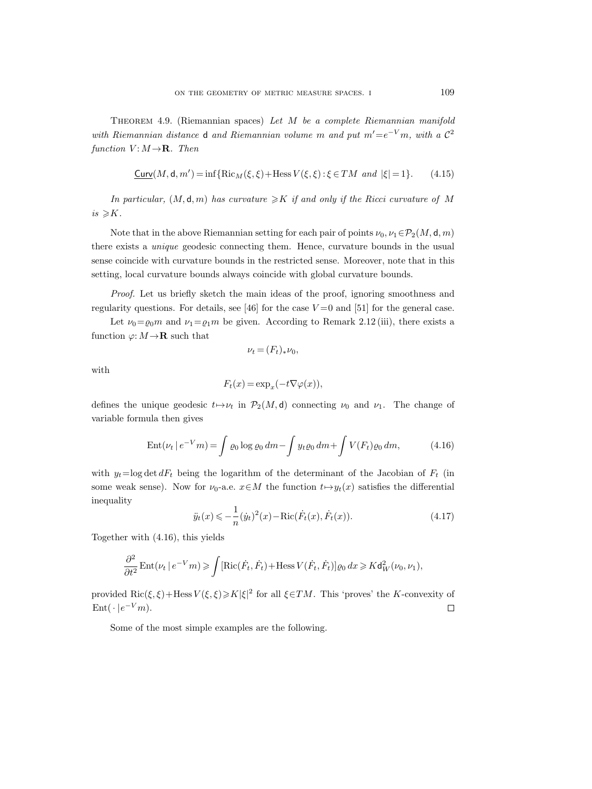Theorem 4.9. (Riemannian spaces) *Let* M *be a complete Riemannian manifold with Riemannian distance* **d** *and Riemannian volume m and put*  $m' = e^{-V}m$ *, with a*  $C^2$ *function*  $V: M \rightarrow \mathbf{R}$ *. Then* 

$$
\underline{\text{Curv}}(M,\mathsf{d},m') = \inf\{\text{Ric}_M(\xi,\xi) + \text{Hess}\,V(\xi,\xi) : \xi \in TM \text{ and } |\xi| = 1\}.
$$
 (4.15)

*In particular,*  $(M, d, m)$  *has curvature*  $\geq K$  *if and only if the Ricci curvature of* M  $is \geqslant K$ .

Note that in the above Riemannian setting for each pair of points  $\nu_0, \nu_1 \in \mathcal{P}_2(M, \mathsf{d}, m)$ there exists a *unique* geodesic connecting them. Hence, curvature bounds in the usual sense coincide with curvature bounds in the restricted sense. Moreover, note that in this setting, local curvature bounds always coincide with global curvature bounds.

*Proof.* Let us briefly sketch the main ideas of the proof, ignoring smoothness and regularity questions. For details, see [46] for the case  $V=0$  and [51] for the general case.

Let  $\nu_0 = \rho_0 m$  and  $\nu_1 = \rho_1 m$  be given. According to Remark 2.12 (iii), there exists a function  $\varphi: M \to \mathbf{R}$  such that

$$
\nu_t=(F_t)_*\nu_0,
$$

with

$$
F_t(x) = \exp_x(-t\nabla\varphi(x)),
$$

defines the unique geodesic  $t \mapsto \nu_t$  in  $\mathcal{P}_2(M, d)$  connecting  $\nu_0$  and  $\nu_1$ . The change of variable formula then gives

$$
Ent(\nu_t \mid e^{-V} m) = \int \varrho_0 \log \varrho_0 \, dm - \int y_t \varrho_0 \, dm + \int V(F_t) \varrho_0 \, dm, \tag{4.16}
$$

with  $y_t = \log \det dF_t$  being the logarithm of the determinant of the Jacobian of  $F_t$  (in some weak sense). Now for  $\nu_0$ -a.e.  $x \in M$  the function  $t \mapsto y_t(x)$  satisfies the differential inequality

$$
\ddot{y}_t(x) \leq -\frac{1}{n} (\dot{y}_t)^2(x) - \text{Ric}(\dot{F}_t(x), \dot{F}_t(x)).
$$
\n(4.17)

Together with (4.16), this yields

$$
\frac{\partial^2}{\partial t^2} \text{Ent}(\nu_t \mid e^{-V}m) \geq \int [\text{Ric}(\dot{F}_t, \dot{F}_t) + \text{Hess } V(\dot{F}_t, \dot{F}_t)] \varrho_0 \, dx \geq K d_W^2(\nu_0, \nu_1),
$$

provided  $\text{Ric}(\xi, \xi) + \text{Hess } V(\xi, \xi) \ge K|\xi|^2$  for all  $\xi \in TM$ . This 'proves' the K-convexity of  $Ent(\cdot | e^{-V}m).$  $\Box$ 

Some of the most simple examples are the following.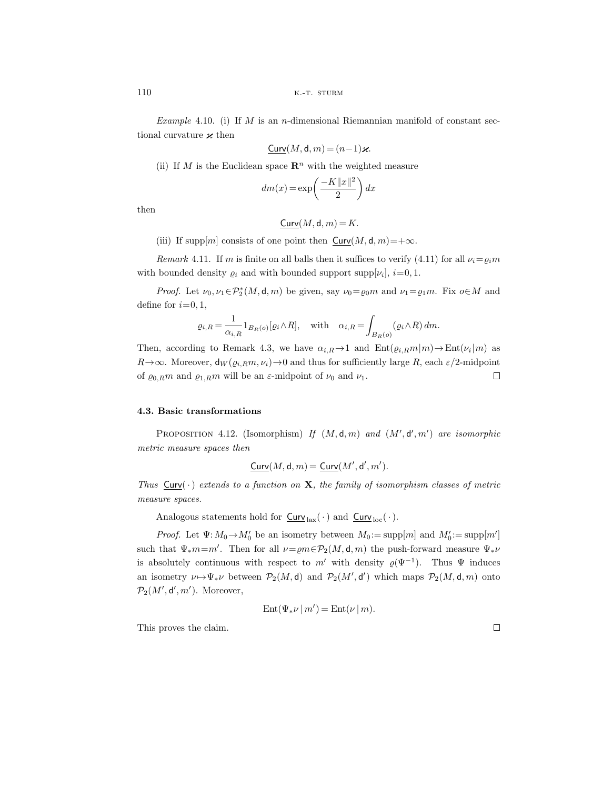*Example* 4.10. (i) If M is an *n*-dimensional Riemannian manifold of constant sectional curvature  $\varkappa$  then

$$
\underline{\mathrm{Curv}}(M,\mathsf{d},m) = (n-1)\varkappa.
$$

(ii) If M is the Euclidean space  $\mathbb{R}^n$  with the weighted measure

$$
dm(x)=\exp\left(\frac{-K\|x\|^2}{2}\right)dx
$$

then

$$
\underline{\mathsf{Curv}}(M,\mathsf{d},m) = K.
$$

(iii) If supp $[m]$  consists of one point then  $Curv(M, d, m)=+\infty$ .

*Remark* 4.11. If m is finite on all balls then it suffices to verify (4.11) for all  $\nu_i = \rho_i m$ with bounded density  $\varrho_i$  and with bounded support supp $[\nu_i], i=0,1$ .

*Proof.* Let  $\nu_0, \nu_1 \in \mathcal{P}_2^*(M, \mathsf{d}, m)$  be given, say  $\nu_0 = \varrho_0 m$  and  $\nu_1 = \varrho_1 m$ . Fix  $o \in M$  and define for  $i=0, 1$ ,

$$
\varrho_{i,R} = \frac{1}{\alpha_{i,R}} 1_{B_R(o)} [\varrho_i \wedge R], \quad \text{with} \quad \alpha_{i,R} = \int_{B_R(o)} (\varrho_i \wedge R) \, dm.
$$

Then, according to Remark 4.3, we have  $\alpha_{i,R} \to 1$  and  $\text{Ent}(\varrho_{i,R}m|m) \to \text{Ent}(\nu_i |m)$  as  $R \rightarrow \infty$ . Moreover,  $d_W(\varrho_{i,R}m, \nu_i) \rightarrow 0$  and thus for sufficiently large R, each  $\varepsilon/2$ -midpoint of  $\varrho_{0,R}m$  and  $\varrho_{1,R}m$  will be an  $\varepsilon$ -midpoint of  $\nu_0$  and  $\nu_1$ .  $\Box$ 

### **4.3. Basic transformations**

PROPOSITION 4.12. (Isomorphism) If  $(M, d, m)$  and  $(M', d', m')$  are isomorphic *metric measure spaces then*

$$
\underline{\mathsf{Curv}}(M,\mathsf{d},m)=\underline{\mathsf{Curv}}(M',\mathsf{d}',m').
$$

*Thus*  $Curv(\cdot)$  *extends to a function on* **X***, the family of isomorphism classes of metric measure spaces.*

Analogous statements hold for  $\frac{\text{Curv}}{\text{las}}(\cdot)$  and  $\frac{\text{Curv}}{\text{loc}}(\cdot)$ .

*Proof.* Let  $\Psi: M_0 \to M'_0$  be an isometry between  $M_0 := \text{supp}[m]$  and  $M'_0 := \text{supp}[m']$ such that  $\Psi_*m=m'$ . Then for all  $\nu=em\in \mathcal{P}_2(M,\mathsf{d},m)$  the push-forward measure  $\Psi_*\nu$ is absolutely continuous with respect to m' with density  $\varrho(\Psi^{-1})$ . Thus  $\Psi$  induces an isometry  $\nu \mapsto \Psi_*\nu$  between  $\mathcal{P}_2(M, \mathsf{d})$  and  $\mathcal{P}_2(M', \mathsf{d}')$  which maps  $\mathcal{P}_2(M, \mathsf{d}, m)$  onto  $\mathcal{P}_2(M', \mathsf{d}', m')$ . Moreover,

$$
\mathrm{Ent}(\Psi_*\nu\,|\,m')=\mathrm{Ent}(\nu\,|\,m).
$$

This proves the claim.

 $\Box$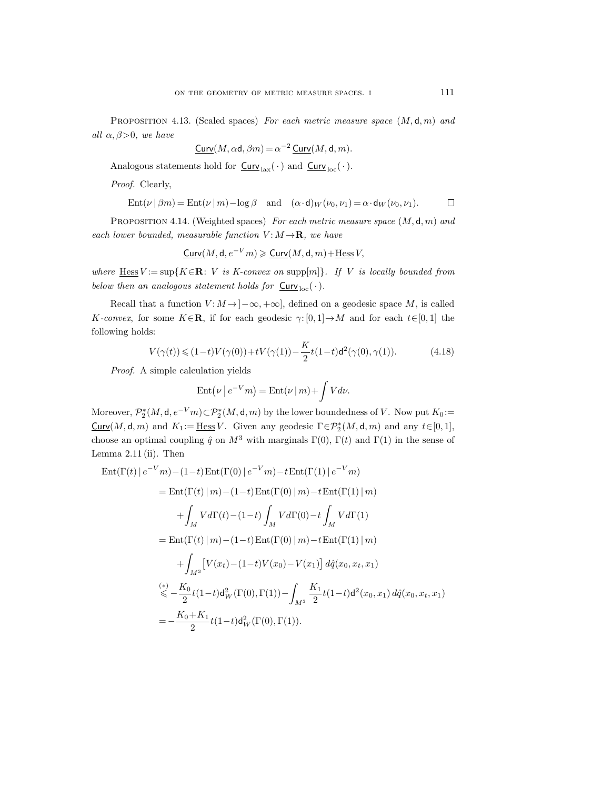Proposition 4.13. (Scaled spaces) *For each metric measure space* (M, d, m) *and all*  $\alpha, \beta > 0$ *, we have* 

$$
\underline{\mathsf{Curv}}(M,\alpha\mathsf{d},\beta m)\,{=}\,\alpha^{-2}\,\underline{\mathsf{Curv}}(M,\mathsf{d},m).
$$

Analogous statements hold for  $\underline{\mathsf{Curv}}_{\text{ lax}}(\,\cdot\,)$  and  $\underline{\mathsf{Curv}}_{\text{ loc}}(\,\cdot\,).$ 

*Proof.* Clearly,

$$
Ent(\nu \mid \beta m) = Ent(\nu \mid m) - \log \beta \quad \text{and} \quad (\alpha \cdot d)_W(\nu_0, \nu_1) = \alpha \cdot d_W(\nu_0, \nu_1).
$$

Proposition 4.14. (Weighted spaces) *For each metric measure space* (M, d, m) *and each lower bounded, measurable function*  $V: M \rightarrow \mathbf{R}$ *, we have* 

$$
\underline{\mathsf{Curv}}(M,\mathsf{d},e^{-V}m) \geqslant \underline{\mathsf{Curv}}(M,\mathsf{d},m) + \underline{\mathsf{Hess}}\,V,
$$

*where*  $Hess V := \sup\{K \in \mathbb{R} : V \text{ is } K\text{-convex on } \sup\{m\}\}.$  If V is locally bounded from *below then an analogous statement holds for*  $Curv_{loc}(\cdot)$ *.* 

Recall that a function  $V: M \to ]-\infty, +\infty]$ , defined on a geodesic space M, is called K-convex, for some  $K \in \mathbb{R}$ , if for each geodesic  $\gamma: [0,1] \to M$  and for each  $t \in [0,1]$  the following holds:

$$
V(\gamma(t)) \leq (1-t)V(\gamma(0)) + tV(\gamma(1)) - \frac{K}{2}t(1-t)d^2(\gamma(0), \gamma(1)).
$$
 (4.18)

*Proof.* A simple calculation yields

$$
\operatorname{Ent}\bigl(\nu \,\big|\, e^{-V}m \bigr) = \operatorname{Ent}\bigl(\nu \,\big|\, m \bigr) + \int V d\nu.
$$

Moreover,  $\mathcal{P}_2^*(M, \mathsf{d}, e^{-V}m) \subset \mathcal{P}_2^*(M, \mathsf{d}, m)$  by the lower boundedness of V. Now put  $K_0 :=$  $\text{Curv}(M, \mathsf{d}, m)$  and  $K_1 := \underline{\text{Hess}} V$ . Given any geodesic  $\Gamma \in \mathcal{P}_2^*(M, \mathsf{d}, m)$  and any  $t \in [0, 1]$ , choose an optimal coupling  $\hat{q}$  on  $M^3$  with marginals  $\Gamma(0)$ ,  $\Gamma(t)$  and  $\Gamma(1)$  in the sense of Lemma 2.11 (ii). Then

$$
\operatorname{Ent}(\Gamma(t) | e^{-V}m) - (1-t) \operatorname{Ent}(\Gamma(0) | e^{-V}m) - t \operatorname{Ent}(\Gamma(1) | e^{-V}m)
$$
\n
$$
= \operatorname{Ent}(\Gamma(t) | m) - (1-t) \operatorname{Ent}(\Gamma(0) | m) - t \operatorname{Ent}(\Gamma(1) | m)
$$
\n
$$
+ \int_{M} V d\Gamma(t) - (1-t) \int_{M} V d\Gamma(0) - t \int_{M} V d\Gamma(1)
$$
\n
$$
= \operatorname{Ent}(\Gamma(t) | m) - (1-t) \operatorname{Ent}(\Gamma(0) | m) - t \operatorname{Ent}(\Gamma(1) | m)
$$
\n
$$
+ \int_{M^{3}} \left[ V(x_{t}) - (1-t) V(x_{0}) - V(x_{1}) \right] d\hat{q}(x_{0}, x_{t}, x_{1})
$$
\n
$$
\stackrel{(*)}{\leq} - \frac{K_{0}}{2} t (1-t) d_{W}^{2}(\Gamma(0), \Gamma(1)) - \int_{M^{3}} \frac{K_{1}}{2} t (1-t) d^{2}(x_{0}, x_{1}) d\hat{q}(x_{0}, x_{t}, x_{1})
$$
\n
$$
= -\frac{K_{0} + K_{1}}{2} t (1-t) d_{W}^{2}(\Gamma(0), \Gamma(1)).
$$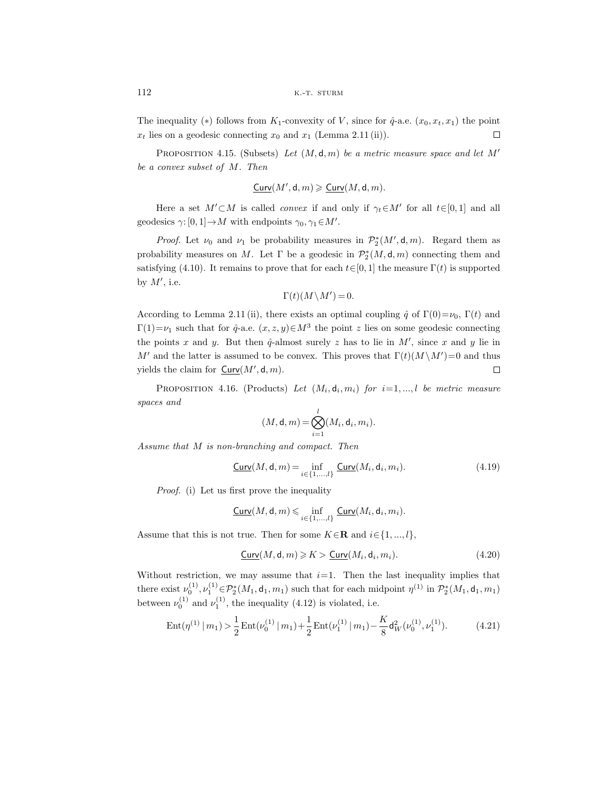The inequality (\*) follows from  $K_1$ -convexity of V, since for  $\hat{q}$ -a.e.  $(x_0, x_t, x_1)$  the point  $x_t$  lies on a geodesic connecting  $x_0$  and  $x_1$  (Lemma 2.11 (ii)).  $\Box$ 

Proposition 4.15. (Subsets) *Let* (M, d, m) *be a metric measure space and let* M *be a convex subset of* M*. Then*

$$
\underline{\mathsf{Curv}}(M',\mathsf{d},m) \geqslant \underline{\mathsf{Curv}}(M,\mathsf{d},m).
$$

Here a set  $M' \subset M$  is called *convex* if and only if  $\gamma_t \in M'$  for all  $t \in [0, 1]$  and all geodesics  $\gamma: [0, 1] \to M$  with endpoints  $\gamma_0, \gamma_1 \in M'.$ 

*Proof.* Let  $\nu_0$  and  $\nu_1$  be probability measures in  $\mathcal{P}_2^*(M', \mathsf{d}, m)$ . Regard them as probability measures on M. Let  $\Gamma$  be a geodesic in  $\mathcal{P}_2^*(M, \mathsf{d}, m)$  connecting them and satisfying (4.10). It remains to prove that for each  $t \in [0, 1]$  the measure  $\Gamma(t)$  is supported by  $M'$ , i.e.

$$
\Gamma(t)(M\!\setminus\!M')\,{=}\,0.
$$

According to Lemma 2.11 (ii), there exists an optimal coupling  $\hat{q}$  of  $\Gamma(0)=\nu_0$ ,  $\Gamma(t)$  and  $\Gamma(1) = \nu_1$  such that for  $\hat{q}$ -a.e.  $(x, z, y) \in M^3$  the point z lies on some geodesic connecting the points x and y. But then  $\hat{q}$ -almost surely z has to lie in M', since x and y lie in M' and the latter is assumed to be convex. This proves that  $\Gamma(t)(M \setminus M') = 0$  and thus yields the claim for  $Curv(M',\mathsf{d},m)$ .  $\Box$ 

PROPOSITION 4.16. (Products) Let  $(M_i, d_i, m_i)$  for  $i=1, ..., l$  be metric measure *spaces and*

$$
(M, \mathsf{d}, m) = \bigotimes_{i=1}^l (M_i, \mathsf{d}_i, m_i).
$$

*Assume that* M *is non-branching and compact. Then*

$$
\underline{\text{Curv}}(M,\mathsf{d},m) = \inf_{i \in \{1,\ldots,l\}} \underline{\text{Curv}}(M_i,\mathsf{d}_i,m_i). \tag{4.19}
$$

*Proof.* (i) Let us first prove the inequality

$$
\underline{\mathsf{Curv}}(M,\mathsf{d},m)\leqslant\inf_{i\in\{1,...,l\}}\underline{\mathsf{Curv}}(M_i,\mathsf{d}_i,m_i).
$$

Assume that this is not true. Then for some  $K \in \mathbb{R}$  and  $i \in \{1, ..., l\}$ ,

$$
\underline{\text{Curv}}(M,\mathsf{d},m) \geqslant K > \underline{\text{Curv}}(M_i,\mathsf{d}_i,m_i). \tag{4.20}
$$

Without restriction, we may assume that  $i=1$ . Then the last inequality implies that there exist  $\nu_0^{(1)}, \nu_1^{(1)} \in \mathcal{P}_2^*(M_1, \mathsf{d}_1, m_1)$  such that for each midpoint  $\eta^{(1)}$  in  $\mathcal{P}_2^*(M_1, \mathsf{d}_1, m_1)$ between  $\nu_0^{(1)}$  and  $\nu_1^{(1)}$ , the inequality (4.12) is violated, i.e.

$$
Ent(\eta^{(1)} | m_1) > \frac{1}{2} Ent(\nu_0^{(1)} | m_1) + \frac{1}{2} Ent(\nu_1^{(1)} | m_1) - \frac{K}{8} d_W^2(\nu_0^{(1)}, \nu_1^{(1)}).
$$
(4.21)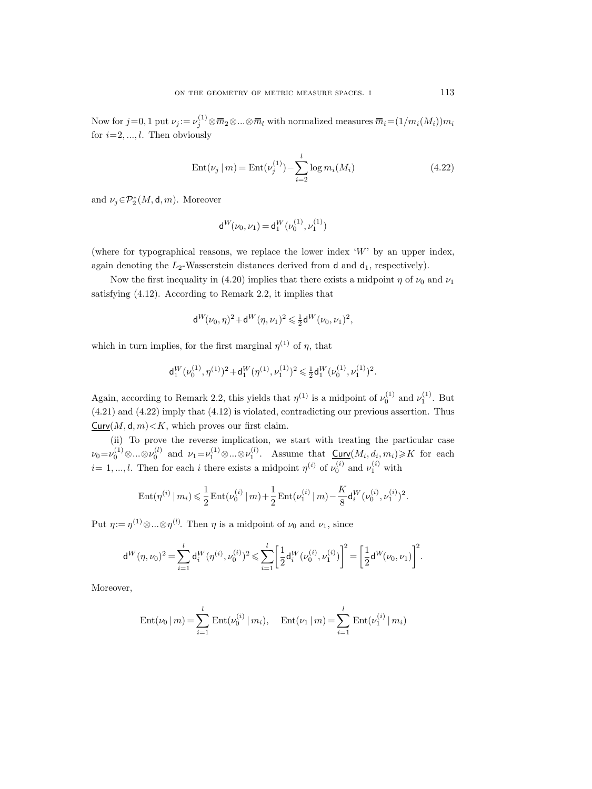Now for  $j=0,1$  put  $\nu_j := \nu_j^{(1)} \otimes \overline{m}_2 \otimes ... \otimes \overline{m}_l$  with normalized measures  $\overline{m}_i = (1/m_i(M_i))m_i$ for  $i=2,\ldots, l$ . Then obviously

$$
Ent(\nu_j \mid m) = Ent(\nu_j^{(1)}) - \sum_{i=2}^{l} \log m_i(M_i)
$$
\n(4.22)

and  $\nu_j \in \mathcal{P}_2^*(M, \mathsf{d}, m)$ . Moreover

$$
\mathsf{d}^W\!(\nu_0,\nu_1)\,{=}\,\mathsf{d}_1^W(\nu_0^{(1)},\nu_1^{(1)})
$$

(where for typographical reasons, we replace the lower index  $W'$  by an upper index, again denoting the  $L_2$ -Wasserstein distances derived from d and  $d_1$ , respectively).

Now the first inequality in (4.20) implies that there exists a midpoint  $\eta$  of  $\nu_0$  and  $\nu_1$ satisfying (4.12). According to Remark 2.2, it implies that

$$
d^W(\nu_0,\eta)^2 + d^W(\eta,\nu_1)^2 \leqslant \tfrac{1}{2}d^W(\nu_0,\nu_1)^2,
$$

which in turn implies, for the first marginal  $\eta^{(1)}$  of  $\eta$ , that

$$
\mathsf{d}_1^W(\nu_0^{(1)},\eta^{(1)})^2 + \mathsf{d}_1^W(\eta^{(1)},\nu_1^{(1)})^2 \leqslant \tfrac12 \mathsf{d}_1^W(\nu_0^{(1)},\nu_1^{(1)})^2.
$$

Again, according to Remark 2.2, this yields that  $\eta^{(1)}$  is a midpoint of  $\nu_0^{(1)}$  and  $\nu_1^{(1)}$ . But (4.21) and (4.22) imply that (4.12) is violated, contradicting our previous assertion. Thus  $Curv(M, d, m) \leq K$ , which proves our first claim.

(ii) To prove the reverse implication, we start with treating the particular case  $\nu_0 = \nu_0^{(1)} \otimes \ldots \otimes \nu_0^{(l)}$  and  $\nu_1 = \nu_1^{(1)} \otimes \ldots \otimes \nu_1^{(l)}$ . Assume that  $\underbrace{\text{Curv}}(M_i, d_i, m_i) \geqslant K$  for each  $i=1,...,l.$  Then for each i there exists a midpoint  $\eta^{(i)}$  of  $\nu_0^{(i)}$  and  $\nu_1^{(i)}$  with

$$
\operatorname{Ent}(\eta^{(i)}\,|\,m_i)\leqslant \frac{1}{2}\operatorname{Ent}(\nu_0^{(i)}\,|\,m)+\frac{1}{2}\operatorname{Ent}(\nu_1^{(i)}\,|\,m)-\frac{K}{8}\mathsf{d}_i^W(\nu_0^{(i)},\nu_1^{(i)})^2.
$$

Put  $\eta := \eta^{(1)} \otimes ... \otimes \eta^{(l)}$ . Then  $\eta$  is a midpoint of  $\nu_0$  and  $\nu_1$ , since

$$
\mathbf{d}^W(\eta, \nu_0)^2 = \sum_{i=1}^l \mathbf{d}_i^W(\eta^{(i)}, \nu_0^{(i)})^2 \leq \sum_{i=1}^l \bigg[ \frac{1}{2} \mathbf{d}_i^W(\nu_0^{(i)}, \nu_1^{(i)}) \bigg]^2 = \bigg[ \frac{1}{2} \mathbf{d}^W(\nu_0, \nu_1) \bigg]^2.
$$

Moreover,

$$
Ent(\nu_0|m) = \sum_{i=1}^l Ent(\nu_0^{(i)}|m_i), \quad Ent(\nu_1|m) = \sum_{i=1}^l Ent(\nu_1^{(i)}|m_i)
$$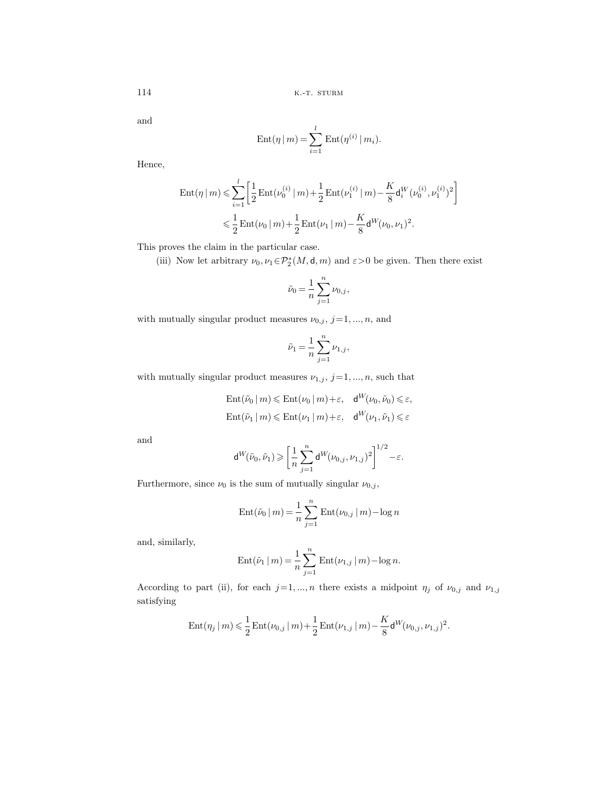and

$$
Ent(\eta | m) = \sum_{i=1}^{l} Ent(\eta^{(i)} | m_i).
$$

Hence,

$$
\begin{split} \operatorname{Ent}(\eta \,|\, m) &\leqslant \sum_{i=1}^{l} \left[ \frac{1}{2} \operatorname{Ent}(\nu_0^{(i)} \,|\, m) + \frac{1}{2} \operatorname{Ent}(\nu_1^{(i)} \,|\, m) - \frac{K}{8} \mathsf{d}_i^W(\nu_0^{(i)}, \nu_1^{(i)})^2 \right] \\ &\leqslant \frac{1}{2} \operatorname{Ent}(\nu_0 \,|\, m) + \frac{1}{2} \operatorname{Ent}(\nu_1 \,|\, m) - \frac{K}{8} \mathsf{d}^W(\nu_0, \nu_1)^2. \end{split}
$$

This proves the claim in the particular case.

(iii) Now let arbitrary  $\nu_0, \nu_1 \in \mathcal{P}_2^*(M, \mathsf{d}, m)$  and  $\varepsilon > 0$  be given. Then there exist

$$
\tilde{\nu}_0 = \frac{1}{n} \sum_{j=1}^n \nu_{0,j},
$$

with mutually singular product measures  $\nu_{0,j}$ ,  $j=1, ..., n$ , and

$$
\tilde{\nu}_1 = \frac{1}{n} \sum_{j=1}^n \nu_{1,j},
$$

with mutually singular product measures  $\nu_{1,j},\,j\!=\!1,...,n,$  such that

$$
\operatorname{Ent}(\tilde{\nu}_0 \mid m) \leq \operatorname{Ent}(\nu_0 \mid m) + \varepsilon, \quad \mathsf{d}^W(\nu_0, \tilde{\nu}_0) \leq \varepsilon,
$$
  

$$
\operatorname{Ent}(\tilde{\nu}_1 \mid m) \leq \operatorname{Ent}(\nu_1 \mid m) + \varepsilon, \quad \mathsf{d}^W(\nu_1, \tilde{\nu}_1) \leq \varepsilon
$$

and

$$
\mathsf{d}^W(\tilde \nu_0,\tilde \nu_1)\geqslant \bigg[\frac{1}{n}\sum_{j=1}^n\mathsf{d}^W(\nu_{0,j},\nu_{1,j})^2\bigg]^{1/2}-\varepsilon.
$$

Furthermore, since  $\nu_0$  is the sum of mutually singular  $\nu_{0,j},$ 

Ent(
$$
\tilde{\nu}_0 | m
$$
) =  $\frac{1}{n} \sum_{j=1}^n \text{Ent}(\nu_{0,j} | m) - \log n$ 

and, similarly,

Ent(
$$
\tilde{\nu}_1 | m
$$
) =  $\frac{1}{n} \sum_{j=1}^{n} \text{Ent}(\nu_{1,j} | m) - \log n$ .

According to part (ii), for each  $j=1,...,n$  there exists a midpoint  $\eta_j$  of  $\nu_{0,j}$  and  $\nu_{1,j}$ satisfying

$$
\mathrm{Ent}(\eta_j \,|\, m) \leqslant \frac{1}{2} \, \mathrm{Ent}(\nu_{0,j} \,|\, m) + \frac{1}{2} \, \mathrm{Ent}(\nu_{1,j} \,|\, m) - \frac{K}{8} \mathsf{d}^W(\nu_{0,j}, \nu_{1,j})^2.
$$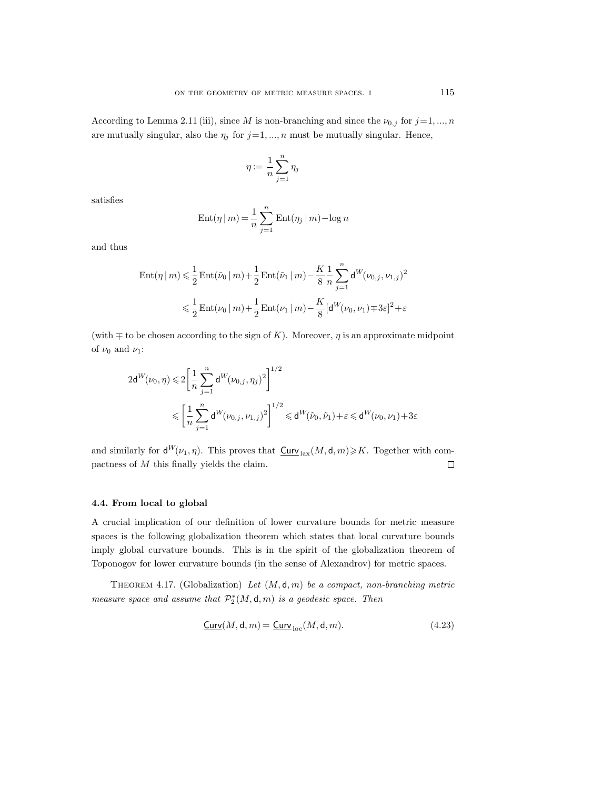According to Lemma 2.11 (iii), since M is non-branching and since the  $\nu_{0,j}$  for  $j=1, ..., n$ are mutually singular, also the  $\eta_j$  for  $j=1, ..., n$  must be mutually singular. Hence,

$$
\eta:=\frac{1}{n}\sum_{j=1}^n\eta_j
$$

satisfies

$$
Ent(\eta | m) = \frac{1}{n} \sum_{j=1}^{n} Ent(\eta_j | m) - \log n
$$

and thus

$$
\begin{aligned} \text{Ent}(\eta \,|\, m) &\leq \frac{1}{2} \, \text{Ent}(\tilde{\nu}_0 \,|\, m) + \frac{1}{2} \, \text{Ent}(\tilde{\nu}_1 \,|\, m) - \frac{K}{8} \, \frac{1}{n} \sum_{j=1}^n \mathsf{d}^{W}(\nu_{0,j}, \nu_{1,j})^2 \\ &\leq \frac{1}{2} \, \text{Ent}(\nu_0 \,|\, m) + \frac{1}{2} \, \text{Ent}(\nu_1 \,|\, m) - \frac{K}{8} [\mathsf{d}^{W}(\nu_0, \nu_1) \mp 3 \varepsilon]^2 + \varepsilon \end{aligned}
$$

(with  $\mp$  to be chosen according to the sign of K). Moreover,  $\eta$  is an approximate midpoint of  $\nu_0$  and  $\nu_1$ :

$$
\begin{aligned} 2\mathsf{d}^W(\nu_0,\eta) \leqslant & 2\bigg[\frac{1}{n}\sum_{j=1}^n\mathsf{d}^W(\nu_{0,j},\eta_j)^2\bigg]^{1/2} \\ \leqslant & \bigg[\frac{1}{n}\sum_{j=1}^n\mathsf{d}^W(\nu_{0,j},\nu_{1,j})^2\bigg]^{1/2} \leqslant \mathsf{d}^W(\tilde{\nu}_0,\tilde{\nu}_1) + \varepsilon \leqslant \mathsf{d}^W(\nu_0,\nu_1) + 3\varepsilon \end{aligned}
$$

and similarly for  $\mathsf{d}^{W}(\nu_1, \eta)$ . This proves that  $\underline{\mathsf{Curv}}_{\text{lax}}(M, \mathsf{d}, m) \geq K$ . Together with compactness of M this finally yields the claim.  $\Box$ 

## **4.4. From local to global**

A crucial implication of our definition of lower curvature bounds for metric measure spaces is the following globalization theorem which states that local curvature bounds imply global curvature bounds. This is in the spirit of the globalization theorem of Toponogov for lower curvature bounds (in the sense of Alexandrov) for metric spaces.

Theorem 4.17. (Globalization) *Let* (M, d, m) *be a compact, non-branching metric measure space and assume that*  $\mathcal{P}_2^*(M, \mathsf{d}, m)$  *is a geodesic space. Then* 

$$
\underline{\text{Curv}}(M,\mathsf{d},m) = \underline{\text{Curv}}_{\text{loc}}(M,\mathsf{d},m). \tag{4.23}
$$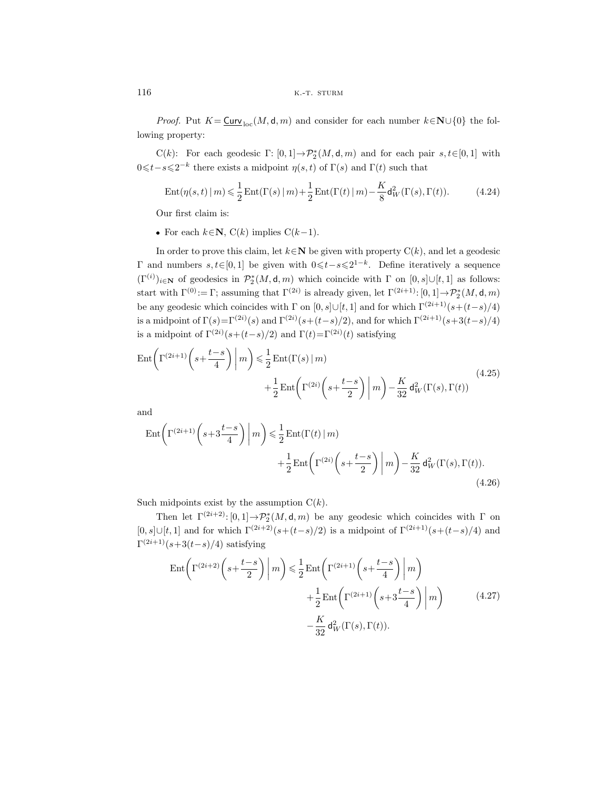*Proof.* Put  $K = \underline{\text{Curv}}_{\text{loc}}(M, \mathsf{d}, m)$  and consider for each number  $k \in \mathbb{N} \cup \{0\}$  the following property:

C(k): For each geodesic  $\Gamma: [0,1] \to \mathcal{P}_2^*(M, d, m)$  and for each pair  $s, t \in [0,1]$  with  $0 \le t - s \le 2^{-k}$  there exists a midpoint  $\eta(s, t)$  of  $\Gamma(s)$  and  $\Gamma(t)$  such that

$$
Ent(\eta(s,t) \mid m) \leq \frac{1}{2} Ent(\Gamma(s) \mid m) + \frac{1}{2} Ent(\Gamma(t) \mid m) - \frac{K}{8} d_W^2(\Gamma(s), \Gamma(t)).
$$
\n(4.24)

Our first claim is:

• For each  $k \in \mathbb{N}$ ,  $C(k)$  implies  $C(k-1)$ .

In order to prove this claim, let  $k \in \mathbb{N}$  be given with property  $C(k)$ , and let a geodesic Γ and numbers  $s, t \in [0, 1]$  be given with  $0 \le t - s \le 2^{1-k}$ . Define iteratively a sequence  $(\Gamma^{(i)})_{i\in\mathbf{N}}$  of geodesics in  $\mathcal{P}_2^*(M, \mathsf{d}, m)$  which coincide with  $\Gamma$  on  $[0, s] \cup [t, 1]$  as follows: start with  $\Gamma^{(0)} := \Gamma$ ; assuming that  $\Gamma^{(2i)}$  is already given, let  $\Gamma^{(2i+1)}$ :  $[0,1] \to \mathcal{P}_2^*(M,\mathsf{d},m)$ be any geodesic which coincides with  $\Gamma$  on  $[0, s] \cup [t, 1]$  and for which  $\Gamma^{(2i+1)}(s+(t-s)/4)$ is a midpoint of  $\Gamma(s) = \Gamma^{(2i)}(s)$  and  $\Gamma^{(2i)}(s+(t-s)/2)$ , and for which  $\Gamma^{(2i+1)}(s+3(t-s)/4)$ is a midpoint of  $\Gamma^{(2i)}(s+(t-s)/2)$  and  $\Gamma(t)=\Gamma^{(2i)}(t)$  satisfying

$$
\operatorname{Ent}\left(\Gamma^{(2i+1)}\left(s+\frac{t-s}{4}\right)\middle|m\right) \leq \frac{1}{2}\operatorname{Ent}(\Gamma(s)\middle|m\right) \n+ \frac{1}{2}\operatorname{Ent}\left(\Gamma^{(2i)}\left(s+\frac{t-s}{2}\right)\middle|m\right) - \frac{K}{32}d_W^2(\Gamma(s),\Gamma(t))
$$
\n(4.25)

and

$$
\operatorname{Ent}\left(\Gamma^{(2i+1)}\left(s+3\frac{t-s}{4}\right)\middle|m\right) \leq \frac{1}{2}\operatorname{Ent}(\Gamma(t)\mid m) + \frac{1}{2}\operatorname{Ent}\left(\Gamma^{(2i)}\left(s+\frac{t-s}{2}\right)\middle|m\right) - \frac{K}{32}\operatorname{d}_{W}^{2}(\Gamma(s),\Gamma(t)).\tag{4.26}
$$

Such midpoints exist by the assumption  $C(k)$ .

Then let  $\Gamma^{(2i+2)}$ :  $[0,1] \rightarrow \mathcal{P}_2^*(M, \mathsf{d}, m)$  be any geodesic which coincides with  $\Gamma$  on [0, s]∪[t, 1] and for which  $\Gamma^{(2i+2)}(s+(t-s)/2)$  is a midpoint of  $\Gamma^{(2i+1)}(s+(t-s)/4)$  and  $\Gamma^{(2i+1)}(s+3(t-s)/4)$  satisfying

$$
\operatorname{Ent}\left(\Gamma^{(2i+2)}\left(s+\frac{t-s}{2}\right)\middle|m\right) \leq \frac{1}{2}\operatorname{Ent}\left(\Gamma^{(2i+1)}\left(s+\frac{t-s}{4}\right)\middle|m\right) +\frac{1}{2}\operatorname{Ent}\left(\Gamma^{(2i+1)}\left(s+3\frac{t-s}{4}\right)\middle|m\right) -\frac{K}{32}d_W^2(\Gamma(s),\Gamma(t)).
$$
\n(4.27)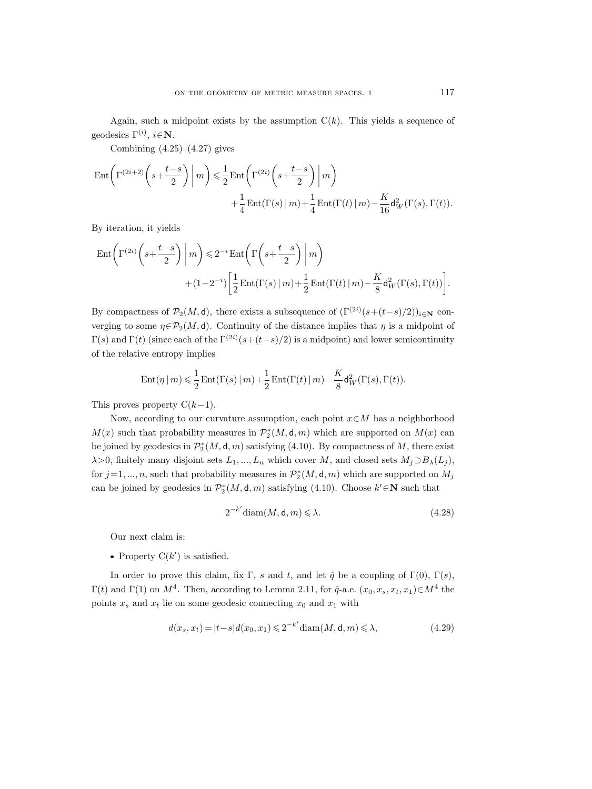Again, such a midpoint exists by the assumption  $C(k)$ . This yields a sequence of geodesics  $\Gamma^{(i)}$ ,  $i \in \mathbb{N}$ .

Combining  $(4.25)$ – $(4.27)$  gives

$$
\begin{split} \operatorname{Ent}&\bigg(\Gamma^{(2i+2)}\bigg(s+\frac{t-s}{2}\bigg)\bigg|\,m\bigg) \leqslant \frac{1}{2}\operatorname{Ent}\bigg(\Gamma^{(2i)}\bigg(s+\frac{t-s}{2}\bigg)\bigg|\,m\bigg)\\ &\qquad \qquad +\frac{1}{4}\operatorname{Ent}(\Gamma(s)\,|\,m) +\frac{1}{4}\operatorname{Ent}(\Gamma(t)\,|\,m) -\frac{K}{16}\mathsf{d}_W^2(\Gamma(s),\Gamma(t)). \end{split}
$$

By iteration, it yields

$$
\begin{split} \operatorname{Ent}&\bigg(\Gamma^{(2i)}\bigg(s+\frac{t-s}{2}\bigg)\bigg\vert\,m\bigg) \leqslant 2^{-i}\operatorname{Ent}\bigg(\Gamma\bigg(s+\frac{t-s}{2}\bigg)\bigg\vert\,m\bigg) \\ &\qquad \qquad + (1-2^{-i})\bigg[\frac{1}{2}\operatorname{Ent}(\Gamma(s)\,\vert\,m) + \frac{1}{2}\operatorname{Ent}(\Gamma(t)\,\vert\,m) - \frac{K}{8}\mathsf{d}_W^2(\Gamma(s),\Gamma(t))\bigg]. \end{split}
$$

By compactness of  $\mathcal{P}_2(M, d)$ , there exists a subsequence of  $(\Gamma^{(2i)}(s+(t-s)/2))_{i\in\mathbb{N}}$  converging to some  $\eta \in \mathcal{P}_2(M, d)$ . Continuity of the distance implies that  $\eta$  is a midpoint of  $\Gamma(s)$  and  $\Gamma(t)$  (since each of the  $\Gamma^{(2i)}(s+(t-s)/2)$  is a midpoint) and lower semicontinuity of the relative entropy implies

$$
\operatorname{Ent}(\eta \mid m) \leqslant \frac{1}{2} \operatorname{Ent}(\Gamma(s) \mid m) + \frac{1}{2} \operatorname{Ent}(\Gamma(t) \mid m) - \frac{K}{8} \mathsf{d}_{W}^{2}(\Gamma(s), \Gamma(t)).
$$

This proves property  $C(k-1)$ .

Now, according to our curvature assumption, each point  $x \in M$  has a neighborhood  $M(x)$  such that probability measures in  $\mathcal{P}_2^*(M, \mathsf{d}, m)$  which are supported on  $M(x)$  can be joined by geodesics in  $\mathcal{P}_2^*(M, \mathsf{d}, m)$  satisfying (4.10). By compactness of M, there exist  $\lambda$ >0, finitely many disjoint sets  $L_1, ..., L_n$  which cover M, and closed sets  $M_j \supset B_\lambda(L_j)$ , for  $j=1, ..., n$ , such that probability measures in  $\mathcal{P}_2^*(M, \mathsf{d}, m)$  which are supported on  $M_j$ can be joined by geodesics in  $\mathcal{P}_2^*(M, \mathsf{d}, m)$  satisfying (4.10). Choose  $k' \in \mathbb{N}$  such that

$$
2^{-k'}\text{diam}(M,\mathsf{d},m) \leq \lambda. \tag{4.28}
$$

Our next claim is:

Property  $C(k')$  is satisfied.

In order to prove this claim, fix Γ, s and t, and let  $\hat{q}$  be a coupling of Γ(0), Γ(s),  $Γ(t)$  and Γ(1) on  $M^4$ . Then, according to Lemma 2.11, for  $\hat{q}$ -a.e.  $(x_0, x_s, x_t, x_1) ∈ M^4$  the points  $x_s$  and  $x_t$  lie on some geodesic connecting  $x_0$  and  $x_1$  with

$$
d(x_s, x_t) = |t - s| d(x_0, x_1) \leq 2^{-k'} \operatorname{diam}(M, \mathsf{d}, m) \leq \lambda,
$$
\n(4.29)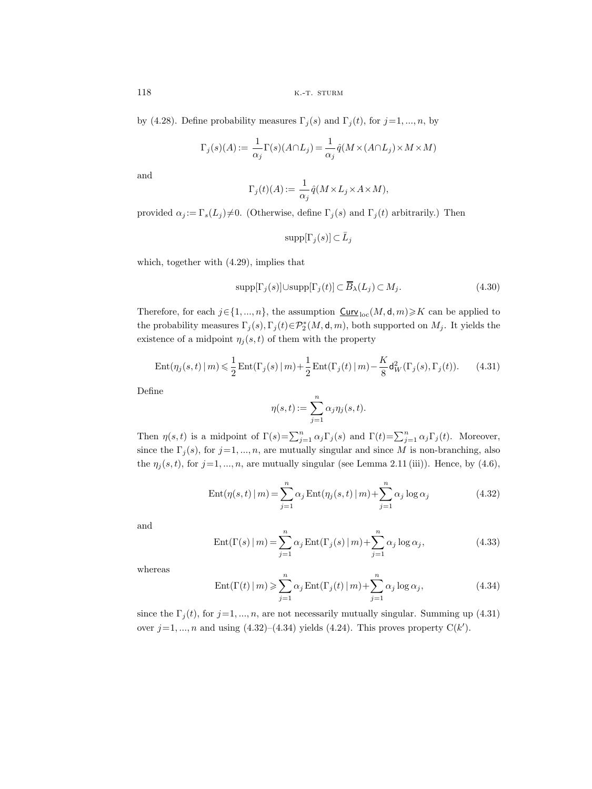by (4.28). Define probability measures  $\Gamma_j(s)$  and  $\Gamma_j(t)$ , for  $j=1, ..., n$ , by

$$
\Gamma_j(s)(A):=\frac{1}{\alpha_j}\Gamma(s)(A\cap L_j)=\frac{1}{\alpha_j}\widehat{q}(M\times (A\cap L_j)\times M\times M)
$$

and

$$
\Gamma_j(t)(A) := \frac{1}{\alpha_j} \hat{q}(M \times L_j \times A \times M),
$$

provided  $\alpha_j := \Gamma_s(L_j) \neq 0$ . (Otherwise, define  $\Gamma_j(s)$  and  $\Gamma_j(t)$  arbitrarily.) Then

$$
\text{supp}[\Gamma_j(s)] \subset \bar{L}_j
$$

which, together with (4.29), implies that

$$
supp[\Gamma_j(s)] \cup supp[\Gamma_j(t)] \subset \overline{B}_\lambda(L_j) \subset M_j.
$$
\n(4.30)

Therefore, for each  $j \in \{1, ..., n\}$ , the assumption  $\underline{\text{Curv}}_{\text{loc}}(M, \mathsf{d}, m) \geqslant K$  can be applied to the probability measures  $\Gamma_j(s), \Gamma_j(t) \in \mathcal{P}_2^*(M, \mathsf{d}, m)$ , both supported on  $M_j$ . It yields the existence of a midpoint  $\eta_i(s,t)$  of them with the property

$$
Ent(\eta_j(s,t) \mid m) \leq \frac{1}{2} Ent(\Gamma_j(s) \mid m) + \frac{1}{2} Ent(\Gamma_j(t) \mid m) - \frac{K}{8} d_W^2(\Gamma_j(s), \Gamma_j(t)).
$$
 (4.31)

Define

$$
\eta(s,t) := \sum_{j=1}^n \alpha_j \eta_j(s,t).
$$

Then  $\eta(s,t)$  is a midpoint of  $\Gamma(s) = \sum_{j=1}^n \alpha_j \Gamma_j(s)$  and  $\Gamma(t) = \sum_{j=1}^n \alpha_j \Gamma_j(t)$ . Moreover, since the  $\Gamma_j(s)$ , for  $j=1,\dots,n$ , are mutually singular and since M is non-branching, also the  $\eta_j(s, t)$ , for  $j = 1, ..., n$ , are mutually singular (see Lemma 2.11 (iii)). Hence, by (4.6),

$$
Ent(\eta(s,t) \mid m) = \sum_{j=1}^{n} \alpha_j Ent(\eta_j(s,t) \mid m) + \sum_{j=1}^{n} \alpha_j \log \alpha_j
$$
\n(4.32)

and

$$
Ent(\Gamma(s) \mid m) = \sum_{j=1}^{n} \alpha_j Ent(\Gamma_j(s) \mid m) + \sum_{j=1}^{n} \alpha_j \log \alpha_j,
$$
\n(4.33)

whereas

$$
Ent(\Gamma(t) \mid m) \geqslant \sum_{j=1}^{n} \alpha_j Ent(\Gamma_j(t) \mid m) + \sum_{j=1}^{n} \alpha_j \log \alpha_j,
$$
\n(4.34)

since the  $\Gamma_j(t)$ , for  $j=1, ..., n$ , are not necessarily mutually singular. Summing up (4.31) over  $j=1, ..., n$  and using  $(4.32)$ – $(4.34)$  yields  $(4.24)$ . This proves property  $C(k')$ .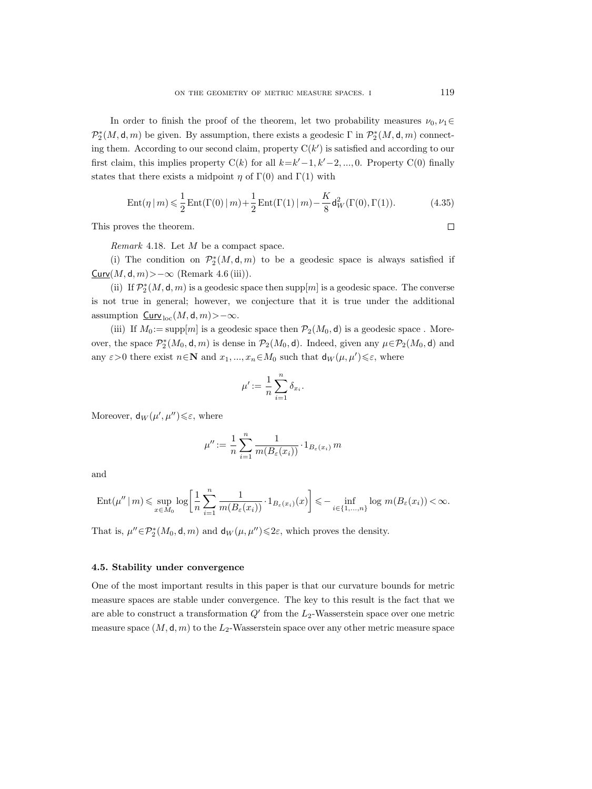In order to finish the proof of the theorem, let two probability measures  $\nu_0, \nu_1 \in$  $\mathcal{P}_2^{*}(M, \mathsf{d}, m)$  be given. By assumption, there exists a geodesic  $\Gamma$  in  $\mathcal{P}_2^{*}(M, \mathsf{d}, m)$  connecting them. According to our second claim, property  $C(k')$  is satisfied and according to our first claim, this implies property  $C(k)$  for all  $k=k'-1, k'-2, ..., 0$ . Property  $C(0)$  finally states that there exists a midpoint  $\eta$  of  $\Gamma(0)$  and  $\Gamma(1)$  with

$$
Ent(\eta | m) \leq \frac{1}{2} Ent(\Gamma(0) | m) + \frac{1}{2} Ent(\Gamma(1) | m) - \frac{K}{8} d_W^2(\Gamma(0), \Gamma(1)).
$$
\n(4.35)

This proves the theorem.

*Remark* 4.18. Let M be a compact space.

(i) The condition on  $\mathcal{P}_2^*(M, \mathsf{d}, m)$  to be a geodesic space is always satisfied if  $Curv(M, d, m)$ >−∞ (Remark 4.6 (iii)).

(ii) If  $\mathcal{P}_2^{*}(M, \mathsf{d}, m)$  is a geodesic space then  $\mathrm{supp}[m]$  is a geodesic space. The converse is not true in general; however, we conjecture that it is true under the additional assumption  $\mathsf{Curv}_{\mathrm{loc}}(M,\mathsf{d},m)$ >-∞.

(iii) If  $M_0 := \text{supp}[m]$  is a geodesic space then  $\mathcal{P}_2(M_0, \mathsf{d})$  is a geodesic space. Moreover, the space  $\mathcal{P}_2^*(M_0, \mathsf{d}, m)$  is dense in  $\mathcal{P}_2(M_0, \mathsf{d})$ . Indeed, given any  $\mu \in \mathcal{P}_2(M_0, \mathsf{d})$  and any  $\varepsilon > 0$  there exist  $n \in \mathbb{N}$  and  $x_1, ..., x_n \in M_0$  such that  $d_W(\mu, \mu') \leq \varepsilon$ , where

$$
\mu' := \frac{1}{n} \sum_{i=1}^n \delta_{x_i}.
$$

Moreover,  $d_W(\mu', \mu'') \leq \varepsilon$ , where

$$
\mu'' := \frac{1}{n} \sum_{i=1}^{n} \frac{1}{m(B_{\varepsilon}(x_i))} \cdot 1_{B_{\varepsilon}(x_i)} m
$$

and

$$
\operatorname{Ent}(\mu'' \mid m) \leqslant \sup_{x \in M_0} \log \left[ \frac{1}{n} \sum_{i=1}^n \frac{1}{m(B_\varepsilon(x_i))} \cdot 1_{B_\varepsilon(x_i)}(x) \right] \leqslant - \inf_{i \in \{1, \dots, n\}} \log m(B_\varepsilon(x_i)) < \infty.
$$

That is,  $\mu'' \in \mathcal{P}_2^*(M_0, \mathsf{d}, m)$  and  $\mathsf{d}_W(\mu, \mu'') \leq 2\varepsilon$ , which proves the density.

## **4.5. Stability under convergence**

One of the most important results in this paper is that our curvature bounds for metric measure spaces are stable under convergence. The key to this result is the fact that we are able to construct a transformation  $Q'$  from the  $L_2$ -Wasserstein space over one metric measure space  $(M, d, m)$  to the  $L_2$ -Wasserstein space over any other metric measure space

 $\Box$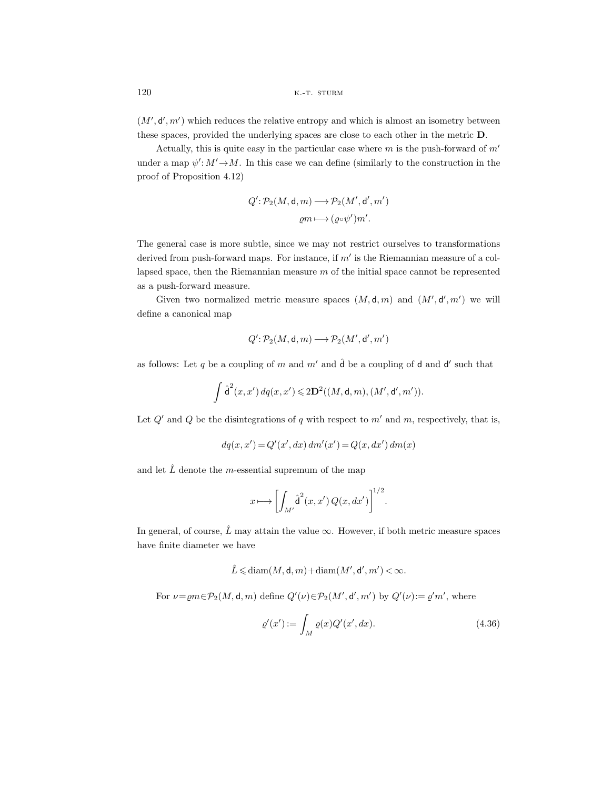$(M', d', m')$  which reduces the relative entropy and which is almost an isometry between these spaces, provided the underlying spaces are close to each other in the metric **D**.

Actually, this is quite easy in the particular case where  $m$  is the push-forward of  $m'$ under a map  $\psi' : M' \to M$ . In this case we can define (similarly to the construction in the proof of Proposition 4.12)

$$
Q' : \mathcal{P}_2(M, \mathsf{d}, m) \longrightarrow \mathcal{P}_2(M', \mathsf{d}', m')
$$

$$
\varrho m \longmapsto (\varrho \circ \psi') m'.
$$

The general case is more subtle, since we may not restrict ourselves to transformations derived from push-forward maps. For instance, if  $m'$  is the Riemannian measure of a collapsed space, then the Riemannian measure  $m$  of the initial space cannot be represented as a push-forward measure.

Given two normalized metric measure spaces  $(M, d, m)$  and  $(M', d', m')$  we will define a canonical map

$$
Q'\!:\!\mathcal{P}_2(M,\mathsf{d},m)\!\longrightarrow\!\mathcal{P}_2(M',\mathsf{d}',m')
$$

as follows: Let q be a coupling of m and  $m'$  and  $\hat{d}$  be a coupling of d and d' such that

$$
\int \hat{\mathsf{d}}^2(x, x') d\mathfrak{q}(x, x') \leq 2\mathbf{D}^2((M, \mathsf{d}, m), (M', \mathsf{d}', m')).
$$

Let  $Q'$  and  $Q$  be the disintegrations of q with respect to  $m'$  and  $m$ , respectively, that is,

$$
dq(x, x') = Q'(x', dx) dm'(x') = Q(x, dx') dm(x)
$$

and let  $\hat{L}$  denote the m-essential supremum of the map

$$
x \longmapsto \left[ \int_{M'} \hat{\mathsf{d}}^2(x, x') Q(x, dx') \right]^{1/2}.
$$

In general, of course,  $\hat{L}$  may attain the value  $\infty$ . However, if both metric measure spaces have finite diameter we have

$$
\hat{L}\leqslant \text{diam}(M,\mathsf d,m)+\text{diam}(M',\mathsf d',m')<\infty.
$$

For  $\nu = \rho m \in \mathcal{P}_2(M, \mathsf{d}, m)$  define  $Q'(\nu) \in \mathcal{P}_2(M', \mathsf{d}', m')$  by  $Q'(\nu) := \rho' m'$ , where

$$
\varrho'(x') := \int_M \varrho(x) Q'(x', dx). \tag{4.36}
$$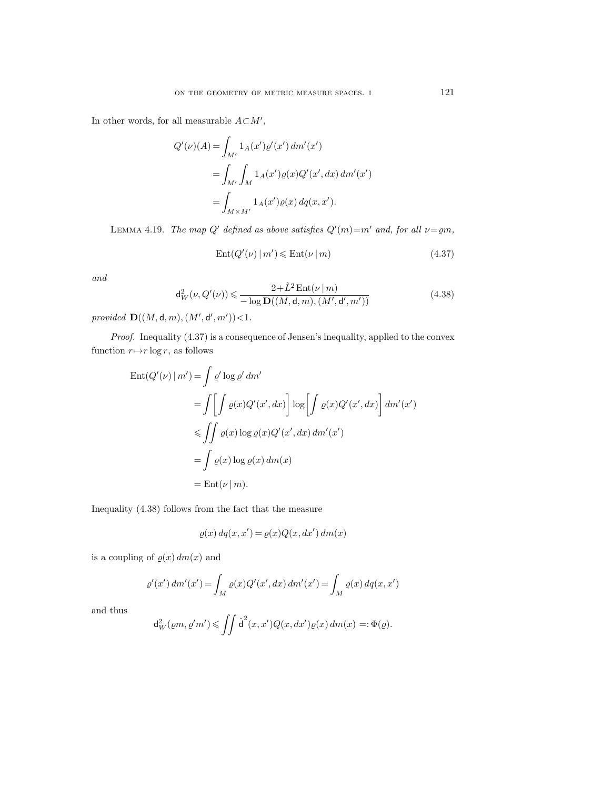In other words, for all measurable  $A\subset M',$ 

$$
Q'(\nu)(A) = \int_{M'} 1_A(x') \varrho'(x') dm'(x')
$$
  
= 
$$
\int_{M'} \int_M 1_A(x') \varrho(x) Q'(x', dx) dm'(x')
$$
  
= 
$$
\int_{M \times M'} 1_A(x') \varrho(x) dq(x, x').
$$

LEMMA 4.19. *The map*  $Q'$  defined as above satisfies  $Q'(m)=m'$  and, for all  $\nu=em$ ,

$$
Ent(Q'(\nu) \mid m') \leqslant Ent(\nu \mid m)
$$
\n(4.37)

*and*

$$
\mathsf{d}_{W}^{2}(\nu, Q'(\nu)) \leq \frac{2 + \hat{L}^{2} \operatorname{Ent}(\nu \mid m)}{-\log \mathbf{D}((M, \mathsf{d}, m), (M', \mathsf{d}', m'))} \tag{4.38}
$$

*provided*  ${\bf D}((M, d, m), (M', d', m')) < 1$ *.* 

*Proof.* Inequality (4.37) is a consequence of Jensen's inequality, applied to the convex function  $r \mapsto r \log r$ , as follows

$$
\begin{aligned} \text{Ent}(Q'(\nu) \mid m') &= \int \varrho' \log \varrho' \, dm' \\ &= \int \left[ \int \varrho(x) Q'(x', dx) \right] \log \left[ \int \varrho(x) Q'(x', dx) \right] \, dm'(x') \\ &\leq \iint \varrho(x) \log \varrho(x) Q'(x', dx) \, dm'(x') \\ &= \int \varrho(x) \log \varrho(x) \, dm(x) \\ &= \text{Ent}(\nu \mid m). \end{aligned}
$$

Inequality (4.38) follows from the fact that the measure

$$
\varrho(x) \, dq(x, x') = \varrho(x) Q(x, dx') \, dm(x)
$$

is a coupling of  $\rho(x) dm(x)$  and

$$
\varrho'(x') \, dm'(x') = \int_M \varrho(x) Q'(x', dx) \, dm'(x') = \int_M \varrho(x) \, dq(x, x')
$$

and thus

$$
\mathrm{d}_{W}^{2}(\varrho m, \varrho' m') \leqslant \iint \hat{\mathrm{d}}^{2}(x, x') Q(x, dx') \varrho(x) \, dm(x) =: \Phi(\varrho).
$$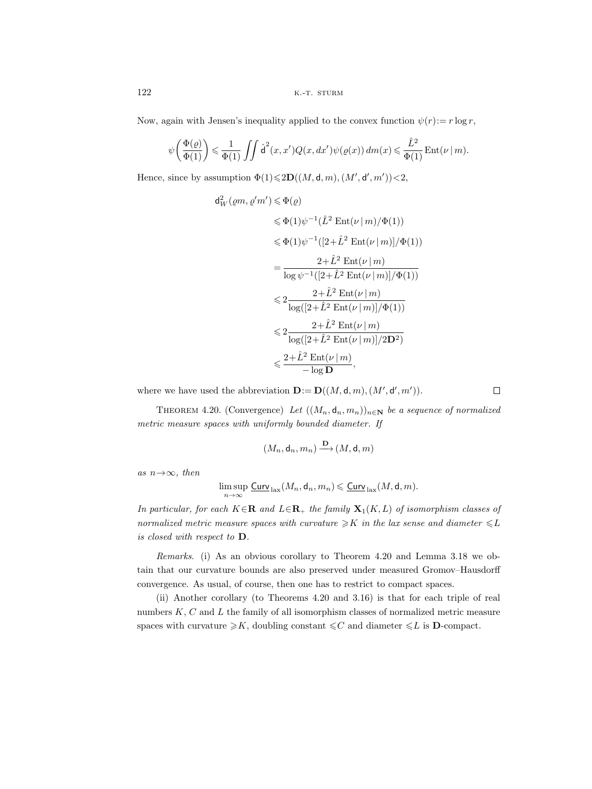Now, again with Jensen's inequality applied to the convex function  $\psi(r) := r \log r$ ,

$$
\psi\bigg(\frac{\Phi(\varrho)}{\Phi(1)}\bigg) \leqslant \frac{1}{\Phi(1)} \iint \hat{\mathsf{d}}^2(x,x') Q(x,dx') \psi\big(\varrho(x)\big) \, dm(x) \leqslant \frac{\hat{L}^2}{\Phi(1)} \operatorname{Ent}(\nu \, | \, m).
$$

Hence, since by assumption  $\Phi(1) \leq 2\mathbf{D}((M, \mathsf{d}, m), (M', \mathsf{d}', m')) < 2$ ,

$$
d_W^2(\varrho m, \varrho' m') \leq \Phi(\varrho)
$$
  
\n
$$
\leq \Phi(1)\psi^{-1}(\hat{L}^2 \operatorname{Ent}(\nu \mid m)/\Phi(1))
$$
  
\n
$$
\leq \Phi(1)\psi^{-1}([2 + \hat{L}^2 \operatorname{Ent}(\nu \mid m)]/\Phi(1))
$$
  
\n
$$
= \frac{2 + \hat{L}^2 \operatorname{Ent}(\nu \mid m)}{\log \psi^{-1}([2 + \hat{L}^2 \operatorname{Ent}(\nu \mid m)]/\Phi(1))}
$$
  
\n
$$
\leq 2\frac{2 + \hat{L}^2 \operatorname{Ent}(\nu \mid m)}{\log([2 + \hat{L}^2 \operatorname{Ent}(\nu \mid m)]/\Phi(1))}
$$
  
\n
$$
\leq 2\frac{2 + \hat{L}^2 \operatorname{Ent}(\nu \mid m)}{\log([2 + \hat{L}^2 \operatorname{Ent}(\nu \mid m)]/2\mathbf{D}^2)}
$$
  
\n
$$
\leq \frac{2 + \hat{L}^2 \operatorname{Ent}(\nu \mid m)}{-\log \mathbf{D}},
$$

where we have used the abbreviation  $\mathbf{D} := \mathbf{D}((M, \mathsf{d}, m), (M', \mathsf{d}', m')).$ 

 $\Box$ 

THEOREM 4.20. (Convergence) Let  $((M_n, \mathsf{d}_n, m_n))_{n \in \mathbb{N}}$  be a sequence of normalized *metric measure spaces with uniformly bounded diameter. If*

$$
(M_n, \mathsf{d}_n, m_n) \xrightarrow{\mathbf{D}} (M, \mathsf{d}, m)
$$

 $as n \rightarrow \infty$ *, then* 

$$
\limsup_{n\to\infty}\underline{\mathrm{Curv}}_{\mathrm{lax}}(M_n,\mathsf{d}_n,m_n)\leqslant\underline{\mathrm{Curv}}_{\mathrm{lax}}(M,\mathsf{d},m).
$$

*In particular, for each* <sup>K</sup>∈**<sup>R</sup>** *and* <sup>L</sup>∈**R**<sup>+</sup> *the family* **<sup>X</sup>**1(K, L) *of isomorphism classes of normalized metric measure spaces with curvature*  $\geqslant$ *K in the lax sense and diameter*  $\leqslant$ *L is closed with respect to* **D***.*

*Remarks*. (i) As an obvious corollary to Theorem 4.20 and Lemma 3.18 we obtain that our curvature bounds are also preserved under measured Gromov–Hausdorff convergence. As usual, of course, then one has to restrict to compact spaces.

(ii) Another corollary (to Theorems 4.20 and 3.16) is that for each triple of real numbers K, C and L the family of all isomorphism classes of normalized metric measure spaces with curvature  $\geq K$ , doubling constant  $\leq C$  and diameter  $\leq L$  is **D**-compact.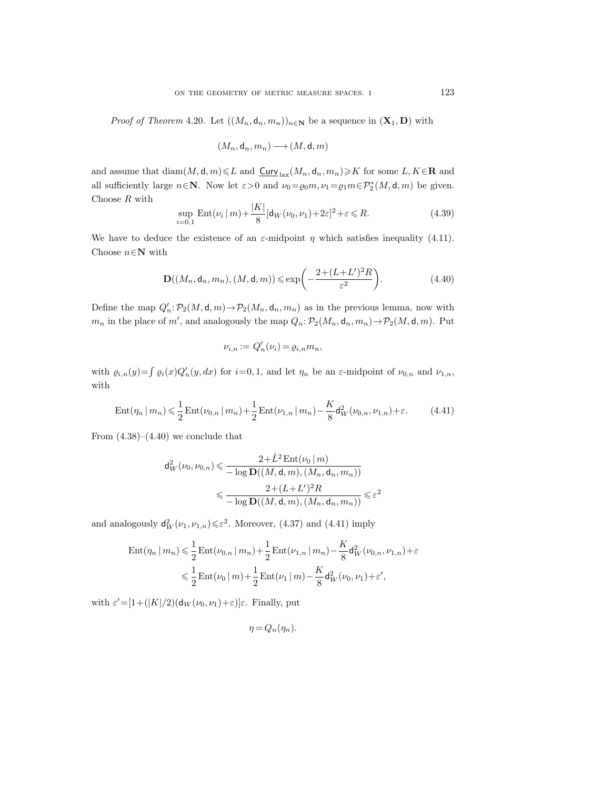*Proof of Theorem* 4.20. Let  $((M_n, d_n, m_n))_{n \in \mathbb{N}}$  be a sequence in  $(\mathbf{X}_1, \mathbf{D})$  with

$$
(M_n,\mathsf{d}_n,m_n)\longrightarrow (M,\mathsf{d},m)
$$

and assume that  $\text{diam}(M, \mathbf{d}, m) \leq L$  and  $\underline{\text{Curv}}_{\text{lax}}(M_n, \mathbf{d}_n, m_n) \geq K$  for some  $L, K \in \mathbb{R}$  and all sufficiently large  $n \in \mathbb{N}$ . Now let  $\varepsilon > 0$  and  $\nu_0 = \varrho_0 m$ ,  $\nu_1 = \varrho_1 m \in \mathcal{P}_2^*(M, \mathsf{d}, m)$  be given. Choose R with

$$
\sup_{i=0,1} \text{Ent}(\nu_i \mid m) + \frac{|K|}{8} [\mathbf{d}_W(\nu_0, \nu_1) + 2\varepsilon]^2 + \varepsilon \le R. \tag{4.39}
$$

We have to deduce the existence of an  $\varepsilon$ -midpoint  $\eta$  which satisfies inequality (4.11). Choose  $n \in \mathbb{N}$  with

$$
\mathbf{D}((M_n, \mathsf{d}_n, m_n), (M, \mathsf{d}, m)) \leq \exp\left(-\frac{2 + (L + L')^2 R}{\varepsilon^2}\right).
$$
 (4.40)

Define the map  $Q'_n$ :  $\mathcal{P}_2(M, \mathsf{d}, m) \to \mathcal{P}_2(M_n, \mathsf{d}_n, m_n)$  as in the previous lemma, now with  $m_n$  in the place of m', and analogously the map  $Q_n: \mathcal{P}_2(M_n, \mathsf{d}_n, m_n) \to \mathcal{P}_2(M, \mathsf{d}, m)$ . Put

$$
\nu_{i,n} := Q'_n(\nu_i) = \varrho_{i,n} m_n,
$$

with  $\varrho_{i,n}(y) = \int \varrho_i(x) Q'_n(y, dx)$  for  $i=0, 1$ , and let  $\eta_n$  be an  $\varepsilon$ -midpoint of  $\nu_{0,n}$  and  $\nu_{1,n}$ , with

$$
\operatorname{Ent}(\eta_n \, | \, m_n) \leq \frac{1}{2} \operatorname{Ent}(\nu_{0,n} \, | \, m_n) + \frac{1}{2} \operatorname{Ent}(\nu_{1,n} \, | \, m_n) - \frac{K}{8} \mathsf{d}_W^2(\nu_{0,n}, \nu_{1,n}) + \varepsilon. \tag{4.41}
$$

From  $(4.38)$ – $(4.40)$  we conclude that

$$
d_W^2(\nu_0, \nu_{0,n}) \leq \frac{2 + \hat{L}^2 \operatorname{Ent}(\nu_0 \mid m)}{-\log \mathbf{D}((M, \mathsf{d}, m), (M_n, \mathsf{d}_n, m_n))}
$$
  

$$
\leq \frac{2 + (L + L')^2 R}{-\log \mathbf{D}((M, \mathsf{d}, m), (M_n, \mathsf{d}_n, m_n))} \leq \varepsilon^2
$$

and analogously  $\mathsf{d}_{W}^{2}(\nu_1, \nu_{1,n}) \leq \varepsilon^2$ . Moreover, (4.37) and (4.41) imply

$$
\operatorname{Ent}(\eta_n | m_n) \leq \frac{1}{2} \operatorname{Ent}(\nu_{0,n} | m_n) + \frac{1}{2} \operatorname{Ent}(\nu_{1,n} | m_n) - \frac{K}{8} \mathsf{d}_W^2(\nu_{0,n}, \nu_{1,n}) + \varepsilon
$$
  

$$
\leq \frac{1}{2} \operatorname{Ent}(\nu_0 | m) + \frac{1}{2} \operatorname{Ent}(\nu_1 | m) - \frac{K}{8} \mathsf{d}_W^2(\nu_0, \nu_1) + \varepsilon',
$$

with  $\varepsilon' = [1 + (|K|/2)(\mathsf{d}_W(\nu_0, \nu_1) + \varepsilon)]\varepsilon$ . Finally, put

$$
\eta = Q_n(\eta_n).
$$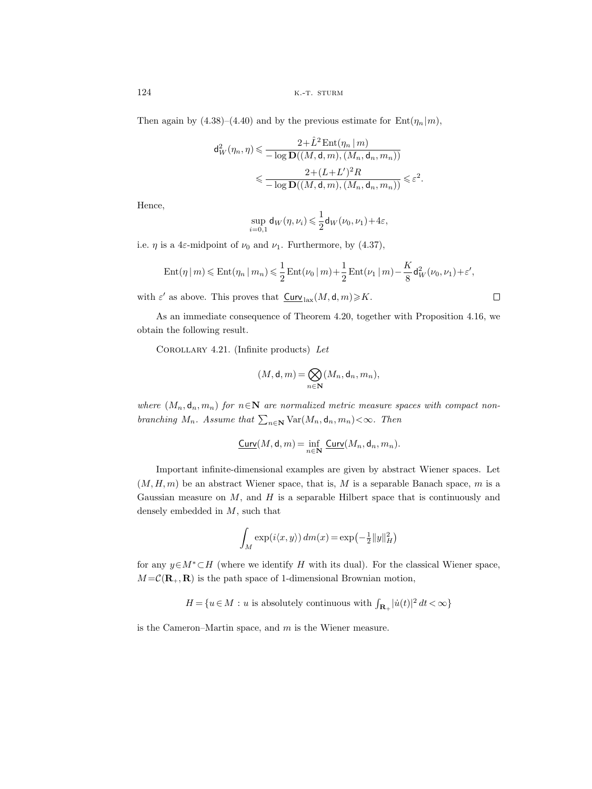Then again by  $(4.38)$ – $(4.40)$  and by the previous estimate for Ent $(\eta_n|m)$ ,

$$
d_W^2(\eta_n, \eta) \leq \frac{2 + \hat{L}^2 \operatorname{Ent}(\eta_n \mid m)}{-\log \mathbf{D}((M, \mathsf{d}, m), (M_n, \mathsf{d}_n, m_n))}
$$
  

$$
\leq \frac{2 + (L + L')^2 R}{-\log \mathbf{D}((M, \mathsf{d}, m), (M_n, \mathsf{d}_n, m_n))} \leq \varepsilon^2.
$$

Hence,

$$
\sup_{i=0,1}\mathsf{d}_W(\eta,\nu_i)\leqslant\frac{1}{2}\mathsf{d}_W(\nu_0,\nu_1)+4\varepsilon,
$$

i.e.  $\eta$  is a 4 $\varepsilon$ -midpoint of  $\nu_0$  and  $\nu_1$ . Furthermore, by (4.37),

$$
\operatorname{Ent}(\eta \mid m) \leqslant \operatorname{Ent}(\eta_n \mid m_n) \leqslant \frac{1}{2} \operatorname{Ent}(\nu_0 \mid m) + \frac{1}{2} \operatorname{Ent}(\nu_1 \mid m) - \frac{K}{8} \mathsf{d}_W^2(\nu_0, \nu_1) + \varepsilon',
$$

 $\Box$ 

with  $\varepsilon'$  as above. This proves that  $\frac{\text{Curv}}{\text{tax}}(M, \mathsf{d}, m) \geqslant K$ .

As an immediate consequence of Theorem 4.20, together with Proposition 4.16, we obtain the following result.

Corollary 4.21. (Infinite products) *Let*

$$
(M,\mathsf{d},m)\!=\!\bigotimes_{n\in\mathbf{N}}(M_n,\mathsf{d}_n,m_n),
$$

*where*  $(M_n, \mathsf{d}_n, m_n)$  *for*  $n \in \mathbb{N}$  *are normalized metric measure spaces with compact nonbranching*  $M_n$ *. Assume that*  $\sum_{n\in\mathbb{N}} \text{Var}(M_n, \mathsf{d}_n, m_n) < \infty$ *. Then* 

$$
\underline{\mathrm{Curv}}(M,\mathsf{d},m)=\inf_{n\in\mathbf{N}}\ \underline{\mathrm{Curv}}(M_n,\mathsf{d}_n,m_n).
$$

Important infinite-dimensional examples are given by abstract Wiener spaces. Let  $(M, H, m)$  be an abstract Wiener space, that is, M is a separable Banach space, m is a Gaussian measure on  $M$ , and  $H$  is a separable Hilbert space that is continuously and densely embedded in  $M$ , such that

$$
\int_M \exp(i\langle x,y\rangle)\,dm(x)=\exp\left(-\tfrac12\|y\|_H^2\right)
$$

for any  $y \in M^* \subset H$  (where we identify H with its dual). For the classical Wiener space,  $M = \mathcal{C}(\mathbf{R}_+, \mathbf{R})$  is the path space of 1-dimensional Brownian motion,

 $H = \{u \in M \, : \, u \text{ is absolutely continuous with } \int_{\mathbf{R}_+} | \dot{u}(t)|^2 \, dt < \infty \}$ 

is the Cameron–Martin space, and  $m$  is the Wiener measure.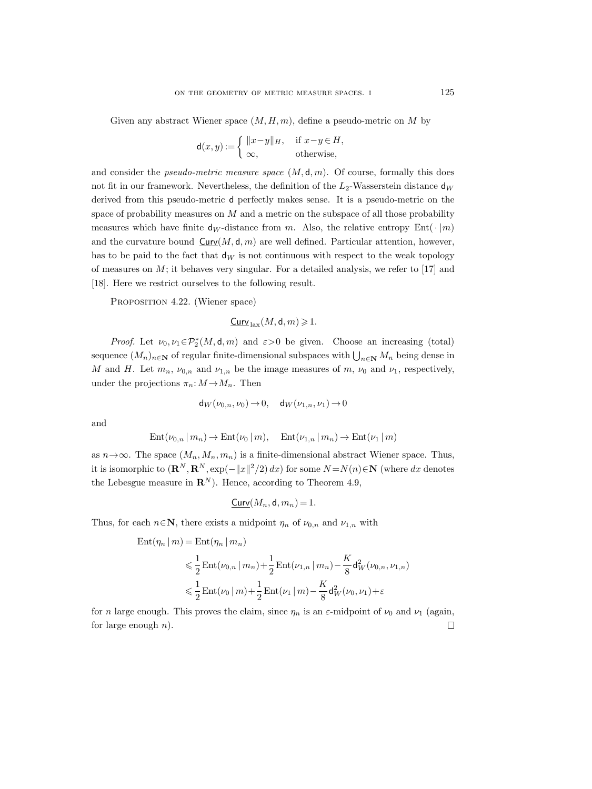Given any abstract Wiener space  $(M, H, m)$ , define a pseudo-metric on M by

$$
\mathsf{d}(x,y) := \left\{ \begin{array}{ll} \|x-y\|_H, & \text{ if } x-y \in H, \\ \infty, & \text{ otherwise,} \end{array} \right.
$$

and consider the *pseudo-metric measure space*  $(M, d, m)$ . Of course, formally this does not fit in our framework. Nevertheless, the definition of the  $L_2$ -Wasserstein distance  $d_W$ derived from this pseudo-metric d perfectly makes sense. It is a pseudo-metric on the space of probability measures on M and a metric on the subspace of all those probability measures which have finite  $d_W$ -distance from m. Also, the relative entropy Ent $(\cdot | m)$ and the curvature bound  $\text{Curv}(M, \mathsf{d}, m)$  are well defined. Particular attention, however, has to be paid to the fact that  $d_W$  is not continuous with respect to the weak topology of measures on  $M$ ; it behaves very singular. For a detailed analysis, we refer to [17] and [18]. Here we restrict ourselves to the following result.

PROPOSITION 4.22. (Wiener space)

 $Curv<sub>lex</sub>(M, d, m) \geq 1.$ 

*Proof.* Let  $\nu_0, \nu_1 \in \mathcal{P}_2^*(M, \mathsf{d}, m)$  and  $\varepsilon > 0$  be given. Choose an increasing (total) sequence  $(M_n)_{n \in \mathbb{N}}$  of regular finite-dimensional subspaces with  $\bigcup_{n \in \mathbb{N}} M_n$  being dense in M and H. Let  $m_n$ ,  $\nu_{0,n}$  and  $\nu_{1,n}$  be the image measures of m,  $\nu_0$  and  $\nu_1$ , respectively, under the projections  $\pi_n: M \to M_n$ . Then

$$
\mathsf{d}_W(\nu_{0,n},\nu_0)\to 0,\quad \mathsf{d}_W(\nu_{1,n},\nu_1)\to 0
$$

and

$$
\mathrm{Ent}(\nu_{0,n} | m_n) \to \mathrm{Ent}(\nu_0 | m), \quad \mathrm{Ent}(\nu_{1,n} | m_n) \to \mathrm{Ent}(\nu_1 | m)
$$

as  $n \rightarrow \infty$ . The space  $(M_n, M_n, m_n)$  is a finite-dimensional abstract Wiener space. Thus, it is isomorphic to  $(\mathbf{R}^N, \mathbf{R}^N, \exp(-||x||^2/2) dx)$  for some  $N = N(n) \in \mathbf{N}$  (where dx denotes the Lebesgue measure in  $\mathbb{R}^N$ ). Hence, according to Theorem 4.9,

$$
\underline{\mathsf{Curv}}(M_n, \mathsf{d}, m_n) = 1.
$$

Thus, for each  $n \in \mathbb{N}$ , there exists a midpoint  $\eta_n$  of  $\nu_{0,n}$  and  $\nu_{1,n}$  with

$$
\begin{aligned} \text{Ent}(\eta_n \, | \, m) &= \text{Ent}(\eta_n \, | \, m_n) \\ &\leq \frac{1}{2} \, \text{Ent}(\nu_{0,n} \, | \, m_n) + \frac{1}{2} \, \text{Ent}(\nu_{1,n} \, | \, m_n) - \frac{K}{8} \mathsf{d}_W^2(\nu_{0,n}, \nu_{1,n}) \\ &\leq \frac{1}{2} \, \text{Ent}(\nu_0 \, | \, m) + \frac{1}{2} \, \text{Ent}(\nu_1 \, | \, m) - \frac{K}{8} \mathsf{d}_W^2(\nu_0, \nu_1) + \varepsilon \end{aligned}
$$

for n large enough. This proves the claim, since  $\eta_n$  is an  $\varepsilon$ -midpoint of  $\nu_0$  and  $\nu_1$  (again, for large enough  $n$ ).  $\Box$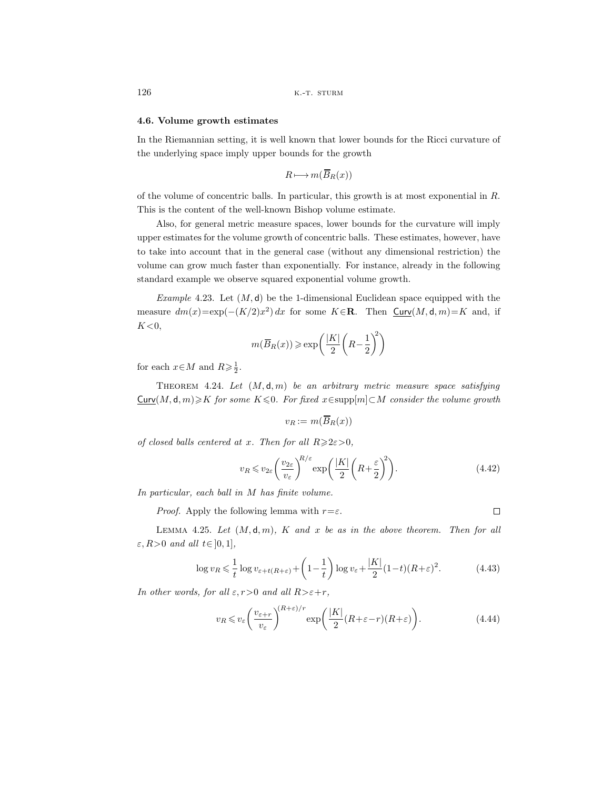## **4.6. Volume growth estimates**

In the Riemannian setting, it is well known that lower bounds for the Ricci curvature of the underlying space imply upper bounds for the growth

$$
R \longmapsto m(\overline{B}_R(x))
$$

of the volume of concentric balls. In particular, this growth is at most exponential in R. This is the content of the well-known Bishop volume estimate.

Also, for general metric measure spaces, lower bounds for the curvature will imply upper estimates for the volume growth of concentric balls. These estimates, however, have to take into account that in the general case (without any dimensional restriction) the volume can grow much faster than exponentially. For instance, already in the following standard example we observe squared exponential volume growth.

*Example* 4.23. Let  $(M, d)$  be the 1-dimensional Euclidean space equipped with the measure  $dm(x)=\exp(-(K/2)x^2) dx$  for some  $K \in \mathbb{R}$ . Then  $Curv(M, d, m)=K$  and, if  $K<0$ ,

$$
m(\overline{B}_R(x)) \ge \exp\left(\frac{|K|}{2}\left(R - \frac{1}{2}\right)^2\right)
$$

for each  $x \in M$  and  $R \geq \frac{1}{2}$ .

Theorem 4.24. *Let* (M, d, m) *be an arbitrary metric measure space satisfying*  $\text{Curv}(M, \mathsf{d}, m) \geqslant K$  *for some*  $K \leqslant 0$ *. For fixed*  $x \in \text{supp}[m] \subset M$  *consider the volume growth* 

$$
v_R := m(\overline{B}_R(x))
$$

*of closed balls centered at x. Then for all*  $R \geq 2\varepsilon > 0$ *,* 

$$
v_R \le v_{2\varepsilon} \left(\frac{v_{2\varepsilon}}{v_{\varepsilon}}\right)^{R/\varepsilon} \exp\left(\frac{|K|}{2}\left(R + \frac{\varepsilon}{2}\right)^2\right). \tag{4.42}
$$

*In particular, each ball in* M *has finite volume.*

*Proof.* Apply the following lemma with  $r = \varepsilon$ .

 $\Box$ 

LEMMA 4.25. Let  $(M, d, m)$ , K and x be as in the above theorem. Then for all  $\varepsilon$ ,  $R>0$  *and all*  $t \in [0, 1]$ *,* 

$$
\log v_R \leq \frac{1}{t} \log v_{\varepsilon + t(R + \varepsilon)} + \left(1 - \frac{1}{t}\right) \log v_{\varepsilon} + \frac{|K|}{2} (1 - t)(R + \varepsilon)^2. \tag{4.43}
$$

*In other words, for all*  $\varepsilon, r>0$  *and all*  $R>\varepsilon+r$ *,* 

$$
v_R \leqslant v_\varepsilon \left(\frac{v_{\varepsilon+r}}{v_\varepsilon}\right)^{(R+\varepsilon)/r} \exp\left(\frac{|K|}{2}(R+\varepsilon-r)(R+\varepsilon)\right). \tag{4.44}
$$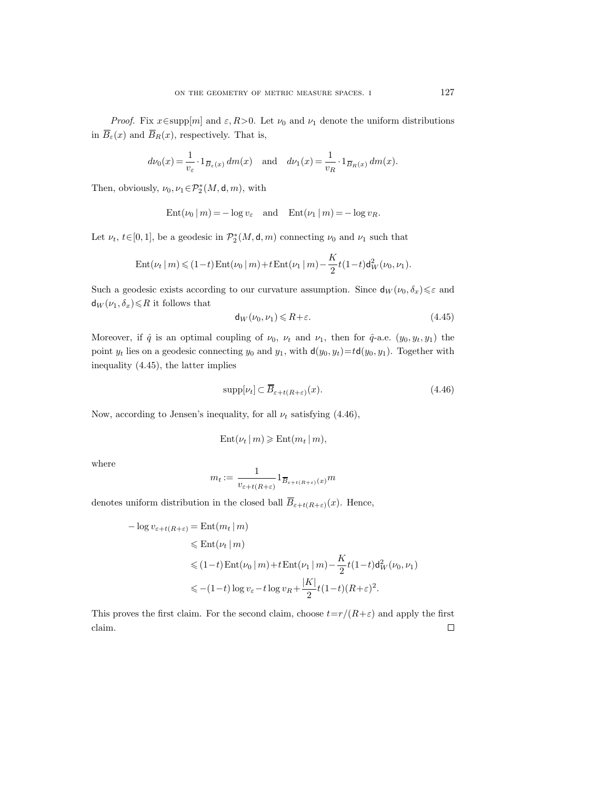*Proof.* Fix  $x \in \text{supp}[m]$  and  $\varepsilon, R > 0$ . Let  $\nu_0$  and  $\nu_1$  denote the uniform distributions in  $\overline{B}_{\varepsilon}(x)$  and  $\overline{B}_R(x)$ , respectively. That is,

$$
d\nu_0(x) = \frac{1}{v_\varepsilon} \cdot 1_{\overline{B}_\varepsilon(x)} dm(x) \quad \text{and} \quad d\nu_1(x) = \frac{1}{v_R} \cdot 1_{\overline{B}_R(x)} dm(x).
$$

Then, obviously,  $\nu_0, \nu_1 \in \mathcal{P}_2^*(M, \mathsf{d}, m)$ , with

$$
Ent(\nu_0|m) = -\log v_{\varepsilon} \quad \text{and} \quad Ent(\nu_1|m) = -\log v_R.
$$

Let  $\nu_t$ ,  $t \in [0, 1]$ , be a geodesic in  $\mathcal{P}_2^*(M, \mathsf{d}, m)$  connecting  $\nu_0$  and  $\nu_1$  such that

$$
\mathrm{Ent}(\nu_t \,|\, m) \leqslant (1-t) \, \mathrm{Ent}(\nu_0 \,|\, m) + t \, \mathrm{Ent}(\nu_1 \,|\, m) - \frac{K}{2} t (1-t) \mathsf{d}_W^2(\nu_0, \nu_1).
$$

Such a geodesic exists according to our curvature assumption. Since  $d_W(\nu_0, \delta_x) \leq \varepsilon$  and  $d_W(\nu_1, \delta_x) \le R$  it follows that

$$
\mathsf{d}_W(\nu_0, \nu_1) \leq R + \varepsilon. \tag{4.45}
$$

Moreover, if  $\hat{q}$  is an optimal coupling of  $\nu_0$ ,  $\nu_t$  and  $\nu_1$ , then for  $\hat{q}$ -a.e.  $(y_0, y_t, y_1)$  the point  $y_t$  lies on a geodesic connecting  $y_0$  and  $y_1$ , with  $d(y_0, y_t)=td(y_0, y_1)$ . Together with inequality (4.45), the latter implies

$$
\operatorname{supp}[\nu_t] \subset \overline{B}_{\varepsilon+t(R+\varepsilon)}(x). \tag{4.46}
$$

Now, according to Jensen's inequality, for all  $\nu_t$  satisfying (4.46),

$$
\mathrm{Ent}(\nu_t \,|\, m) \geqslant \mathrm{Ent}(m_t \,|\, m),
$$

where

$$
m_t := \frac{1}{v_{\varepsilon + t(R + \varepsilon)}} 1_{\overline{B}_{\varepsilon + t(R + \varepsilon)}(x)} m
$$

denotes uniform distribution in the closed ball  $\overline{B}_{\varepsilon+t(R+\varepsilon)}(x)$ . Hence,

$$
- \log v_{\varepsilon + t(R + \varepsilon)} = \text{Ent}(m_t | m)
$$
  
\n
$$
\leq \text{Ent}(\nu_t | m)
$$
  
\n
$$
\leq (1 - t) \text{Ent}(\nu_0 | m) + t \text{Ent}(\nu_1 | m) - \frac{K}{2} t (1 - t) d_W^2(\nu_0, \nu_1)
$$
  
\n
$$
\leq -(1 - t) \log v_{\varepsilon} - t \log v_R + \frac{|K|}{2} t (1 - t) (R + \varepsilon)^2.
$$

This proves the first claim. For the second claim, choose  $t=r/(R+\varepsilon)$  and apply the first claim. $\Box$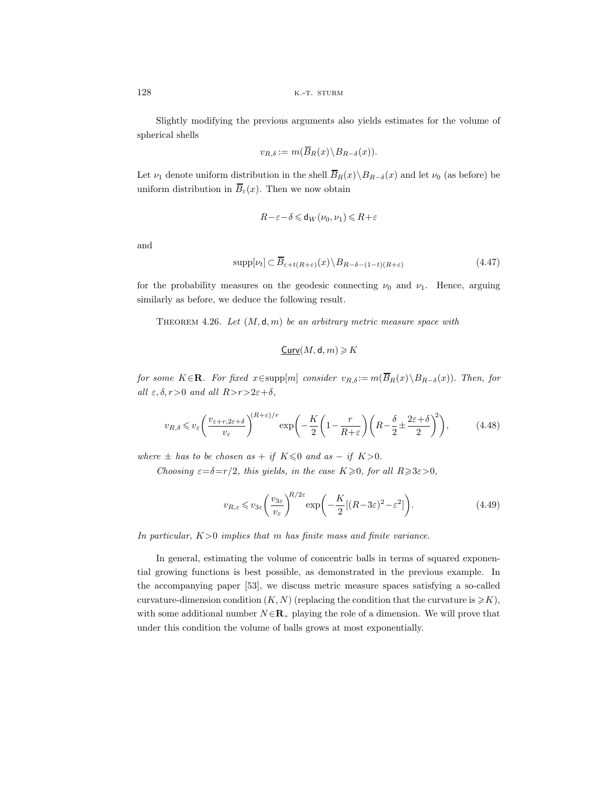Slightly modifying the previous arguments also yields estimates for the volume of spherical shells

$$
v_{R,\delta} := m(\overline{B}_R(x) \backslash B_{R-\delta}(x)).
$$

Let  $\nu_1$  denote uniform distribution in the shell  $\overline{B}_R(x)\setminus B_{R-\delta}(x)$  and let  $\nu_0$  (as before) be uniform distribution in  $\overline{B}_{\varepsilon}(x)$ . Then we now obtain

$$
R-\varepsilon-\delta\leqslant {\sf d}_W(\nu_0,\nu_1)\leqslant R+\varepsilon
$$

and

$$
\sup p[\nu_t] \subset \overline{B}_{\varepsilon+t(R+\varepsilon)}(x) \setminus B_{R-\delta-(1-t)(R+\varepsilon)}
$$
\n(4.47)

for the probability measures on the geodesic connecting  $\nu_0$  and  $\nu_1$ . Hence, arguing similarly as before, we deduce the following result.

Theorem 4.26. *Let* (M, d, m) *be an arbitrary metric measure space with*

 $Curv(M, d, m) \geqslant K$ 

*for some*  $K \in \mathbf{R}$ *. For fixed*  $x \in \text{supp}[m]$  *consider*  $v_{R,\delta} := m(\overline{B}_R(x) \setminus B_{R-\delta}(x))$ *. Then, for all*  $\varepsilon$ *,*  $\delta$ *, r* > 0 *and all*  $R$ >*r*>2 $\varepsilon$ + $\delta$ *,* 

$$
v_{R,\delta} \leq v_{\varepsilon} \left(\frac{v_{\varepsilon+r,2\varepsilon+\delta}}{v_{\varepsilon}}\right)^{(R+\varepsilon)/r} \exp\left(-\frac{K}{2}\left(1-\frac{r}{R+\varepsilon}\right)\left(R-\frac{\delta}{2}\pm\frac{2\varepsilon+\delta}{2}\right)^2\right),\tag{4.48}
$$

*where*  $\pm$  *has to be chosen as* + *if*  $K \le 0$  *and as* - *if*  $K > 0$ .

*Choosing*  $\varepsilon = \delta = r/2$ *, this yields, in the case*  $K \geq 0$ *, for all*  $R \geq 3\varepsilon > 0$ *,* 

$$
v_{R,\varepsilon} \leq v_{3\varepsilon} \left(\frac{v_{3\varepsilon}}{v_{\varepsilon}}\right)^{R/2\varepsilon} \exp\left(-\frac{K}{2}[(R-3\varepsilon)^2 - \varepsilon^2]\right). \tag{4.49}
$$

*In particular,* K>0 *implies that* m *has finite mass and finite variance.*

In general, estimating the volume of concentric balls in terms of squared exponential growing functions is best possible, as demonstrated in the previous example. In the accompanying paper [53], we discuss metric measure spaces satisfying a so-called curvature-dimension condition  $(K, N)$  (replacing the condition that the curvature is  $\geq K$ ), with some additional number  $N \in \mathbb{R}_+$  playing the role of a dimension. We will prove that under this condition the volume of balls grows at most exponentially.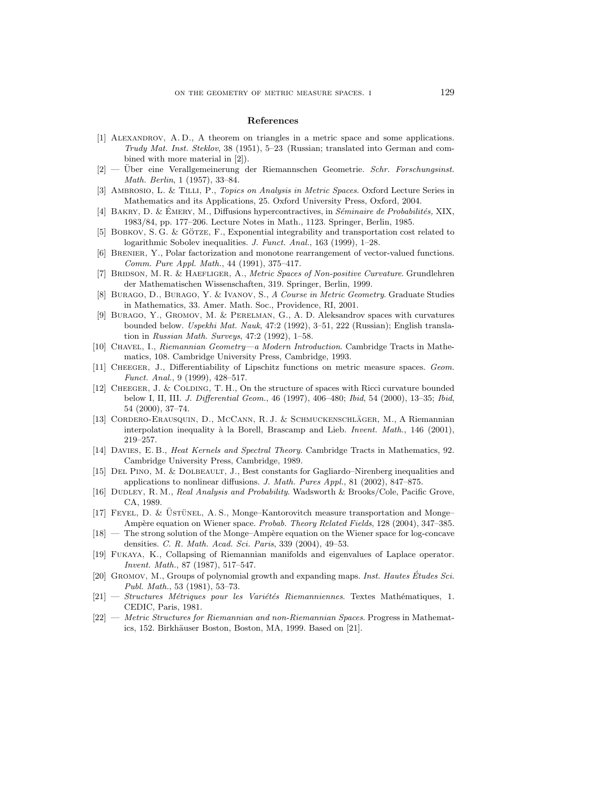#### **References**

- [1] ALEXANDROV, A.D., A theorem on triangles in a metric space and some applications. Trudy Mat. Inst. Steklov, 38 (1951), 5–23 (Russian; translated into German and combined with more material in [2]).
- $[2]$  Uber eine Verallgemeinerung der Riemannschen Geometrie. Schr. Forschungsinst. Math. Berlin, 1 (1957), 33–84.
- [3] Ambrosio, L. & Tilli, P., Topics on Analysis in Metric Spaces. Oxford Lecture Series in Mathematics and its Applications, 25. Oxford University Press, Oxford, 2004.
- [4] BAKRY, D. & ÉMERY, M., Diffusions hypercontractives, in Séminaire de Probabilités, XIX, 1983/84, pp. 177–206. Lecture Notes in Math., 1123. Springer, Berlin, 1985.
- [5] BOBKOV, S. G. & GÖTZE, F., Exponential integrability and transportation cost related to logarithmic Sobolev inequalities. J. Funct. Anal., 163 (1999), 1–28.
- [6] Brenier, Y., Polar factorization and monotone rearrangement of vector-valued functions. Comm. Pure Appl. Math., 44 (1991), 375–417.
- [7] BRIDSON, M. R. & HAEFLIGER, A., Metric Spaces of Non-positive Curvature. Grundlehren der Mathematischen Wissenschaften, 319. Springer, Berlin, 1999.
- [8] Burago, D., Burago, Y. & Ivanov, S., A Course in Metric Geometry. Graduate Studies in Mathematics, 33. Amer. Math. Soc., Providence, RI, 2001.
- [9] Burago, Y., Gromov, M. & Perelman, G., A. D. Aleksandrov spaces with curvatures bounded below. Uspekhi Mat. Nauk, 47:2 (1992), 3–51, 222 (Russian); English translation in Russian Math. Surveys, 47:2 (1992), 1–58.
- [10] Chavel, I., Riemannian Geometry—a Modern Introduction. Cambridge Tracts in Mathematics, 108. Cambridge University Press, Cambridge, 1993.
- [11] Cheeger, J., Differentiability of Lipschitz functions on metric measure spaces. Geom. Funct. Anal., 9 (1999), 428–517.
- [12] Cheeger, J. & Colding, T. H., On the structure of spaces with Ricci curvature bounded below I, II, III. J. Differential Geom., 46 (1997), 406–480; Ibid, 54 (2000), 13–35; Ibid, 54 (2000), 37–74.
- [13] CORDERO-ERAUSQUIN, D., MCCANN, R. J. & SCHMUCKENSCHLÄGER, M., A Riemannian interpolation inequality à la Borell, Brascamp and Lieb. *Invent. Math.*, 146 (2001), 219–257.
- [14] Davies, E. B., Heat Kernels and Spectral Theory. Cambridge Tracts in Mathematics, 92. Cambridge University Press, Cambridge, 1989.
- [15] Del Pino, M. & Dolbeault, J., Best constants for Gagliardo–Nirenberg inequalities and applications to nonlinear diffusions. J. Math. Pures Appl., 81 (2002), 847–875.
- [16] DUDLEY, R. M., Real Analysis and Probability. Wadsworth & Brooks/Cole, Pacific Grove, CA, 1989.
- $[17]$  FEYEL, D. & USTÜNEL, A.S., Monge–Kantorovitch measure transportation and Monge– Ampère equation on Wiener space. Probab. Theory Related Fields, 128 (2004), 347–385.
- $[18]$  The strong solution of the Monge–Ampère equation on the Wiener space for log-concave densities. C. R. Math. Acad. Sci. Paris, 339 (2004), 49–53.
- [19] Fukaya, K., Collapsing of Riemannian manifolds and eigenvalues of Laplace operator. Invent. Math., 87 (1987), 517–547.
- [20] GROMOV, M., Groups of polynomial growth and expanding maps. *Inst. Hautes Études Sci.* Publ. Math., 53 (1981), 53–73.
- $[21]$  Structures Métriques pour les Variétés Riemanniennes. Textes Mathématiques, 1. CEDIC, Paris, 1981.
- [22] Metric Structures for Riemannian and non-Riemannian Spaces. Progress in Mathematics, 152. Birkhäuser Boston, Boston, MA, 1999. Based on [21].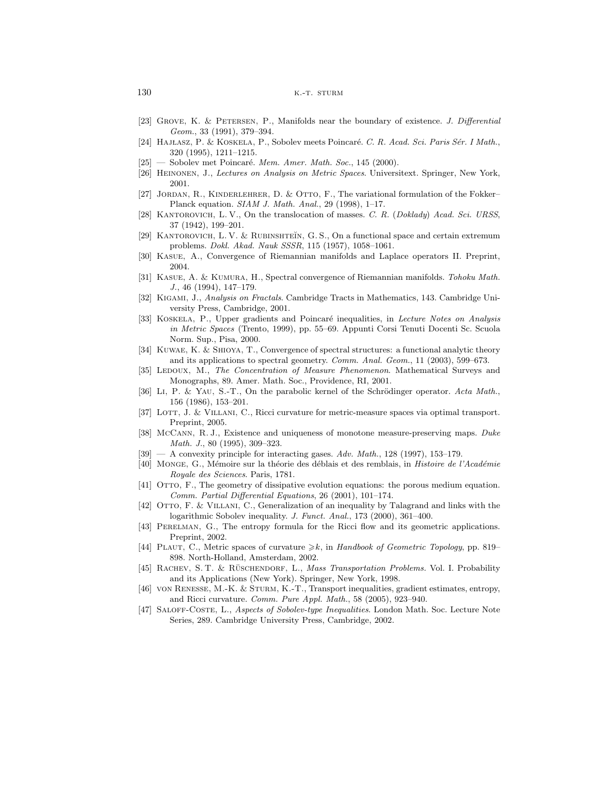- [23] Grove, K. & Petersen, P., Manifolds near the boundary of existence. J. Differential Geom., 33 (1991), 379–394.
- [24] HAJLASZ, P. & KOSKELA, P., Sobolev meets Poincaré. C. R. Acad. Sci. Paris Sér. I Math., 320 (1995), 1211–1215.
- $[25]$  Sobolev met Poincaré. Mem. Amer. Math. Soc., 145 (2000).
- [26] Heinonen, J., Lectures on Analysis on Metric Spaces. Universitext. Springer, New York, 2001.
- [27] JORDAN, R., KINDERLEHRER, D. & OTTO, F., The variational formulation of the Fokker– Planck equation. SIAM J. Math. Anal., 29 (1998), 1–17.
- [28] KANTOROVICH, L. V., On the translocation of masses. C. R. (Doklady) Acad. Sci. URSS, 37 (1942), 199–201.
- [29] KANTOROVICH, L. V. & RUBINSHTEĬN, G. S., On a functional space and certain extremum problems. Dokl. Akad. Nauk SSSR, 115 (1957), 1058–1061.
- [30] Kasue, A., Convergence of Riemannian manifolds and Laplace operators II. Preprint, 2004.
- [31] Kasue, A. & Kumura, H., Spectral convergence of Riemannian manifolds. Tohoku Math. J., 46 (1994), 147–179.
- [32] KIGAMI, J., Analysis on Fractals. Cambridge Tracts in Mathematics, 143. Cambridge University Press, Cambridge, 2001.
- [33] KOSKELA, P., Upper gradients and Poincaré inequalities, in Lecture Notes on Analysis in Metric Spaces (Trento, 1999), pp. 55–69. Appunti Corsi Tenuti Docenti Sc. Scuola Norm. Sup., Pisa, 2000.
- [34] Kuwae, K. & Shioya, T., Convergence of spectral structures: a functional analytic theory and its applications to spectral geometry. Comm. Anal. Geom., 11 (2003), 599–673.
- [35] LEDOUX, M., The Concentration of Measure Phenomenon. Mathematical Surveys and Monographs, 89. Amer. Math. Soc., Providence, RI, 2001.
- [36] Li, P. & YAU, S.-T., On the parabolic kernel of the Schrödinger operator. Acta Math., 156 (1986), 153–201.
- [37] LOTT, J. & VILLANI, C., Ricci curvature for metric-measure spaces via optimal transport. Preprint, 2005.
- [38] McCann, R. J., Existence and uniqueness of monotone measure-preserving maps. Duke Math. J., 80 (1995), 309–323.
- $[39]$  A convexity principle for interacting gases. Adv. Math., 128 (1997), 153-179.
- [40] MONGE, G., Mémoire sur la théorie des déblais et des remblais, in Histoire de l'Académie Royale des Sciences. Paris, 1781.
- [41] Otto, F., The geometry of dissipative evolution equations: the porous medium equation. Comm. Partial Differential Equations, 26 (2001), 101–174.
- [42] Otto, F. & Villani, C., Generalization of an inequality by Talagrand and links with the logarithmic Sobolev inequality. J. Funct. Anal., 173 (2000), 361-400.
- [43] PERELMAN, G., The entropy formula for the Ricci flow and its geometric applications. Preprint, 2002.
- [44] PLAUT, C., Metric spaces of curvature  $\geq k$ , in Handbook of Geometric Topology, pp. 819– 898. North-Holland, Amsterdam, 2002.
- [45] RACHEV, S. T. & RÜSCHENDORF, L., Mass Transportation Problems. Vol. I. Probability and its Applications (New York). Springer, New York, 1998.
- [46] VON RENESSE, M.-K. & STURM, K.-T., Transport inequalities, gradient estimates, entropy, and Ricci curvature. Comm. Pure Appl. Math., 58 (2005), 923–940.
- [47] SALOFF-COSTE, L., Aspects of Sobolev-type Inequalities. London Math. Soc. Lecture Note Series, 289. Cambridge University Press, Cambridge, 2002.